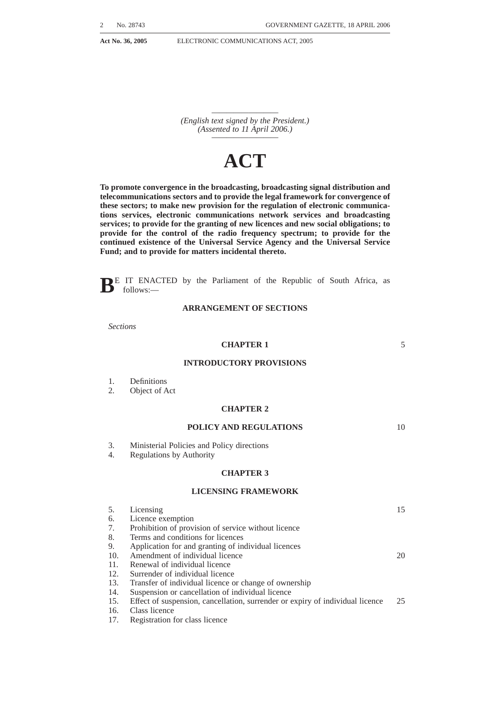*————————— (English text signed by the President.) (Assented to 11 April 2006.) —————————*

# **ACT**

**To promote convergence in the broadcasting, broadcasting signal distribution and telecommunications sectors and to provide the legal framework for convergence of these sectors; to make new provision for the regulation of electronic communications services, electronic communications network services and broadcasting services; to provide for the granting of new licences and new social obligations; to provide for the control of the radio frequency spectrum; to provide for the continued existence of the Universal Service Agency and the Universal Service Fund; and to provide for matters incidental thereto.**

**BE IT ENACTED** by the Parliament of the Republic of South Africa, as follows:—

# **ARRANGEMENT OF SECTIONS**

*Sections*

# **CHAPTER 1**

5

10

# **INTRODUCTORY PROVISIONS**

- 1. Definitions
- 2. Object of Act

# **CHAPTER 2**

# **POLICY AND REGULATIONS**

- 3. Ministerial Policies and Policy directions<br>4. Regulations by Authority
- Regulations by Authority

# **CHAPTER 3**

# **LICENSING FRAMEWORK**

| 5.  | Licensing                                                                     | 15 |
|-----|-------------------------------------------------------------------------------|----|
| 6.  | Licence exemption                                                             |    |
| 7.  | Prohibition of provision of service without licence                           |    |
| 8.  | Terms and conditions for licences                                             |    |
| 9.  | Application for and granting of individual licences                           |    |
| 10. | Amendment of individual licence                                               | 20 |
| 11. | Renewal of individual licence                                                 |    |
| 12. | Surrender of individual licence                                               |    |
| 13. | Transfer of individual licence or change of ownership                         |    |
| 14. | Suspension or cancellation of individual licence                              |    |
| 15. | Effect of suspension, cancellation, surrender or expiry of individual licence | 25 |
| 16. | Class licence                                                                 |    |
| 17. | Registration for class licence                                                |    |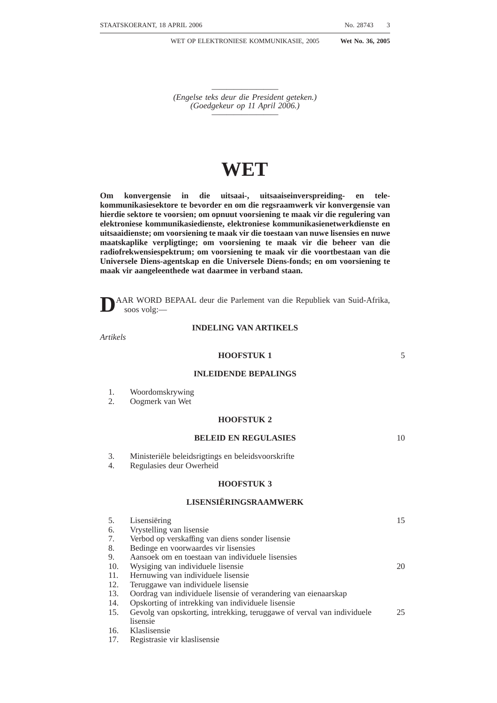- 18. Refusal of registration for class licence
- 19. Renewal of class licence

# **CHAPTER 4**

# **ELECTRONIC COMMUNICATIONS NETWORKS AND COMMUNICATIONS FACILITIES** 20. Application 21. Guidelines for rapid deployment of electronic communications facilities 22. Entry upon and construction of lines across land and waterways 23. Underground pipes for purposes of electronic communications network service 24. Pipes under streets 25. Removal of electronic communications network facilities 26. Fences 27. Trees obstructing electronic communications network facilities 28. Height or depth of electronic communications network facilities 29. Electrical works **CHAPTER 5 RADIO FREQUENCY SPECTRUM** 30. Control of radio frequency spectrum 31. Radio frequency spectrum licence 32. Control of possession of radio apparatus 33. Frequency co-ordination<br>34. Radio frequency plan Radio frequency plan **CHAPTER 6** 10 15 20

#### **TECHNICAL EQUIPMENT AND STANDARDS**

- 35. Approval of type<br>36. Technical standar
- Technical standards for equipment and electronic communicationS facilities

# **CHAPTER 7**

#### **INTERCONNECTION**

| 37. Obligation to interconnect           |
|------------------------------------------|
| 38. Interconnection regulations          |
| 39. Filing of interconnection agreements |

- 40. Notification of interconnection disputes
- 
- 41. Interconnection pricing principles<br>42. Carrier pre-selection
- Carrier pre-selection

# **CHAPTER 8**

# **ELECTRONIC COMMUNICATIONS FACILITIES LEASING**

- 43. Obligation to lease electronic communications facilities
- 44. Electronic communications facilities leasing regulations 45. Filing of electronic communications facilities leasing age
- 45. Filing of electronic communications facilities leasing agreements
- 46. Notification of electronic communications facilities leasing agreement dis-40putes
- 47. Facilities leasing pricing principles

25

30

35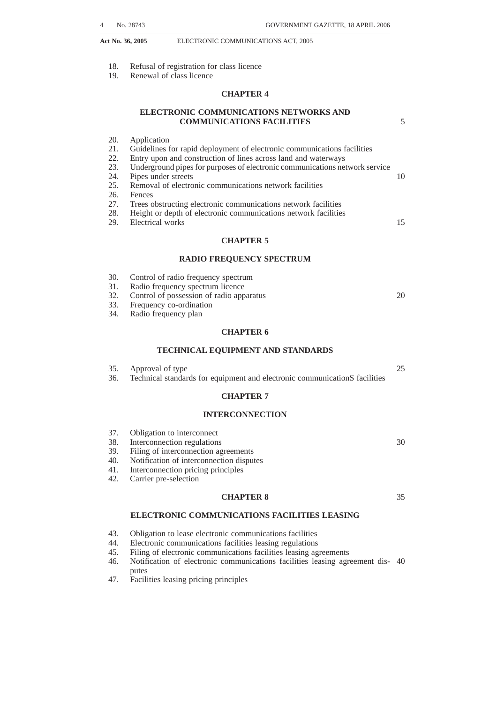# **CHAPTER 9**

# **BROADCASTING SERVICES**

| 48. | Application                                                                                          |    |
|-----|------------------------------------------------------------------------------------------------------|----|
| 49. | Public broadcasting service licences                                                                 |    |
| 50. | Community broadcasting service licences                                                              | 5  |
| 51. | Commercial broadcasting service licences                                                             |    |
| 52. | Prohibition on granting of broadcasting service licence to party-political<br>entities               |    |
| 53. | Record of programmes broadcast by broadcasting service licensees                                     |    |
| 54. | Code of conduct for broadcasting service licensees                                                   | 10 |
| 55. | Control over advertisements                                                                          |    |
| 56. | Prohibition on broadcasting of party election broadcasts and political                               |    |
|     | advertisements except in certain circumstances                                                       |    |
| 57. | Broadcasting of party election broadcasts on public broadcasting services                            |    |
| 58. | Political advertising on broadcasting services                                                       | 15 |
| 59. | Equitable treatment of political parties by broadcasting service licensees<br>during election period |    |
| 60. | Restriction on subscription broadcasting services                                                    |    |
| 61. | Preservation of South African programming                                                            |    |
| 62. | Broadcasting signal distribution objectives                                                          | 20 |
| 63. | Self provisioning by broadcasting service licensees                                                  |    |
| 64. | Limitations on foreign control of commercial broadcasting services                                   |    |
| 65. | Limitations on control of commercial broadcasting services                                           |    |
| 66. | Limitations on cross-media control of commercial broadcasting services                               |    |
|     | <b>CHAPTER 10</b>                                                                                    | 25 |

# **COMPETITION MATTERS**

67. Competition matters

# **CHAPTER 11**

# **NUMBERING**

| 68. | Numbering plans and number portability |  |  |
|-----|----------------------------------------|--|--|
|-----|----------------------------------------|--|--|

# **CHAPTER 12**

# **CONSUMER ISSUES**

- 69. Code of conduct, end-user and subscriber service charter 70. People with disabilities
- 
- 70. People with disabilities<br>71. Consumer Advisory Par Consumer Advisory Panel

# **CHAPTER 13**

# **GENERAL**

| 72. | Establishment of Electronic Communications and ICT Museum, information    |    |
|-----|---------------------------------------------------------------------------|----|
|     | communication technology for government and other related services        |    |
| 73. | E-rate                                                                    | 40 |
| 74. | Offences and penalities                                                   |    |
| 75. | Directory services                                                        |    |
| 76. | Establishment of public emergency communications centres                  |    |
| 77. | Duties of 112 Emergency Centres and licensees                             |    |
| 78. | National Public emergency number                                          | 45 |
| 79. | Standards, capabilities and operating procedures of 112 Emergency Centres |    |
|     |                                                                           |    |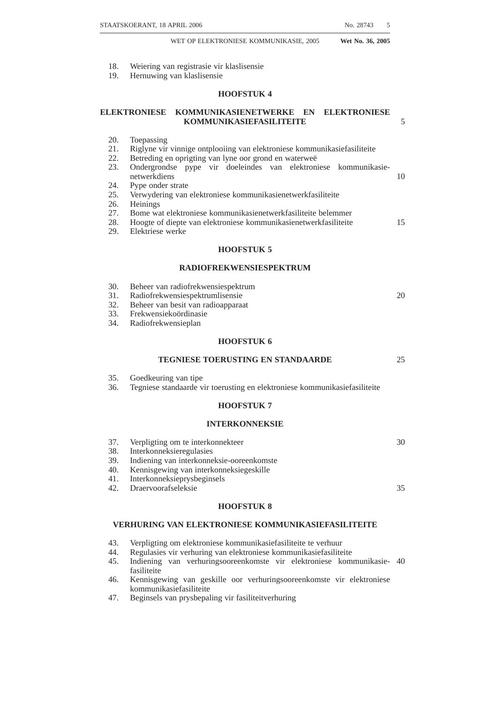# **CHAPTER 14**

# **UNIVERSAL SERVICE AND ACCESS AGENCY OF SOUTH AFRICA**

|     | <b>CHAPTER 15</b>                                            | 15 |
|-----|--------------------------------------------------------------|----|
| 91. | Accounts of Universal Service and Access Fund                |    |
| 90. | Competitive tender for universal service and access projects |    |
| 89. | Contributions to Universal Service and Access Fund           |    |
| 88. | Application of money in Universal Service and Access Fund    |    |
| 87. | Continued existence and control of Universal Service Fund    | 10 |
| 86. | Annual and other reports                                     |    |
| 85. | Banking account                                              |    |
| 84. | Financing of Agency                                          |    |
| 83. | CEO and staff of Agency                                      |    |
| 82. | Functions of Agency                                          | 5  |
| 81. | <b>Functions of Board</b>                                    |    |
| 80. | Continued existence of Universal Service Agency              |    |

# **TRANSITIONAL PROVISIONS**

- 92. Existing licences
- 93. Licence conversion
- 94. Conflicts
- 95. Existing regulations
- 96. Application of Act
- 97. Repeal and amendment of laws
- 98. Short title and commencement

# **SCHEDULE**

# **CHAPTER 1**

25

20

# **INTRODUCTORY PROVISIONS**

#### **Definitions**

| 1. In this Act, unless the context indicates otherwise—                          |    |
|----------------------------------------------------------------------------------|----|
| "affiliate" means with respect to any person, any other person that, directly or |    |
| indirectly—                                                                      | 30 |
| $(a)$ controls the first mentioned person;                                       |    |
| $(b)$ is controlled by the first mentioned person; or                            |    |
| $(c)$ is under common control, with the first mentioned person;                  |    |
| "Agency" means the Universal Service and Access Agency of South Africa           |    |
| established by section 80;                                                       | 35 |
| "Authority" means the Independent Communications Authority of South Africa       |    |
| established by section 3 of the Independent Communications Authority of South    |    |
| Africa Act, 2000 (Act No. 13 of 2000);                                           |    |
| "broadcasting" means any form of unidirectional electronic communications        |    |
| intended for reception by-                                                       | 40 |
| $(a)$ the public;                                                                |    |
| $(b)$ sections of the public; or                                                 |    |
| $(c)$ subscribers to any broadcasting service,                                   |    |
| whether conveyed by means of radio frequency spectrum or any electronic          |    |
| communications network or any combination thereof, and "broadcast" is 45         |    |
| construed accordingly;                                                           |    |
| "Broadcasting Act" means the Broadcasting Act, 1999 (Act No. 4 of 1999);         |    |
| "broadcasting service" means any service which consists of broadcasting and      |    |
| which service is conveyed by means of an electronic communications network, but  |    |
| does not include—                                                                | 50 |
|                                                                                  |    |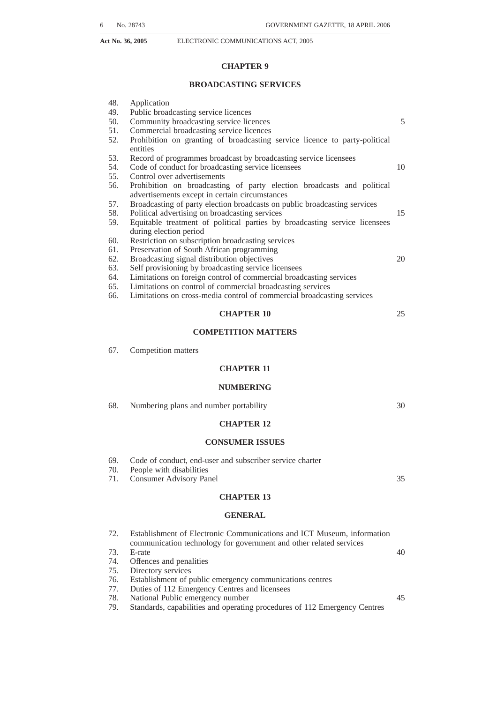- *(a)* a service which provides no more than data or text, whether with or without associated still images;
- *(b)* a service in which the provision of audio-visual material or audio material is incidental to the provision of that service, or
- *(c)* a service or a class of service, which the Authority may prescribe as not falling within this definition; 5

''**broadcasting service licensee**'' means a person to whom a broadcasting service licence has been granted in terms of this Act;

''**broadcasting service radio frequency bands**'' means that part of the electromagnetic radio frequency spectrum which is allocated for the use of broadcasting 10 services by the Authority, taking into account the ITU table of allotment, in so far as such allocation has been agreed to or approved by the Republic;

''**broadcasting service licence**'' means a licence granted by the Authority to a person in terms of section 5(2)*(b)* or section 5(4)*(b)*;

"**broadcasting signal distribution**" means the process whereby the output signal 15 of a broadcasting service is taken from the point of origin, being the point where such signal is made available in its final content format, from where it is conveyed, to any broadcast target area, by means of electronic communications and includes multi-channel distribution;

"carrier pre-selection" means the ability of a subscriber of an electronic 20 communications service to access and use the electronic communications services of another electronic communications service licensee or person exempted as provided for in section 6;

''**channel**''means a single defined programming service of a broadcasting services licensee: 25

"class licence" means a licence granted by the Authority to a person in terms of section 5(4);

''**class licensee**''means a person to whom a class licence has been granted in terms of this Act;

"**commercial broadcasting**" means a broadcasting service operating for profit or 30 as part of a profit entity but excludes any public broadcasting service;

"**common carrier**" means a person licensed to provide an electronic communications network service who is obliged to provide signal distribution for broadcasting services on a non-discriminatory and non-exclusive basis;

"community" includes a geographically founded community or any group of 35 persons or sector of the public having a specific, ascertainable common interest; 'community broadcasting service" means a broadcasting service which-

- *(a)* is fully controlled by a non-profit entity and carried on for non-profit purposes;
- *(b)* serves a particular community;
- *(c)* encourages members of the community served by it or persons associated with or promoting the interests of such community, to participate in the selection and provision of programmes to be broadcast in the course of such broadcasting service; and
- *(d)* may be funded by donations, grants, sponsorships or advertising or 45 membership fees, or by any combination of the aforementioned;

''**Competition Act**'' means the Competition Act, 1998 (Act No. 89 of 1998); ''**Complaints and Compliance Committee**'' means the committee established by

the Authority in terms of section 17A of the ICASA Act; "days" means working days unless otherwise specified;

''**Director-General**'' means the Director-General of the Department of Communications;

''**dominant**'' has the same meaning given to that term in section 7 of the Competition Act;

"**election**" means an election as defined in section 1 of the Electoral Act, 1998 (Act 55 No. 73 of 1998);

''**election period**'' means the period commencing with the date on which the election day is proclaimed and ending on the day immediately following upon the day on which candidates of any of the political parties are declared elected;

"electronic communications" means the emission, transmission or reception of 60 information, including without limitation, voice, sound, data, text, video, animation, visual images, moving images and pictures, signals or a combination thereof by means of magnetism, radio or other electromagnetic waves, optical, electro-

40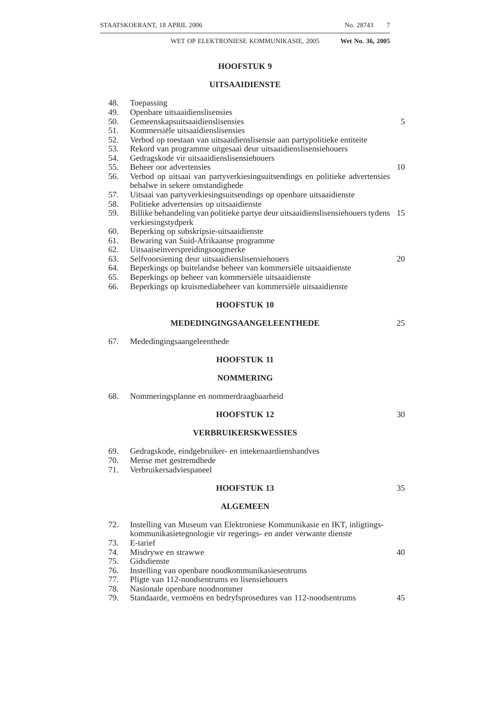magnetic systems or any agency of a like nature, whether with or without the aid of tangible conduct, but does not include content service;

- ''**electronic communications facility**'' includes but is not limited to any— *(a)* wire; *(b)* cable (including undersea and land-based fibre optic cables); *(c)* antenna;
- *(d)* mast;
- *(e)* satellite transponder;
- *(f)* circuit;
- *(g)* cable landing station;
- *(h)* international gateway;
- *(i)* earth station; and
- *(j)* radio apparatus or other thing,

which can be used for, or in connection with, electronic communications, including where applicable— 15

- (i) collocation space;
- (ii) monitoring equipment;
- (iii) space on or within poles, ducts, cable trays, manholes, hand holds and conduits; and
- (iv) associated support systems, sub-systems and services, ancillary to such 20 electronic communications facilities or otherwise necessary for controlling connectivity of the various electronic communications facilities for proper functionality, control, integration and utilisation of such electronic communications facilities;

"**electronic communications network**" means any system of electronic commu- 25 nications facilities (excluding subscriber equipment), including without limitation—

- *(a)* satellite systems;
- *(b)* fixed systems (circuit- and packet-switched);
- *(c)* mobile systems;
- *(d)* fibre optic cables (undersea and land-based);
- *(e)* electricity cable systems (to the extent used for electronic communications services); and
- *(f)* other transmission systems, used for conveyance of electronic communications;

''**electronic communications network service**'' means a service whereby a person makes available an electronic communications network, whether by sale, lease or otherwise—

- *(a)* for that person's own use for the provision of an electronic communications service or broadcasting service;
- *(b)* to another person for that other person's use in the provision of an electronic communications service or broadcasting service; or
- for resale to an electronic communications service licensee, broadcasting service licensee or any other service contemplated by this Act,

and ''network services'' is construed accordingly; ''**electronic communications network service licensee**''means a person to whom an electronic communications network service licence has been granted in terms of section  $5(2)$  or  $5(4)$ ;

"electronic communications service" means any service provided to the public, sections of the public, the State, or the subscribers to such service, which consists 50 wholly or mainly of the conveyance by any means of electronic communications over an electronic communications network, but excludes broadcasting services; ''**electronic communications service licensee**'' means a person whom an electronic communications services licence has been granted in terms of section 5(2);

''**emergency organisation**'' means, in respect of any locality, the relevant police, fire, ambulance or traffic authority or coast guard services for that locality and any other similar organisation providing assistance to the public in emergencies;

''**end-user** means a subscriber and persons who use the services of a licensed service referred to in Chapter 3;

''**essential facility**'' means an electronic communications facility or combination of electronic communications or other facilities that is exclusively or predominantly provided by a single or limited number of licensees and cannot feasibly

55

60

35

40

45

30

5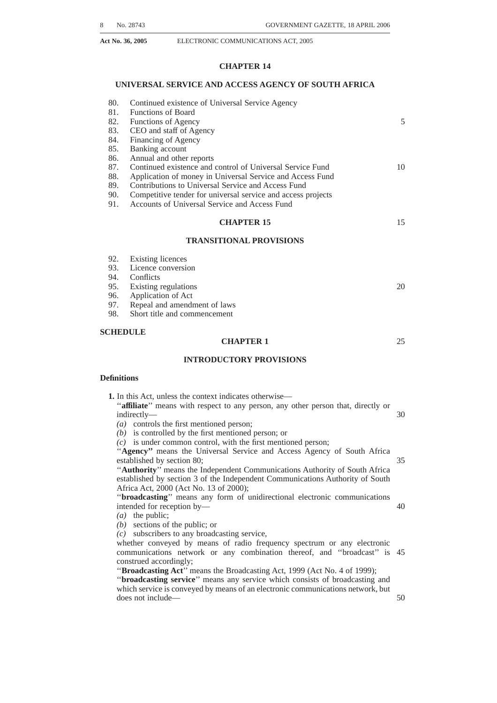(whether economically, environmentally or technically) be substituted or duplicated in order to provide a service in terms of this Act;

''**existing licences**'' means the licences granted to persons prior to the coming into force of this Act in accordance with the provisions of the Telecommunications Act, the IBA Act or the Broadcasting Act;

"financial interest" means an interest that may not have voting rights attached to it but which gives the person or entity an equity or debt interest directly through shares or other securities or indirectly through an agreement giving it—

*(a)* the power to control the licensee; or

*(b)* an effective say over the affairs of the licensee;

''**free-to-air service**'' means a service which is broadcast and capable of being received without payment of subscription fees;

''**harmful interference**'' means interference which—

- *(a)* seriously degrades, obstructs, or repeatedly interrupts an electronic communication or broadcasting service operating in accordance with ITU Radio 15 Regulations; or
- *(b)* is not within CISPR interference level limits as agreed to or adopted by the Republic;

''**IBAAct**''means the Independent Broadcasting Authority Act, 1993 (Act No. 153 of 1993); 20

''**ICASA Act**'' means the Independent Communications Authority of South Africa Act, 2000 (Act No. 13 of 2000);

''**ICT Charter**'' means the Black Economic Empowerment Charter for the ICT sector;

"**individual licence**" means a licence that is granted by the Authority to a person 25 in terms of section 5(2);

''**interconnection**''means the physical or logical linking of two or more electronic communications networks, electronic communications services, broadcasting services, services provided pursuant to a licence exemption or any combination thereof;

''**interference**'' means the effect of unwanted energy due to one or a combination of emissions, radiations, or inductions upon reception in a radio communication system, manifested by any—

*(a)* performance degradation;

*(b)* misinterpretation; or

*(c)* loss of information,

which could be extracted in the absence of such unwanted energy;

''**ICT**'' means information, communications and technology;

"ITU" means International Telecommunications Union;

"licensee" means a person issued with a licence to provide services in terms of 40 Chapter 3 of this Act;

''**licence exemption**'' means an exemption granted by the Authority in terms of section 6 of this Act;

''**licence area**'' means the geographical area specified in a licence;

"market power" has the same meaning as that term is defined in the Competition 45 Act;

"**Minister**" means the Minister responsible for Communications;

''**multi-channel distribution service**'' means a broadcasting signal distribution service that provides broadcasting signal distribution for more than one channel at the same time on the same signal, and ''multi-channel distributor'' is construed 50 accordingly;

''**number portability**'' means the ability of subscribers to an electronic communications service or persons providing a service pursuant to a licence exemption, to retain their existing numbers without impairment of quality, reliability, or convenience when switching from one electronic communications service licensee 55 to another electronic communications service licensee;

"party election broadcast" means a direct address or message broadcast free of charge on a broadcasting service and which is intended or calculated to advance the interests of any particular political party;

"**person**" means a natural or a juristic person;

''**political advertisement**'' means an advertisement broadcast on a broadcasting service which is intended or calculated to advance the interests of any particular political party, for which advertisement the relevant broadcasting service licensee

60

35

30

5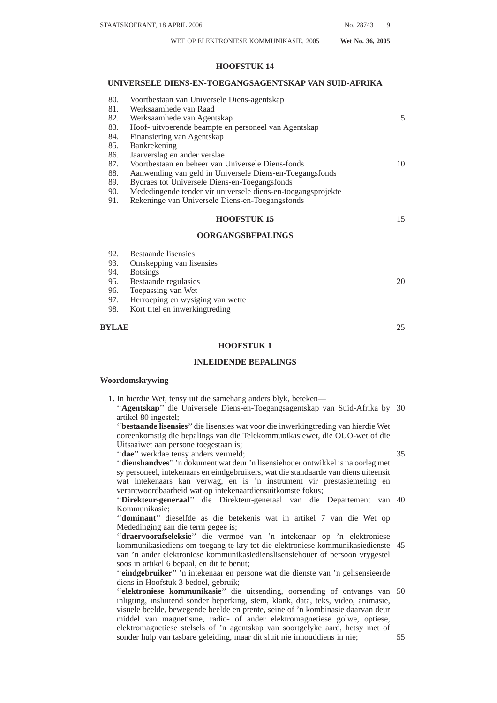has received or is to receive, directly or indirectly, any money or other consideration;

"**prescribed**" means prescribed by regulation made by the Authority in terms of this Act or the related legislation;

"private electronic communications network" means an electronic communications network used primarily for providing electronic communications for the owner's own use; 5

''**public broadcasting service**'' means any broadcasting service provided by the South African Broadcasting Corporation or other public state-owned enterprise; "radio" means an electromagnetic wave which is propagated in space without 10 artificial guide and having a frequency below 3000 GHz;

''**radio apparatus**''means an electronic communications facility which is capable of transmitting or receiving any signal by radio, excluding subscriber equipment, if such subscriber equipment is used solely for that purpose;

"radio frequency band" means a specified range of frequencies for use by one or 15 more persons authorised to use the band;

''**radio frequency band for security services**''means one or more specified range of frequencies for use by one or more agencies classified as a security service;

"**radio frequency plan**" means a national plan that includes, but is not limited to—

- *(a)* a table of frequency allocations for all bands below 3000 GHz taking into account the ITU table of allotments, in so far as such allotments have been adopted and agreed upon by the Republic, which may include designations of certain utilisations; and
- *(b)* a plan, as applicable, for the migration of systems and equipment of existing 25 users within specific radio frequency bands, including radio frequency bands for security services, to different frequency bands;

''**radio frequency spectrum**'' means the portion of the electromagnetic spectrum used as a transmission medium for electronic communications;

"radio frequency spectrum licence" means a licence authorising the holder to 30 use the radio frequency spectrum;

"radio station" means one or more transmitters or receivers or a combination of transmitters and receivers, including the accessory equipment, necessary at one location for carrying an electronic communications service or any electronic communications authorised by the authority;

35

45

20

''**registered political party**'', for the purposes of Chapter 9, means— *(a)* any registered party defined in section 1 of the Electoral Act, 1998; or

*(b)* any alliance of such registered parties, as the case may be, which, for the purpose of any particular election, has, before the commencement of the relevant election period, submitted its list of candidates for the National 40 Assembly or any other legislature contemplated in the Constitution;

''**related legislation**'' means the Broadcasting Act and the Independent Communications Authority of South Africa Act and any regulations, determinations and guidelines made in terms of such legislation and not specifically repealed by this Act;

''**Republic**'' means the Republic of South Africa, its possessions, air space and territorial waters;

''**reseller**'' means a person who—

- *(a)* acquires, through lease or other commercial arrangement, by any electronic communications network service or electronic communications service; and 50
- *(b)* makes such electronic communications network service or electronic communications service available to subscribers for a fee,

whether or not such electronic communications network services or electronic communications services made available by the reseller—

- (i) are identical to the electronic communications network service or electronic 55 communications service acquired;
- (ii) are packaged, bundled or otherwise re-grouped to form new or varied service offerings;
- (iii) are combined, linked or used in connection with electronic communications networks or electronic communications facilities owned by the reseller; or 60
- (iv) add value to such electronic communications network services or electronic communications services,
- and ''resale'' is construed accordingly;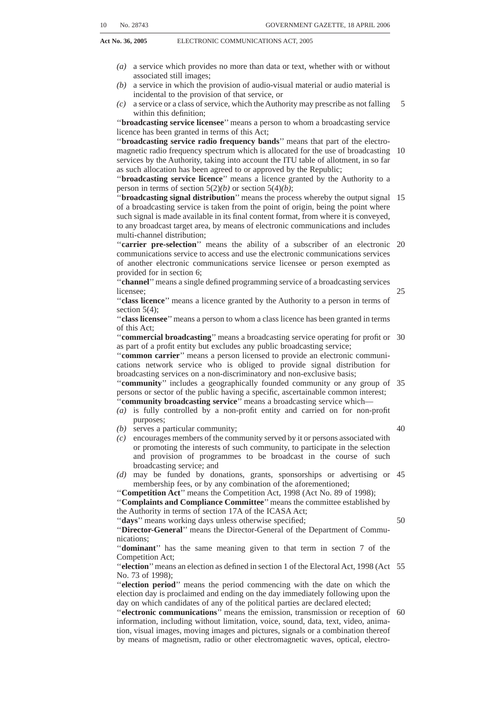''**retail**''means the sale, lease or otherwise making available of services offered by licensees to subscribers;

''**security services**'' means the security services of the Republic established in terms of Chapter 11 of the Constitution;

5

"**Sentech Act**" means the Sentech Act, 1996 (Act No. 63 of 1996); "**service charter**" means a document, developed by a licensee after consultation with its staff, subscribers and end-users which sets out the standards of service subscribers can expect and is a performance measurement and accountability tool that focuses on subscriber service outcomes;

"SMME" means a small enterprise defined in section 1 of the National Small 10 Enterprise Act, 1996 (Act No. 102 of 1996);

"SMS" means short messaging service whereby text is sent over an electronic communications network;

''**sound broadcasting service**'' means a broadcasting service consisting of the transmission of audio signals and the reproducing of the signals in the form of 15 sounds, but not also in the form of images or other visible signs or signals;

''**subscriber**'' means a person who lawfully accesses, uses or receives a retail service of a licensee referred to in Chapter 3 for a fee or the retail services of a person providing a service pursuant to a licence exemption;

"subscriber equipment" means any device which is used by a subscriber to 20 access, use or receive the services of a licensee referred to in Chapter 3 or the services of a person providing a service pursuant to a licence exemption, including without limitation, a telephone, regardless of technology such as IP (internet protocol) phones, mobile phones, publicly available phones; a handset, a computing device such as a personal digital assistant or a personal computer; a 25 device for receiving a sound radio broadcasting service and a television; or other device or equipment, and any associated software;

''**subscription broadcasting service**'' means a broadcasting service provided to a subscriber upon payment of a fee;

"Telecommunications Act" means the Telecommunications Act, 1996 (Act No. 30) 103 of 1996);

''**television broadcasting service**'' means a broadcasting service consisting of the transmission of visual images or other visible signals with or without accompanying sounds, where the visual images are such that their sequences are seen as moving pictures;

35

"transition period" means the period or periods, referred to in Chapter 15 for, among other things, converting the existing licences to the licensing structure set out in this Act;

"this Act" includes the Schedule, regulations, orders, determinations and guidelines; 40

''**under-serviced area**'' means the geographically identified areas defined by the Authority in accordance with this Act;

''**universal access**''means universal access to electronic communications network services, electronic communications services and broadcasting services as determined from time to time in terms of Chapter 14;

''**universal service**'' means the universal provision of electronic communications services and broadcasting services as determined from time to time in terms of Chapter 14;

''**vertical relationship**'' means vertical relationship as defined in section 1 of the Competition Act;

"wholesale" means the sale, lease or otherwise making available an electronic communications network service or an electronic communications service by an electronic communications network service licensee or an electronic communications service licensee, to another licensee or person providing a service pursuant to a licence exemption.

# **Object of Act**

**2.** The primary object of this Act is to provide for the regulation of electronic communications in the Republic in the public interest and for that purpose to—

50

55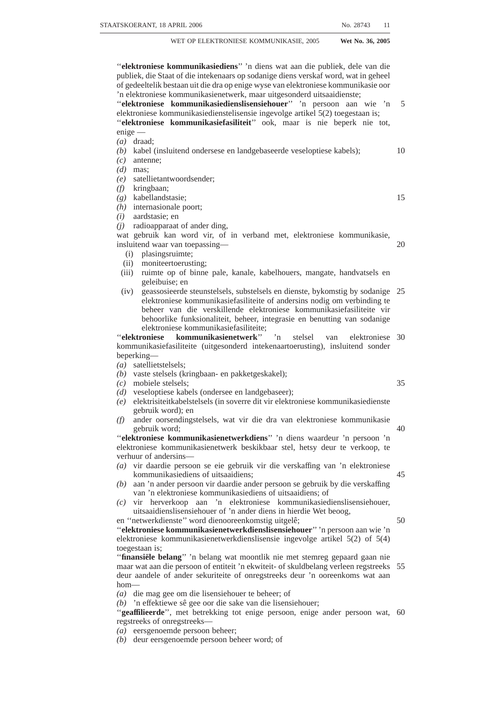- *(a)* promote and facilitate the convergence of telecommunications, broadcasting, information technologies and other services contemplated in this Act;
- *(b)* promote and facilitate the development of interoperable and interconnected electronic networks, the provision of the services contemplated in the Act and to create a technologically neutral licencing framework;
- *(c)* promote the universal provision of electronic communications networks and electronic communications services and connectivity for all;
- *(d)* encourage investment and innovation in the communications sector;
- *(e)* ensure efficient use of the radio frequency spectrum;
- *(f)* promote competition within the ICT sector;

10

35

40

45

50

- *(g)* promote an environment of open, fair and non-discriminatory access to broadcasting services, electronic communication networks and to electronic communications services;
- *(h)* promote the empowerment of historically disadvantaged persons, including Black people, with particular attention to the needs of women, opportunities 15 for youth and challenges for people with disabilities;
- encourage research and development within the ICT sector;
- *(j)* provide a clear allocation of roles and assignment of tasks between policy formulation and regulation within the ICT sector;
- *(k)* ensure that broadcasting services and electronic communications services, 20 viewed collectively, are provided by persons or groups of persons from a diverse range of communities in the Republic;
- *(l)* provide assistance and support towards human resource development within the ICT sector;
- *(m)* ensure the provision of a variety of quality electronic communications 25 services at reasonable prices;
- *(n)* promote the interests of consumers with regard to the price, quality and the variety of electronic communications services;
- *(o)* subject to the provisions of this Act, promote, facilitate and harmonise the achievement of the objects of the related legislation; 30
- *(p)* develop and promote SMMEs and cooperatives;
- *(q)* ensure information security and network reliability;
- *(r)* promote the development of public, commercial and community broadcasting services which are responsive to the needs of the public;
- *(s)* ensure that broadcasting services, viewed collectively—
	- (i) promote the provision and development of a diverse range of sound and television broadcasting services on a national, regional and local level, that cater for all language and cultural groups and provide entertainment, education and information;
		- (ii) provide for regular—
			- *(aa)* news services;
				- *(bb)* actuality programmes on matters of public interest;
				- *(cc)* programmes on political issues of public interest; and
				- *(dd)* programmes on matters of international, national, regional and local significance;
	- (iii) cater for a broad range of services and specifically for the programming needs of children, women, the youth and the disabled;
- *(t)* protect the integrity and viability of public broadcasting services;
- $(u)$  ensure that, in the provision of public broadcasting services-
	- (i) the needs of language, cultural and religious groups;
	- (ii) the needs of the constituent regions of the Republic and local communities; and
	- (iii) the need for educational programmes, are duly taken into account;
- *(v)* ensure that commercial and community broadcasting licences, viewed collectively, are controlled by persons or groups of persons from a diverse 55range of communities in the Republic;
- *(w)* ensure that broadcasting services are effectively controlled by South Africans;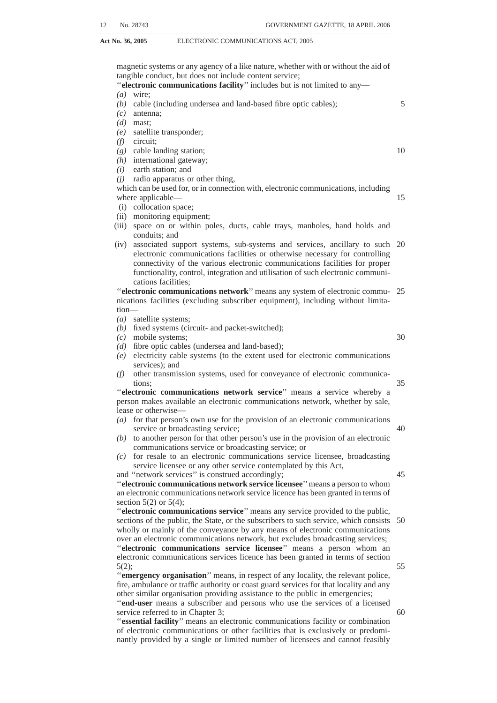5

20

**Act No. 36, 2005** ELECTRONIC COMMUNICATIONS ACT, 2005

- *(x)* provide access to broadcasting signal distribution for broadcasting and encourage the development of multi-channel distribution systems in the broadcasting framework;
- *(y)* refrain from undue interference in the commercial activities of licencees while taking into account the electronic communication needs of the public;
- *(z)* promote stability in the ICT sector.

#### **CHAPTER 2**

# **POLICY AND REGULATIONS**

#### **Ministerial Policies and Policy directions**

**3.** (1) The Minister may make policies on matters of national policy applicable to the 10 ICT sector, consistent with the objects of this Act and of the related legislation in relation  $t_0$ 

- *(a)* the radio frequency spectrum;
- *(b)* universal service and access policy;
- *(c)* the Republic's obligations and undertakings under bilateral, multilateral or 15 international treaties and conventions, including technical standards and frequency matters;
- *(d)* the application of new technologies pertaining to electronic communications services, broadcasting services and electronic communications network services;
- *(e)* guidelines for the determination by the Authority of licence fees associated with the award of the licences contemplated in Chapter 3, including incentives that may apply to individual licences where the applicant makes binding commitments to construct electronic communications networks and provide electronic communications services in rural and under-serviced areas of the 25 Republic;
- *(f)* the promotion of universal service and electronic communications services in under-serviced areas;
- *(g)* mechanisms to promote the participation of SMME's in the ICT sector;
- *(h)* the control, direction and role of state-owned enterprises subject to the 30 Broadcasting Act and the Companies Act, 1973 (Act No. 61 of 1973); and
- *(i)* any other policy which may be necessary for the application of this Act or the related legislation.

(2) The Minister may, subject to subsections (3) and (5), issue to the Authority policy directions consistent with the objects of this Act and of the related legislation in relation 35 to—

- *(a)* the undertaking of an inquiry in terms of section 4B of the ICASAAct on any matter within the Authority's jurisdiction and the submission of reports to the Minister in respect of such matter;
- *(b)* the determination of priorities for the development of electronic communica-40 tions networks and electronic communications services or any other service contemplated in Chapter 3;
- *(c)* the consideration of any matter within the Authority's jurisdiction reasonably placed before it by the Minister for urgent consideration.

(3) No policy made by the Minister in terms of subsection (1) or policy direction 45 issued by the Minister in terms of subsection (2) may be made or issued regarding the granting, amendment, transfer, renewal, suspension or revocation of a licence, except as permitted in terms of this Act.

(4) The Authority, in exercising its powers and performing its duties in terms of this Act and the related legislation must consider policies made by the Minister in terms of 50 subsection (1) and policy directions issued by the Minister in terms of subsection (2).

- (5) When issuing a policy direction under subsection (2) the Minister—
	- *(a)* must consult the Authority; and
	- *(b)* must, in order to obtain the views of interested persons, publish the text of such policy direction by notice in the *Gazette-*55
		- (i) declaring his or her intention to issue the policy direction;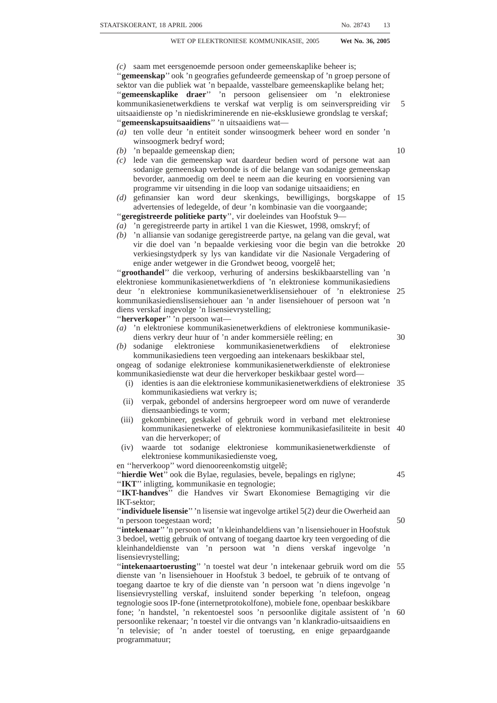- (ii) inviting interested persons to submit written submissions in relation to the policy direction in the manner specified in such notice in not less than 30 days from the date of the notice;
- *(c)* must publish a final version of the policy direction in the *Gazette*.

(6) The provisions of subsection (5) do not apply in respect of any amendment by the Minister of a policy direction contemplated in subsection (2) as a result of representations received and reviewed by him or her after consultation or publication in terms of subsection (5). 5

(7) Subject to subsection (8), a policy direction issued under subsection (2) may be amended, withdrawn or substituted by the Minister.

(8) Except in the case of an amendment contemplated in subsection (6), the provisions of subsection (3) and (5) apply, with the necessary changes, in relation to any such amendment or substitution of a policy direction under subsection (7).

(9) The Authority may make recommendations to the Minister on policy matters in accordance with the objects of this Act.

#### **Regulations by Authority**

**4.** (1) The Authority may make regulations with regard to any matter which in terms of this Act or the related legislation must or may be prescribed, governed or determined by regulation. Without derogating from the generality of this subsection, the Authority may make regulations with regard to—

- *(a)* any technical matter necessary or expedient for the regulation of the services identified in Chapter 3;
- *(b)* any matter of procedure or form which may be necessary or expedient to prescribe for the purposes of this Act or the related legislation;
- *(c)* the payment to the Authority of charges and fees in respect of— (i) the supply by the Authority of facilities for the inspection, examination
	- or copying of material under the control of the Authority;
	- (ii) the transcription of material from one medium to another;
	- (iii) the supply of copies, transcripts and reproductions in whatsoever form and the certification of copies; 30
	- (iv) the granting of licences in terms of this Act or the related legislation;
	- (v) applications for and the grant, amendment, renewal, transfer or disposal of licences or any interest in a licence in terms of this Act or the related legislation; and
- *(d)* generally, the control of the radio frequency spectrum, radio activities and the 35 use of radio apparatus.

(2) Different regulations may be made in respect of different—

- *(a)* licences granted in terms of this Act; and
- *(b)* uses of radio frequency spectrum.

(3) Any regulation made by the Authority in terms of subsection (1) may declare a 40 contravention of that regulation to be an offence, provided that any such regulation must specify the penalty that may be imposed in respect of such contravention taking into account section 17H of the ICASA Act.

(4) The Authority must, not less than thirty (30) days before any regulation is made, publish such regulation in the *Gazette*, together with a notice—

*(a)* declaring the Authority's intention to make that regulation; and

*(b)* inviting interested parties to make written representations on the regulation.

(5) The Authority must, not less than 30 days prior to making regulations, inform the Minister in writing of its intention and the subject matter of the regulations. (6) The Authority may conduct public hearings in respect of a draft regulation.

(7) The provisions of subsection (4) do not apply with regard to—

45

50

20

25

15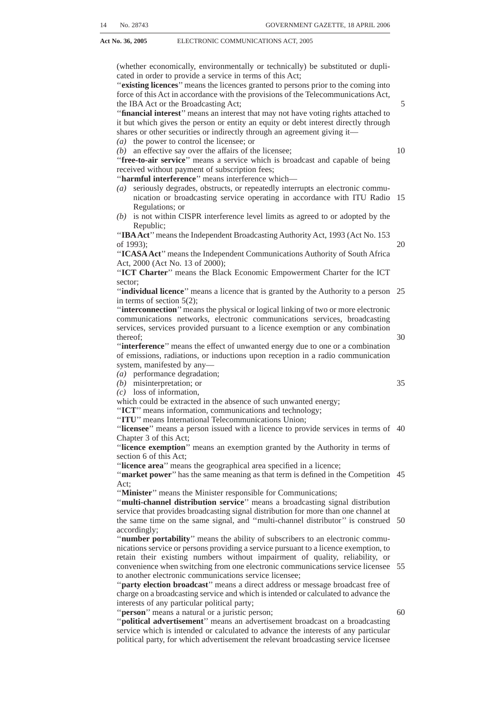- *(a)* any regulation made by the Authority which, after the provisions of that subsection have been complied with, has been amended after receipt of comments or representations received in terms of a notice issued under that subsection; or
- *(b)* any regulation which the public interest requires should be made without delay. 5

#### **CHAPTER 3**

#### **LICENSING FRAMEWORK**

#### **Licensing**

**5.** (1) The Authority may, in accordance with this Chapter and the regulations 10 prescribed hereunder, grant individual and class licences.

(2) The Authority may, upon application and due consideration in the prescribed manner, grant individual licences for the following:

- *(a)* subject to subsection (6), electronic communications network services;
- *(b)* broadcasting services; and
- *(c)* electronic communications services.

(3) Electronic communications network services, broadcasting services and electronic communications services that require an individual licence, include, but are not limited to—

- *(a)* electronic communications networks of provincial and national scope 20 operated for commercial purposes;
- *(b)* commercial broadcasting and public broadcasting of national and regional scope whether provided free-to-air or by subscription;
- *(c)* electronic communications services consisting of voice telephony utilising numbers from the national numbering plan; 25
- *(d)* any electronic communications network service, broadcasting service or electronic communications service where a state entity (directly or indirectly) holds an ownership interest of greater than twenty-five (25%) percent of the share capital of the person providing such service; and
- *(e)* such other services as may be prescribed that the Authority finds have 30 significant impact on socio-economic development.

(4) The Authority may, upon registration in the prescribed manner, grant class licences for the following:

- *(a)* electronic communications network services;
- *(b)* broadcasting services; and
- *(c)* electronic communications services.

(5) Electronic communications network services, broadcasting services and electronic communications services that require a class licence, include, but are not limited to—

- *(a)* electronic communications networks of district municipality or local munici-40 pal scope operated for commercial purposes;
- *(b)* community broadcasting and low power services whether provided free-to-air or by subscription;
- *(c)* such other services as may be prescribed, that the Authority finds do not have significant impact on socio-economic development.

(6) In consideration of the implementation of the managed liberalisation policies, the Authority may only accept and consider applications for individual electronic communications network services licences in terms of a policy direction issued by the Minister in terms of section 3.

(7) The Authority must prescribe regulations—

*(a)* setting out—

- (i) the process and procedures for applying for or registering, amending, transfering and renewing one or more of the licences specified in subsections (2) and (4);
- (ii) the documentation that applicants or registrants in the case of class 55licences, must include with their applications or registrations;
- (iii) the licence fees applicable to the licences specified in subsections (2) and (4), taking into account any policy or policy directions issued by the Minister in terms of section 3; and

35

45

50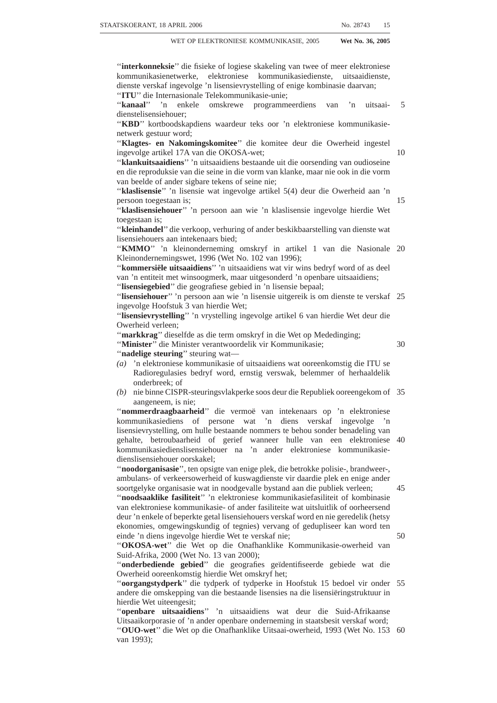(iv) the terms and conditions for granting special temporary authorisations for testing purposes, demonstrations and research and development; and *(b)* on any matter relating to the licensing process.

(8) When applying for a licence an applicant or registrant must demonstrate that the applicant or registrant or the person to be awarded the licence, in the case of— *(a)* a natural person, is a citizen of the Republic; or

5

*(b)* a juristic person, is, or will be, registered under the laws of the Republic and has or will have its principal place of business located within the Republic.

(9) The Authority must, in granting a licence—

- *(a)* ensure that electronic communications network services, broadcasting services and electronic communications services, viewed collectively, are provided by persons or groups of persons from a diverse range of communities in the Republic; and 10
- *(b)* promote the empowerment of historically disadvantaged persons including women and the youth and people with disabilities, in accordance with the 15 requirements of the ICT charter.

(10) Individual licences—

- *(a)* may be issued for a period not exceeding twenty (20) years unless a shorter period is requested by the applicant or determined by the Authority at the time such applicant applies for the licence; and
	- 20
- *(b)* may be renewed in accordance with the provisions of this Act.

(11) Licences granted by the Authority in terms of this section are effective and valid on the date specified in the licence unless a stay or equivalent order of a court of competent jurisdiction, is granted.

(12) A licence confers on the holder the privileges and subjects him or her to the 25 obligations provided for in this Act and specified in the licence.

#### **Licence exemption**

**6.** (1) Subject to subsection (2), the Authority may prescribe the—

- *(a)* type of electronic communications services that may be provided;
- *(b)* type of electronic communications networks that may be operated;
- *(c)* type of electronic communications network services that may be provided; and
- *(d)* radio frequency spectrum that may be used,

without a licence.

(2) The electronic communications services, electronic communications networks, 35 electronic communications network services and radio frequency spectrum contemplated in subsection (1) may include, but are not limited to—

- *(a)* electronic communications services provided on a not-for-profit basis;
- *(b)* electronic communications services that are provided by resellers;
- *(c)* private electronic communications networks used principally for or integrally 40 related to the internal operations of the network owner. Except that where the private electronic communications networks' additional capacity is resold, the Authority may prescribe terms and conditions for such resale;
- *(d)* small electronic communications networks such as local area networks;
- *(e)* uses of the radio frequency spectrum that were permitted without a licence 45 prior to the coming into force of this Act and uses of the radio frequency spectrum that the Authority finds would not cause harmful interference with radio frequency spectrum licensees such as low power uses; and
- *(f)* such other services considered to be exempted, as may be prescribed by the Authority.

(3) Any regulations prescribed by the Authority in terms of this section may contain terms and conditions applicable to the exempted electronic communications services, electronic communications networks, electronic communications network services and

30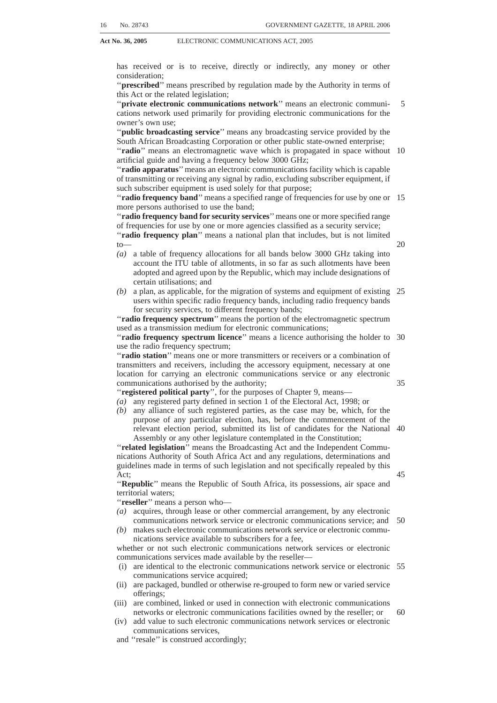5

10

15

20

35

40

**Act No. 36, 2005** ELECTRONIC COMMUNICATIONS ACT, 2005

radio frequency spectrum use and declare contravention of the regulation an offence, subject to section17H of the ICASA Act.

#### **Prohibition of provision of service without licence**

**7.** Except for services exempted in terms of section 6, no person may provide any service without a licence.

# **Terms and conditions for licences**

**8.** (1) The Authority must prescribe standard terms and conditions to be applied to individual licences and class licences. The terms and conditions may vary according to the different types of individual licences and, according to different types of class **licenses** 

(2) Such standard terms and conditions may take into account—

- *(a)* whether the service is intended for the public generally or a limited group, such as the provision of electronic communications network services or electronic communications services to other licensees contemplated under this Act;
- *(b)* the licence area of the authorised service;
- *(c)* the duration of the licence;
- *(d)* the protection of the interests of the subscribers and end-users, including, but not limited to—
	- (i) the handling and resolution of complaints and disputes;
	- (ii) the provision of appropriate remedies and redress in respect of such complaints and disputes;
	- (iii) the transparency of information about services, tariffs and the rights of subscribers; and
	- (iv) any other matter the Authority determines to be necessary in order to 25 achieve the effective protection of subscribers;
- *(e)* the public interest in ensuring service interoperability, non-discrimination and open access, interconnection and facilities leasing;
- *(f)* the public interest in securing the efficient functioning of electronic communications networks including but not limited to preventing or 30 restricting harmful interference within the radio frequency spectrum;
- *(g)* any universal access and universal service obligations;
- *(h)* the public interest in the provision, availability and use, in the event of a disaster, of electronic communications networks and electronic communications services;
- *(i)* the public interest in ensuring the protection of public health for the prevention or avoidance of the exposure of natural persons to electromagnetic fields created in connection with the operation of electronic communications networks and the provision of broadcasting and electronic communications services;
- *(j)* the international obligations of the Republic, including compliance with relevant international standards adopted by the Republic;
- *(k)* the public interest in ensuring the distribution of broadcasting services;
- *(l)* the public interest in facilitating the dissemination and development of a diverse range of sound and television broadcasting services on a national, regional and local level, that cater for all language and cultural groups and provide entertainment, education, news and information; 45
- *(m)* the public interest in facilitating and maintaining a competitive electronic communications environment and in regulating and controlling anti-competitive practices; and
- *(n)* the efficient use of the radio frequency spectrum and migration to digital use of such radio frequency spectrum.

(3) The Authority may prescribe additional terms and conditions that may be applied to any individual licence or class licence taking into account the provisions of Chapter 10.

55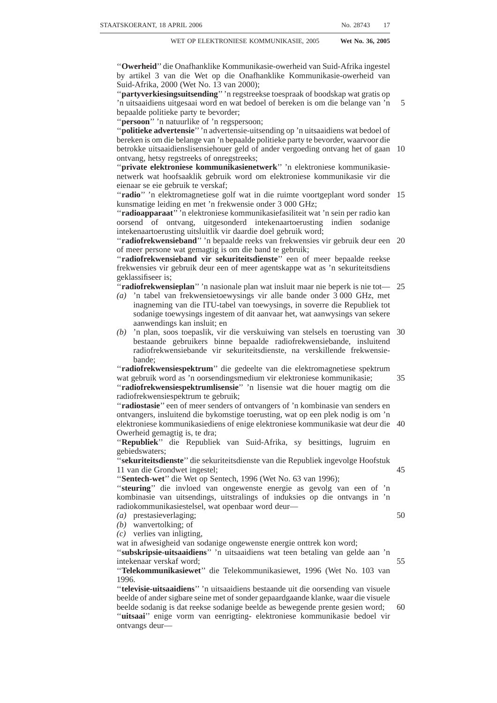| 32 | No. 28743 | GOVERNMENT GAZETTE, 18 APRIL 2006 |
|----|-----------|-----------------------------------|
|    |           |                                   |

# **Application for and granting of individual licences**

**9.** (1) Any person may, upon invitation by the Authority, subject to the provisions of this Act, apply for an individual licence in the prescribed manner.

(2) The Authority must give notice of the application in the *Gazette* and—

- *(a)* invite interested persons to apply and submit written representations in relation to the application within the period mentioned in the notice;
- *(b)* include the percentage of equity ownership to be held by persons from historically disadvantaged groups, which must not be less than 30%, or such 10 higher percentage as may be prescribed;
- *(c)* set out the proposed licence conditions that will apply to the licence; and
- *(d)* give interested persons an opportunity to submit written responses to any representations submitted in terms of paragraph *(a)*;
- *(e)* may conduct a public hearing in relation to any application for an individual 15 licence;

(3) The Authority may require an applicant or an interested party who has submitted written representations in terms of subsection  $(2)(a)$  to furnish the Authority, within the period specified by the Authority, with such further information as may be reasonably necessary in order to consider the application.

(4) *(a)* Applications, representations, responses and other documents relating to an application which are submitted to the Authority are, subject to this subsection, open to public inspection during the normal office hours of the Authority.

*(b)* The Authority must, at the request of any person and on payment of such fee as may be prescribed, furnish him or her with copies of documents requested by such 25 person.

*(c)* (i) The Authority may, at the request of an applicant or person who has submitted representations or responses, decide that—

*(aa)* any document or information that is commercially sensitive; or

*(bb)* any other matter reasonably justifying confidentiality, is not open to public 30 inspection, if such document or information can be separated from the application, representations or other documents in question.

(ii) for the purposes of this subsection, commercially sensitive document, information or other matter reasonably justifying confidentiality, excludes documents or information that should, as a matter of law be generally available to the public.

*(d)* If the Authority refuses a request referred to in paragraph *(c)*(i), the applicant or person concerned may withdraw the document or information in question.

(5) The Authority must, after considering—

- *(a)* any application for an individual licence made in terms of this Act; and
- *(b)* any written representations made in terms of subsection (2) in relation to the 40 application,

notify the applicant of its decision, the reasons for that decision and any licence conditions applicable and publish such information in the *Gazette*.

(6) Whenever the Authority grants an individual licence, the Authority—

- *(a)* must do so on standard terms and conditions applicable to the type of licence, 45 as prescribed in terms of section 8; and
- *(b)* may impose such additional terms and conditions as may be prescribed in terms of section 8(3).

(7) Despite subsection (6), the Authority may impose on the applicant any other specific terms and conditions resulting from undertakings made by the applicant. 50

35

20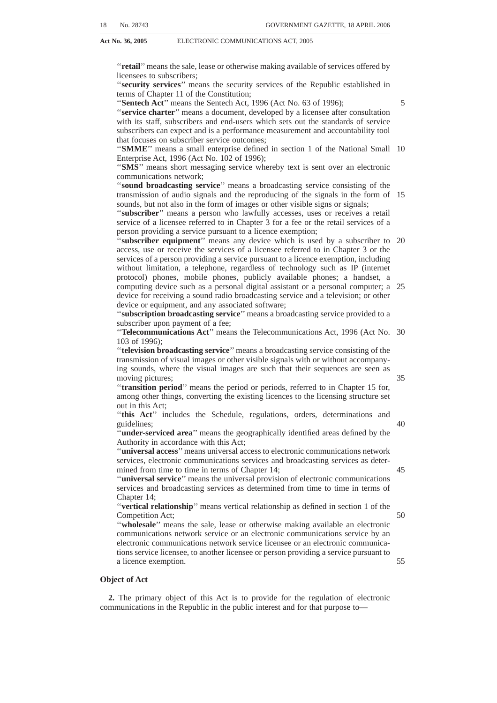#### **Amendment of individual licence**

**10.** (1) The Authority may amend an individual licence after consultation with the licensee—

- *(a)* to make the terms and conditions of the individual licence consistent with the terms and conditions being imposed generally in respect of all individual licences of the same type; 5
- *(b)* for the purpose of ensuring fair competition between licencees;
- *(c)* to the extent requested by the licensee provided it will not militate against orderly frequency management and will not prejudice the interests of other licencees;
- *(d)* to the extent necessitated by technological change or in the interest of ordely frequency management;
- *(e)* in accordance with a decision made by the Authority in terms of section 17E of the ICASAAct following a finding and recommendation by the Complaints and Compliance Committee;
- where the Authority is satisfied that the amendment is necessary to ensure the achievement of the objectives of this Act;
- *(g)* if the amendment relates to universal access or universal service and is necessary, in the opinion of the Authority, as a result of—
	- (i) changed circumstances in the market; or
	- (ii) lack of electronic communications network services, broadcasting services, or electronic communications services in specifically identified areas of the Republic.
- *(h)* if the amendment is in pursuance of and in accordance with the regulations made under Chapter 10.

(2) The provisions of section 9(2) to (6) apply, with the necessary changes, to the amendment of an individual licence.

#### **Renewal of individual licence**

**11.** (1) A licensee may, subject to the conditions of his or her individual licence, apply for the renewal of his or her individual licence in the manner prescribed by the Authority. 30

(2) The regulations prescribed by the Authority in terms of subsection (1) must specify, among other things, the form and content of applications for renewal and the time period for applying for renewal.

(3) Except as provided in this section, the provisions of section 9(2) to (6) apply, with the necessary changes, to the renewal of an individual licence. 35

(4) Except for applications contemplated in subsection (9), the Authority must, subject to subsection (8), make its decision on the application for renewal prior to the expiration of the date specified in the licence.

(5) The Authority may prescribe any fees applicable to the renewal of an individual licence.

(6) Subject to subsection (7), the Authority must renew the individual licence on no less favourable terms and conditions as were applicable during its preceding period of validity except where the amendments meet the requirements set out in section 10.

(7) Subject to subsection (12), the Authority may refuse to renew a licence or may renew the licence on less favourable terms and conditions than those that were applicable during the preceding period of validity or renew the licence with terms and conditions that are not applicable to similar licences if the Authority determines that the licensee has materially and repeatedly failed to comply with— 45

*(a)* the terms and conditions of the licence;

- *(b)* the provisions of this Act or of the related legislation; or
- *(c)* any regulation made by the Authority.

(8) If the Authority refuses an application for renewal of the individual licence or renews the licence on less favourable terms and conditions, the Authority—

*(a)* must, as soon as practicable, inform the licensee by written notice, of its decision and the reasons for the decision; 55

20

25

10

15

40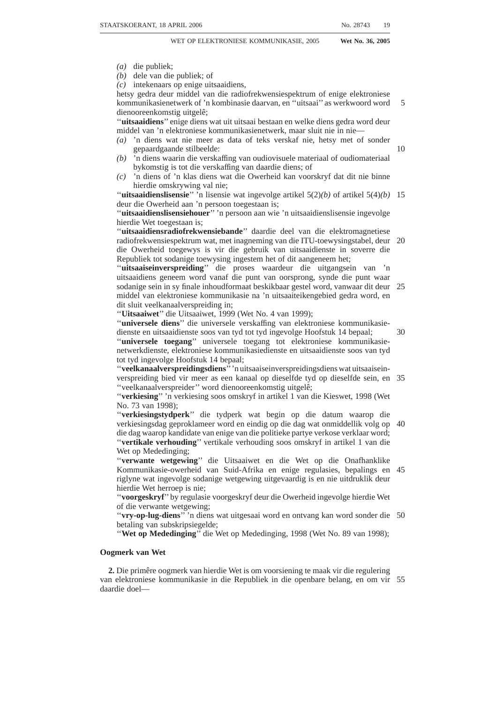- *(b)* must provide the licensee with a reasonable opportunity to make written submissions to the Authority within a time period specified in the notice referred to in paragraph *(a)*;
- *(c)* may, upon receipt of the written submission from the licensee, review its decision to refuse the application for renewal;
- *(d)* must notify the licensee of its decision after reviewing the application.

(9) The Authority may on good cause shown by the applicant, accept for filing, an application for renewal that is not submitted within the time period prescribed by the Authority in terms of subsection (2).

(10) An individual licence remains valid until such time as the Authority has made a 10 decision on an application for renewal of such individual licence.

(11) Where the Authority grants renewal of the individual licence, such licence becomes effective on the date specified by the Authority unless a stay or equivalent order of a court of competent jurisdiction is granted.

(12) Where the Authority refuses the renewal of an individual licence, such refusal 15 becomes effective, on the date specified in the notice given by the Authority to the licensee in terms of subsection  $(8)(d)$ , unless a stay or equivalent order of a court of competent jurisdiction is granted.

#### **Surrender of individual licence**

**12.** A licensee may, at any time, by written notice, surrender an individual licence to 20 the Authority in accordance with the requirements set out in the individual licence or in the manner prescribed by the Authority.

#### **Transfer of individual licences or change of ownership**

**13.** (1) An individual licence may not be assigned, ceded or transferred to any other person without the prior written permission of the Authority. 25

(2) An application for permission to assign, cede or transfer an individual licence may be made to the Authority in the prescribed manner.

(3) The Authority may by regulation, set a limit on, or restrict, the ownership or control of an individual licence, in order to—

- *(a)* promote the ownership and control of electronic communications services by 30 historically disadvantaged groups; or
- *(b)* promote competition in the ICT sector.

(4) The Authority may, subject to Chapter 9, by regulation, set a limit on, or restrict, the ownership or control of an individual licence for broadcasting services in order to promote a diversity of views and opinions. 35

(5) Regulations contemplated in subsection (3) and (4) must be made—

- *(a)* with due regard to the objectives of this Act, the related legislation and where applicable, any other relevant legislation; and
- *(b)* after the Authority has conducted an inquiry in terms of section 4B of the ICASA Act, which may include, but is not limited to, a market study. 40

#### **Suspension or cancellation of individual licence**

**14.** (1) The Authority may suspend or cancel an individual licence granted in terms of this Act—

- *(a)* where the licensee agrees in writing to such suspension or cancellation;
- *(b)* in accordance with a decision made by the Authority in terms of section 17E 45 of the ICASA Act; or
- *(c)* where the licensee is placed in liquidation, whether voluntary or compulsory or is placed under judicial management, either provisionally or finally.

(2) The suspension or cancellation of an individual licence takes effect on the date set forth in a written notice of suspension or cancellation served on the licensee by the 50Authority.

(3) Once the suspension or cancellation of an individual licence has taken effect, the Authority must, as soon as practicable, publish the suspension or cancellation in the *Gazette*.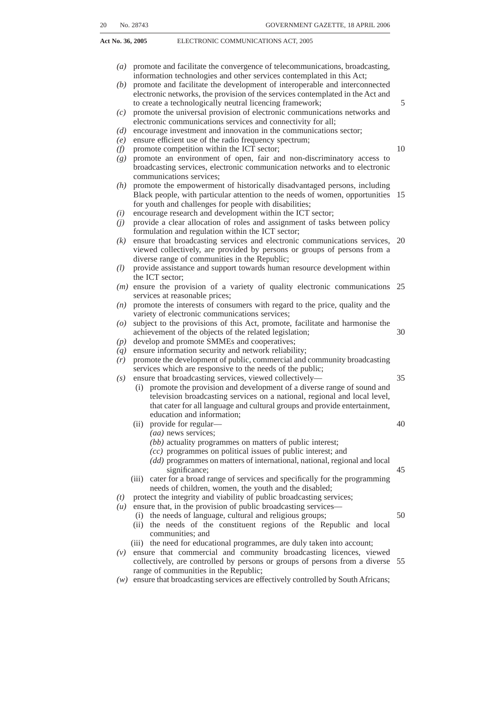(4) A delay or failure to publish the notice of suspension or cancellation in the *Gazette*, does not in any manner affect the validity of the suspension or cancellation.

#### **Effect of suspension, cancellation, surrender or expiry of individual licence**

**15.** (1) Once—

- *(a)* the suspension or cancellation of an individual licence under section 14 has taken effect; 5
- *(b)* the surrender of an individual licence under section 12 has taken effect; or *(c)* an individual licence has expired,

the licensee must immediately cease to provide any service in respect of which the licence was granted, unless such suspension or cancellation is stayed or an equivalent 10 order of a court of competent jurisdiction is granted.

(2) Despite subsection (1), the Authority may authorise the licensee, in writing, to continue providing any service or any part thereof in respect of which the licence was granted, for such duration as the Authority may specify in the authorisation, for the purpose of winding up the licensee's affairs and protecting subscribers to such services.

(3) Despite subsection (1) and subject to section 11, a licensee, whose individual licence has expired, is entitled to continue providing a service as if the licence has not expired upon proof being submitted to the Authority that— 15

- *(a)* the licensee has applied for the renewal of the licence in accordance with section 11; and 20
- *(b)* such application is pending determination by the Authority.

#### **Class licence**

**16.** (1) The Authority may, upon receipt of a written registration in the manner prescribed and satisfying the conditions provided for in section 5(8), grant a class licence.

(2) Registration for a class licence may be submitted at any time in the manner prescribed by the Authority.

(3) The Authority must maintain a register of all class licensees containing the information set out in subsection (5).

(4) The register must be available to the public.

(5) The Authority must at least once annually update and publish the list of class licensees in the *Gazette*, indicating for each class—

*(a)* the names and contact details of all registered licensees;

*(b)* the nature of the services provided; and

*(c)* the applicable licence terms and conditions.

(6) No class licence may be ceded or transferred without the prior written approval of the Authority.

#### **Registration for Class Licence**

**17.** (1) A person who intends to operate under a class licence must, in the manner prescribed, submit a registration notice in writing to the Authority. 40

(2) The registrant must pay to the Authority the registration fee prescribed by the Authority.

(3) Subject to section 18, the Authority must, within sixty (60) days after receipt of a registration notice, grant the class licence and update its internal records by including the— 45

*(a)* the name of the accepted registrant;

*(b)* the nature of the service that the registrant proposes to provide; and

*(c)* the licence conditions applicable to the class licence.

(4) If the Authority delays the grant of a class licence beyond the sixty (60) day period, the Authority must give written notice of the delay and of the reasons for the 50delay, to the registrant.

30

35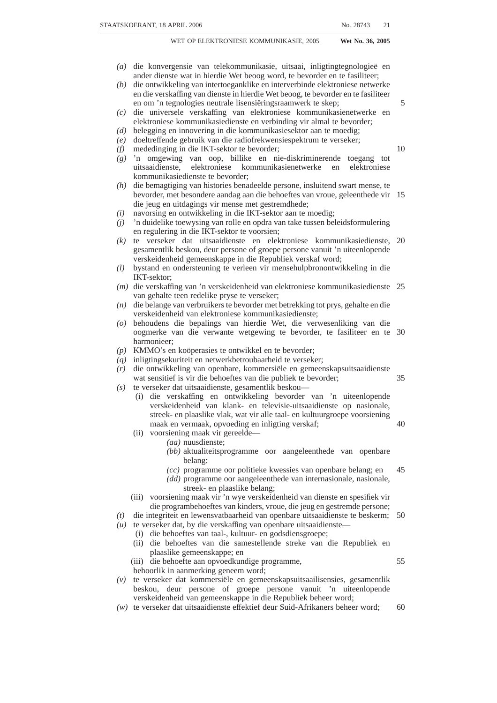(5) In any case where—

- *(a)* the Authority fails to give notice of a delay to the registrant and fails to grant the class licence within the sixty (60) days as required in terms of subsection (4);
- *(b)* the registrant has complied with the regulations prescribed in terms of section 5(7) applicable to class licenses; 5
- *(c)* the registrant satisfies the conditions provided for in section 5(8); and

**Act No. 36, 2005** ELECTRONIC COMMUNICATIONS ACT, 2005

*(d)* the Authority has not declined to accept the registration notice for the class licence in terms of section 18,

the class licence is considered to have been granted by the Authority on the 61st day after 10 receipt of the registration notice by the Authority.

(6) During the term of a class licence the licensee must ensure that the information contained in the register referred to in section 16(3), remains accurate by filing and updating such information where—

- *(a)* the licensee surrenders its class licence and ceases to provide the electronic 15 communications network services, electronic communications services or broadcasting services licensed pursuant to such class licence; or
- *(b)* the information contained in the register referred to in section 16(3) is no longer accurate.

# **Refusal of registration for class licence**

**18.** (1) The Authority may refuse to accept a registration for a class licence if—

- *(a)* the registration does not contain the information prescribed by the Authority;
- *(b)* the person is in contravention of this Act or the related legislation in relation to other licences that such person may hold; or
- *(c)* the registration contains false or misleading information or misrepresentations 25 of fact.

(2) Where a registration is refused, the Authority must, within sixty (60) days of receipt of the registration, send to the registrant, a written notice—

- *(a)* stating the reasons for the refusal; and
- *(b)* providing the registrant with an opportunity to correct and resubmit the 30 registration.

# **Renewal of class licence**

**19.** (1) All class licenses must have a term of validity not exceeding 10 (ten) years, unless specified to the contrary by the Authority.

(2) Class licensees seeking to renew their class licenses must, in writing and not less 35 than six months prior to the expiration of their class licence, notify the Authority of their intention to continue to provide the services.

(3) The renewal notice contemplated in subsection (2) must be submitted to the Authority in the manner prescribed as contemplated in section 5(7).

(4) Within sixty (60) days of the receipt of the written notice submitted in accordance 40 with subsection (2), the Authority must update the register of class licences referred to in section 16(3) to reflect the renewed licences.

(5) Where the Authority fails to update the register referred to in section 16(3), the class licence is considered to have been renewed on the 61st day following receipt by the Authority of the class licensee's written notice.

45

# **CHAPTER 4**

# **ELECTRONIC COMMUNICATIONS NETWORKS AND ELECTRONIC COMMUNICATIONS FACILITIES**

#### **Application**

**20.** (1) This chapter applies only to electronic communications network service 50licensees.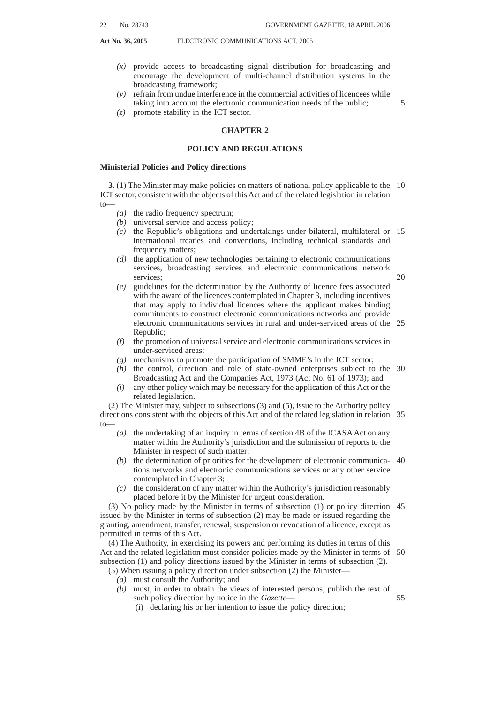(2) An electronic communications network service licensee must perform its obligations in terms of this Chapter and in accordance with the regulations prescribed by the Authority.

#### **Guidelines for rapid deployment of electronic communications facilities**

**21.** (1) The Minister must, in consultation with the Minister of Provincial and Local Government, the Minister of Land Affairs, the Minister of Environmental Affairs, the Authority and other relevant institutions, develop guidelines for the rapid deployment and provisioning of electronic communications facilities. 5

(2) The guidelines must provide procedures and processes for—

- *(a)* obtaining any necessary permit, authorisation, approval or other governmen-10 tal authority including the criteria necessary to qualify for such permit, authorisation, approval or other governmental authority; and
- *(b)* resolving disputes that may arise between an electronic communications network service licensee and any landowner, in order to satisfy the public interest in the rapid rollout of electronic communications networks and 15 electronic communications facilities.

# **Entry upon and construction of lines across land and waterways**

**22.** (1) An electronic communications network service licensee may—

- *(a)* enter upon any land, including any street, road, footpath or land reserved for public purposes, any railway and any waterway of the Republic; 20
- *(b)* construct and maintain an electronic communications network or electronic communications facilities upon, under, over, along or across any land, including any street, road, footpath or land reserved for public purposes, any railway and any waterway of the Republic; and
- *(c)* alter or remove its electronic communications network or electronic 25 communications facilities, and may for that purpose attach wires, stays or any other kind of support to any building or other structure.

(2) In taking any action in terms of subsection (1), due regard must be had to applicable law and the environmental policy of the Republic.

#### **Underground pipes for purposes of electronic communications network service** 30

**23.** (1) If any local authority and an electronic communications network service licensee agree that the provision of the electricity supply and electronic communications network services to a particular area must be provided by means of an underground cable, that local authority may on any premises within the said area, when installing such cable for an underground electricity supply line on the said premises, provide a 35 conduit pipe or other facility for the installation of an underground electronic communications facility from a point of connection on the street boundary to a building on those premises, in accordance with the requirements of the electronic communications network services licensee.

- (2) The cost of the provision of the said conduit pipe or other facility—
- 40
- *(a)* is payable to the local authority in question; and
- *(b)* is, for the purpose of any law, considered to be fees payable by the owner of the premises in question to the local authority in respect of the installation of the electricity supply line.

# **Pipes under streets**

**24.** (1) A electronic communications network service licensee may, after providing thirty (30) days prior written notice to the local authority or person owning or responsible for the care and maintenance of any street, road or footpath—

*(a)* construct and maintain in the manner specified in that notice any pipes, tunnels or tubes required for electronic communications network facilities 50under any such street, road or footpath;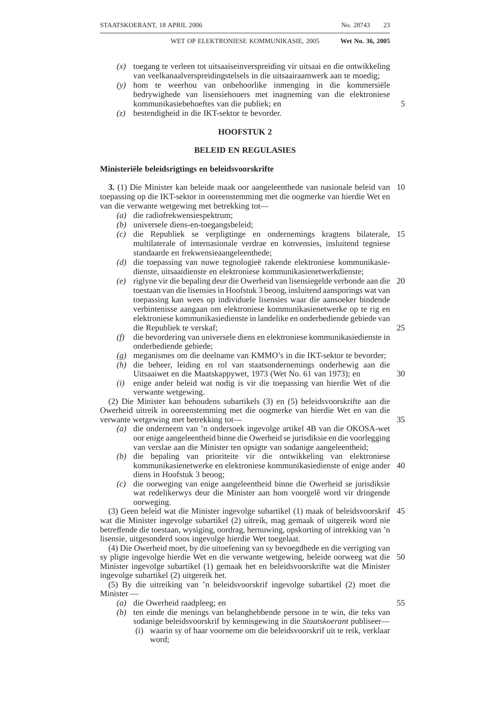- **Act No. 36, 2005** ELECTRONIC COMMUNICATIONS ACT, 2005
	- *(b)* alter or remove any pipes, tunnels or tubes required for electronic communications network facilities under any such street, road or footpath and may for such purposes break or open up any street, road or footpath; and
	- *(c)* alter the position of any pipe, not being a sewer drain or main, for the supply of water, gas or electricity.

(2)The local authority or person to whom any such pipe belongs or by whom it is used is entitled, at all times while any work in connection with the alteration in the position of that pipe is in progress, to supervise that work.

(3)The licensee must pay all reasonable expenses incurred by any such local authority or person in connection with any alteration or removal under this section or any 10 supervision of work relating to such alteration.

# **Removal of electronic communications network facilities**

**25.** (1)If an electronic communications network service licensee finds it necessary to move any electronic communications facility, pipe, tunnel or tube constructed upon, in, over, along, across or under any land, railway, street, road, footpath or waterway, owing to any alteration of alignment or level or any other work on the part of any public authority or person, the cost of the alteration or removal must be borne by that local authority or person. 15

(2) Where any electronic communications network facility passes over any private property or interferes with any building about to be erected on that property, the licensee 20 must, on receiving satisfactory proof that a building is actually to be erected, deviate or alter the positioning of the electronic communications facility in such manner as to remove all obstacles to building operations.

(3) The owner of the property must, in writing, give notice that any such deviation or alteration is required to the electronic communications network service licensee, not less 25 than 28 days before the alteration or deviation is to be effected.

(4) If any deviation or alteration of an electronic communications network facility, pipe, tunnel or tube constructed and passing over any private property is desired on any ground other than those contemplated in subsection (2), the owner of the property must give the electronic communications network service licensee written notice of 28 days, 30 of such deviation or alteration.

(5) The electronic communications network service licensee must decide whether or not the deviation or alteration is possible, necessary or expedient.

(6) If the electronic communications network service licensee agrees to make the deviation or alteration as provided for in subsection (3), the cost of such deviation or 35 alteration must be borne by the person at whose request the deviation or alteration is effected.

(7) If, in the opinion of the electronic communications network service licensee the deviation or alteration is justified, the licensee may bear the whole or any part of the said cost.

(8) Where a dispute arises between any owner of private property and a electronic communications network service licensee in respect of any decision made by a electronic communications network services licensee in terms of subsection (4), such dispute must be referred to the Complaints and Compliance Committee in accordance with section 17C of the ICASA Act.

#### **Fences**

**26.** (1) If any fence erected or to be erected on land over which an electronic communications network facility, pipe, tunnel or tube is constructed or is to be constructed by an electronic communications network service licensee renders or would render entry to that land impossible or inconvenient, the electronic communications 50network service licensee may at its own expense—

- *(a)* erect and maintain gates in that fence; and
- *(b)* provide duplicate keys for such gates, one set of which must be handed to the owner or occupier of the land.

5

40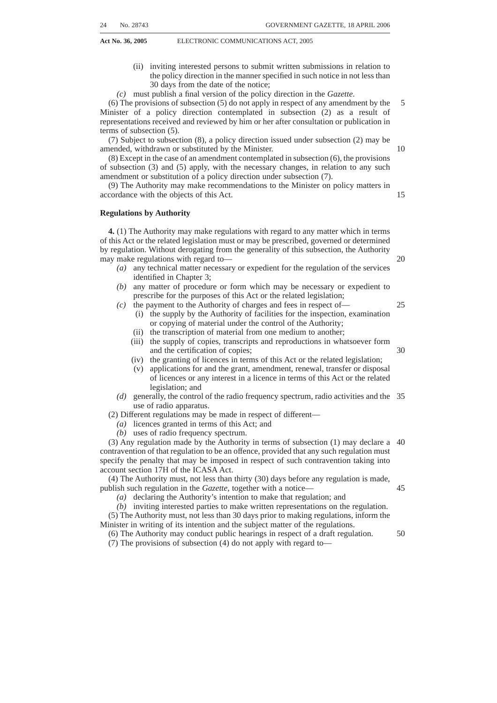(2) Any person intending to erect any such fence must give the electronic communications network service licensee notice in writing of not less than six weeks of his or her intention to erect such fence.

#### **Trees obstructing electronic communications network facilities**

**27.** (1)Any tree or vegetation which in the opinion of an electronic communications network service licensee— 5

*(a)* obstructs or interferes; or

*(b)* is likely to obstruct or interfere,

with the working or maintenance of any of the electronic communications network services licensees' electronic communications network or electronic communications 10 facilities, pipes, tunnels or tubes, whether growing upon—

- (i) State-owned land;
- (ii) any road; or
- (iii) private land,

must, after reasonable notice to the owner or occupier of the land, be cut down or 15 trimmed by the authority responsible for the care and the management of such Stateowned land, road or private land, in accordance with its requirements or by the owner or occupier of such private land, as the case may be, at the expense of the electronic communications network service licensee.

(2) In the event of failure to comply with a notice referred to in subsection  $(1)(b)$ , the 20 electronic communications network service licensee may cause the said tree or vegetation to be cut down or trimmed as the electronic communications network service licensee may consider necessary.

(3) Where the electronic communications network or electronic communications facility is actually interfered with or endangered by any such tree or vegetation, the 25 licensee may remove such tree or vegetation without any such notice.

(4) In taking any action in terms of subsections (1), (2) or (3), due regard must be had to the environmental law of the Republic.

# **Height or depth of electronic communications network facilities**

**28.** (1)*(a)* Aerial electronic communications networks or electronic communications 30 facilities along any railway or public or private street, road, footpath or land must be at the prescribed height above the surface of the ground.

*(b)* The electronic communications network service licensee must place electronic communications networks and electronic communications facilities, pipes, tunnels and tubes at the prescribed depth below the surface of the ground.

(2) If the owner of any private land proves to the satisfaction of an electronic communications network service licensee that he or she is obstructed in the free use of his or her land because of the insufficient height or depth of any electronic communications network or electronic communications facility, pipe, tunnel or tube constructed by the electronic communications network service licensee, the electronic 40 communications network service licensee may, subject to the provisions of sections 22 and 25, take such steps as he or she may consider necessary for giving relief to that owner.

(3) In taking any action in terms of this section, due regard must be had to the environmental laws of the Republic.

45

35

# **Electrical works**

**29.** (1)Any person who constructs, equips or carries on any railway or works for the supply of light, heat or power by means of electricity, must—

- *(a)* conform to the requirements of an electronic communications network service licensee for the prevention of damage to any of its electronic communications network and electronic communications facilities or works by such construction; 50
- *(b)* before commencing the construction of any such railway or works, give 30 days prior written notice to the electronic communications network service licensee of his or her intention to commence the construction; and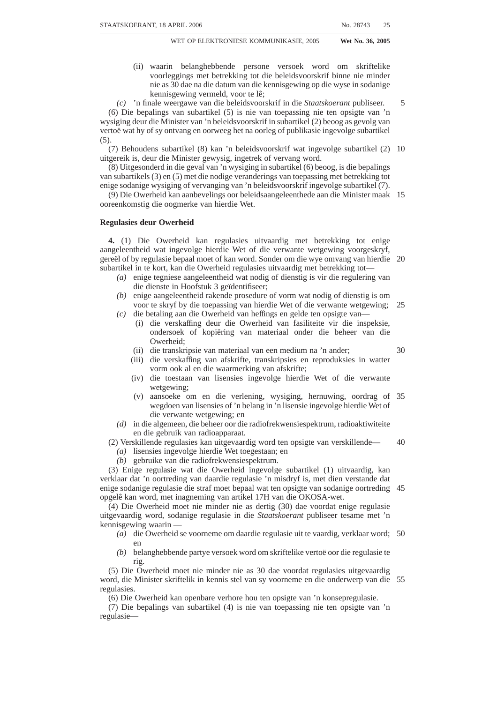- *(c)* furnish the electronic communications network service licensee with—
	- (i) a plan of the proposed railway or works;
	- (ii) particulars showing the manner and position in which the railway or works are intended to be constructed, executed and carried on; and
	- (iii) such further information related to the proposed railway or works as the electronic communications network service licensee may require. 5

 $(2)$  If—

- *(a)* it appears to the electronic communications network service licensee that the construction, equipment or operation of any such railway or works is likely to damage any of its electronic communications facilities or works; or
- *(b)* any such electronic communications facilities or works are damaged by the construction, equipment or operation of any such railway or works,

the electronic communications network service licensee must give reasonable notice of its requirements to the person concerned.

(3) Any person who, after receiving the notice referred to in subsection (2), proceeds 15 with or causes to be proceeded with any such construction, equipment or operation in contravention of the said requirements, may be liable to the electronic communications network service licensee for damages sustained by the electronic communications network service licensee as a result of a contravention of subsection (1).

# **CHAPTER 5**

# **RADIO FREQUENCY SPECTRUM**

#### **Control of radio frequency spectrum**

**30.** (1) In carrying out its functions under this Act and the related legislation, the Authority controls, plans, administers and manages the use and licensing of the radio frequency spectrum except as provided for in section 34.

(2) In controlling, planning, administering, managing and licensing the use of the radio frequency spectrum, the Authority must—

- *(a)* comply with the applicable standards and requirements of the ITU and its Radio Regulations, as agreed to or adopted by the Republic;
- *(b)* take into account modes of transmission and efficient utilisation of the radio 30 frequency spectrum, including allowing shared use of radio frequency spectrum when interference can be eliminated or reduced to acceptable levels as determined by the Authority;
- *(c)* give high priority to applications for radio frequency spectrum where the applicant proposes to utilise digital electronic communications facilities for 35 the provision of broadcasting services, electronic communications services, electronic communications network services, and other services licensed in terms of this Act or provided in terms of a licence exemption;
- *(d)* plan for the conversion of analogue uses of the radio frequency spectrum to digital, including the migration to digital broadcasting in the Authority's 40 preparation and modification of the radio frequency spectrum plan; and
- *(e)* give due regard to the radio frequency spectrum allocated to security services.

(3) The Authority must, in performing its functions in terms of subsection (1), ensure that in the use of the radio frequency spectrum harmful interference to authorised or licensed users of the radio frequency spectrum is eliminated or reduced to the extent 45 reasonably possible.

(4) The Authority must investigate and resolve all instances of harmful interference to licensed services that are reported to it.

# **Radio frequency spectrum licence**

**31.** (1) Subject to subsections (5) and (6), no person may transmit any signal by radio 50or use radio apparatus to receive any signal by radio except under and in accordance

 $20$ 

25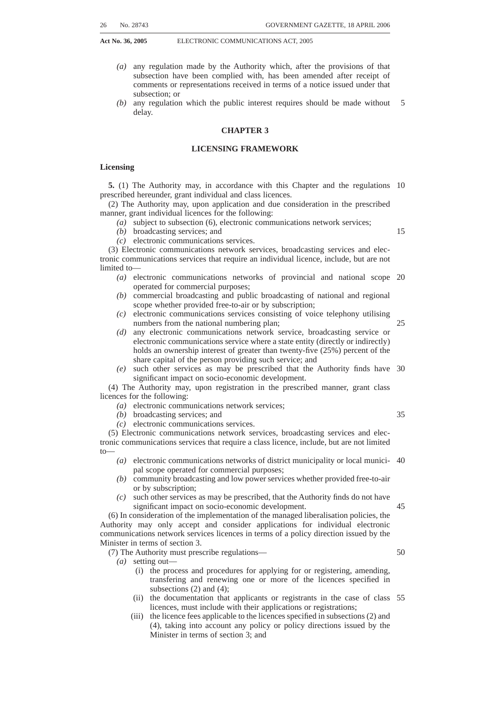with a radio frequency spectrum licence granted by the Authority to such person in terms of this Act.

(2) A radio frequency spectrum licence is required in addition to any service licence contemplated in Chapter 3, where the provision of such service entails the use of radio frequency spectrum.

(3) The Authority may, taking into account the objects of the Act, prescribe procedures and criteria for awarding radio frequency spectrum licences for competing applications or instances where there is insufficient spectrum available to accommodate demand.

(4) The Authority may amend a radio frequency spectrum licence—

10

5

- *(a)* to implement a change in the radio frequency plan;
- *(b)* in the interest of orderly radio frequency spectrum management;
- *(c)* to effect the migration of licensees in accordance with a revised radio frequency plan or the transition from analogue to digital broadcasting;
- *(d)* if requested by the licensee concerned to the extent that the request is fair and 15 does not prejudice other licensees; or
- *(e)* with the agreement of the licensee.

(5) Subsection (1) does not apply to a person who utilises radio frequency spectrum—

- *(a)* in the course of making due and proper use, as a subscriber, of an electronic communications service or electronic communications network service, the 20 provision of which is licensed in terms of Chapter 3 or as a recipient of a service subject to a licence exemption;
- *(b)* in the course of making due and proper use of an electronic communications service, the provision of which is licensed in terms of Chapter 3 as part of his or her duties in the service of the State or a local authority, including any 25 military force, police service or traffic authority, in instances of *force majeure*; or
- *(c)* in accordance with the regulations contemplated in subsection (6).

(6) The Authority may prescribe—

*(a)* types of radio apparatus the use or possession of which; or

30

*(b)* the circumstances in which the use or possession of radio apparatus, does not require a radio frequency spectrum licence, including, but not limited to radio frequency spectrum allocated for use in respect of radio astronomy and other scientific uses of radio frequency spectrum that have been coordinated and agreed to by the Authority.

(7) The Authority may, on its own initiative, take appropriate action to ensure compliance with the provisions of this Chapter.

(8) Subject to subsection (9), the Authority may withdraw any radio frequency spectrum licence when the licensee fails to utilise the allocated radio frequency spectrum in accordance with the licence conditions applicable to such licence. 40

(9) Before the Authority withdraws a radio frequency spectrum licence in terms of subsection (8), it must give the licensee prior written notice of at least 30 days and the licensee must have 7 (seven) business days in which to respond in writing to the notice (unless otherwise extended by the Authority) demonstrating that it is utilising the radio frequency spectrum in compliance with this Act and the licence conditions.

(10) The Authority, based on the written response of the licensee, must notify the licensee of its decision to withdraw or not to withdraw the licence.

#### **Control of possession of radio apparatus**

- **32.** (1) No person may possess any radio apparatus unless he or she is—
- *(a)* in possession of a radio frequency spectrum licence granted in terms of this 50 Chapter; or
- *(b)* exempted as prescribed in terms of section 31(6).

(2) The Authority may, subject to this Act, the related legislation and other applicable law, enter onto property for purposes of inspecting radio apparatus in accordance with subsection (3).

(3) Where a person is found in possession of any radio apparatus in contravention of the provisions of this section, the Authority may—

35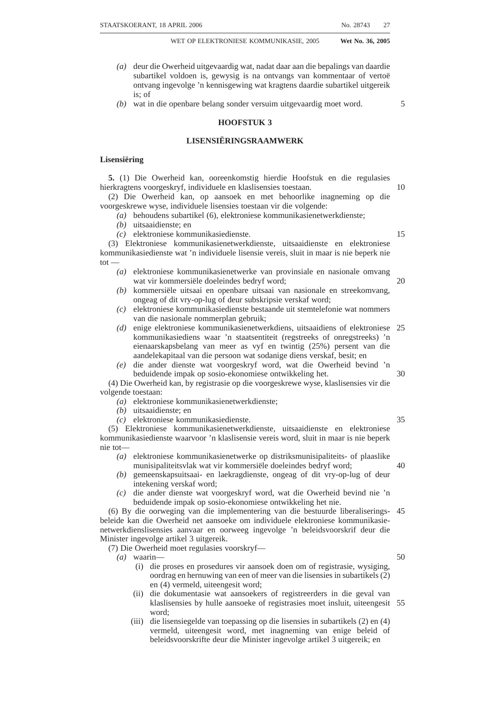- 
- *(a)* seal or alter such apparatus or any part thereof in order to— (i) prevent the use of that radio apparatus for the purpose of transmission or reception; and
	- (ii) grant to such person a permit for a limited or indefinite period authorising the possession of that apparatus on condition that it is not, during such period, used for such purpose; or 5
- *(b)* seize such apparatus, whether or not it is sealed as contemplated in paragraph *(a)*, for disposal in terms of subsection (4).

(4) Radio apparatus seized under subsection (3)*(b)* must be held by the Authority at the cost of the person from whom it was seized until—

- *(a)* its possession is authorised in terms of section 31; or
- *(b)* the matter is dealt with by a court of law.

# **Frequency co-ordination**

**33.** (1) Holders of a radio frequency spectrum licence must, in good faith, co-ordinate their respective frequency usage with other such licensees to—

- *(a)* avoid harmful interference among radio frequency spectrum licensees;
- *(b)* ensure efficient use of any applicable frequency band; and
- *(c)* allow for the provision of cost-efficient services.

(2) Where radio frequency spectrum licensees are unable or unwilling to co-ordinate in good faith in terms of subsection (1), the Authority must intervene and resolve the 20 dispute.

(3) The Authority must prescribe regulations governing the co-ordination contemplated in subsection (1), which may include a process for the resolution of disputes among radio frequency spectrum licensees on an expedited basis.

#### **Radio frequency plan**

**34.** (1) The Minister, in the exercise of his or her functions, represents the Republic in international fora, including the ITU, in respect of—

*(a)* the international allotment of radio frequency spectrum; and

*(b)* the international coordination of radio frequency spectrum usage,

in accordance with international treaties, multinational and bilateral agreements entered 30 into by the Republic.

(2) The Minister must approve the national radio frequency plan developed by the Authority, which must set out the specific frequency bands designated for use by particular types of services, taking into account the radio frequency spectrum bands allocated to the security services. 35

(3) The Authority must assign radio frequencies consistent with the national radio frequency plan for the use of radio frequency spectrum by licence holders and other services that may be provided pursuant to a licence exemption.

(4) The Authority must, within 12 months of the coming into force of this Act, prepare the national radio frequency plan or make appropriate modification to any existing radio 40 frequency plan to bring it into conformity with this Act.

(5) The national radio frequency plan must be updated and amended when necessary in order to keep the plan current. When updating and amending this plan due regard must be given to the current and future usage of the radio frequency spectrum.

(6)The national radio frequency plan must—

- *(a)* designate the radio frequency bands to be used for particular types of services;
- *(b)* ensure that the radio frequency spectrum is utilised and managed in an orderly, efficient and effective manner;
- *(c)* aim at reducing congestion in the use of the radio frequency spectrum;
- *(d)* aim at protecting radio frequency spectrum licensees from harmful interfer-50ence;
- *(e)* provide for flexibility and the rapid and efficient introduction of new technologies;

25

10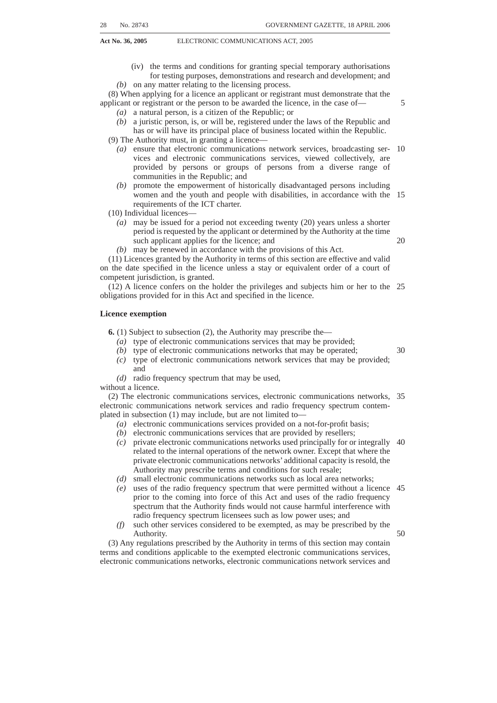*(f)* aim at providing opportunities for the introduction of the widest range of services and the maximum number of users thereof as is practically feasible.

(7) In preparing the national radio frequency plan as contemplated in subsection (4), the Authority must—

- *(a)* take into account the ITU's international spectrum allotments for radio frequency spectrum use, in so far as ITU allocations have been adopted or agreed upon by the Republic, and give due regard to the reports of experts in the field of spectrum or radio frequency planning and to internationally accepted methods for preparing such plans; 5
- *(b)* take into account existing uses of the radio frequency spectrum and any radio 10 frequency band plans in existence or in the course of preparation; and
- *(c)* consult with the Minister to—
	- (i) incorporate the radio frequency spectrum allocated by the Minister for the exclusive use of the security services into the national radio frequency plan;
	- (ii) take account of the government's current and planned uses of the radio frequency spectrum, including but not limited to, civil aviation, aeronautical services and scientific research; and
	- (iii) co-ordinate a plan for migration of existing users, as applicable, to make available radio frequency spectrum to satisfy the requirements of 20 subsection (2) and the objects of this Act and of the related legislation.

(8) The Authority must give notice of its intention to prepare a national radio frequency plan in the *Gazette* and in such notice invite interested parties to submit their written representations to the Authority within such period as may be specified in such notice.

(9) The Authority may, after the period referred to in subsection (8) has passed, hold a hearing in respect of the proposed national radio frequency plan.

(10) After the hearing, if any, and after due consideration of any written representations received in response to the notice mentioned in subsection (8) or tendered at the hearing, the Authority must forward the national radio frequency plan to 30 the Minister for approval.

(11) The Minister must, within 30 days of receipt of the national radio frequency plan, either approve the plan, at which time the plan must become effective, or notify the Authority that further consultation is required.

(12) Upon approval of the national radio frequency plan by the Minister, the Authority 35 must publish the plan in the *Gazette*.

(13) Any radio frequency plan approved in terms of this section and all the comments, representations and other documents received in response to the notice contemplated in subsection (8) or tendered at the hearing must be—

*(a)* kept at the offices of the Authority; and

*(b)* open for public inspection by interested persons during the normal office hours of the Authority.

(14) The Authority must, at the request of any person and on payment of such fee as may be prescribed, furnish him or her with a copy of the radio frequency plan.

(15) The provisions of subsections (6) to (14) apply, with the necessary changes, in 45 relation to any amendment made by the Authority to the radio frequency plan.

(16) The Authority may, where the national radio frequency plan identifies radio frequency spectrum that is occupied and requires the migration of the users of such radio frequency spectrum to other radio frequency bands, migrate the users to such other radio frequency bands in accordance with the national radio frequency plan, except where 50such migration involves governmental entities or organisations, in which case the Authority—

*(a)* must refer the matter to the Minister; and

*(b)* may migrate the users after consultation with the Minister.

40

15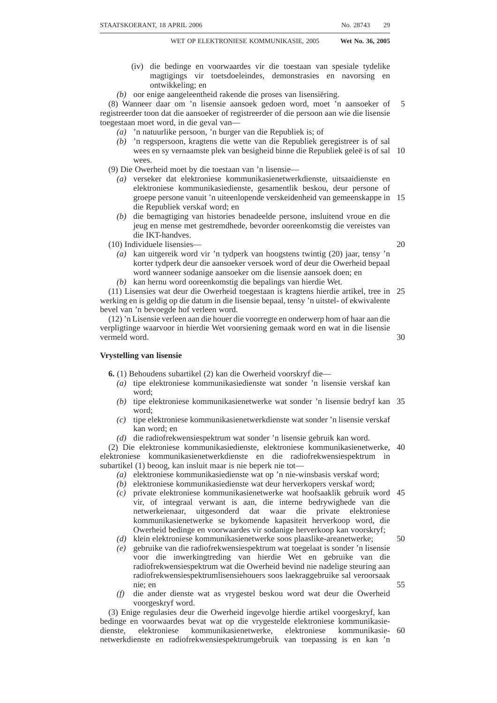#### **CHAPTER 6**

# **TECHNICAL EQUIPMENT AND STANDARDS**

#### **Approval of type**

**35.** (1) No person may use, supply, sell, offer for sale or lease or hire any type of electronic communications equipment or electronic communications facility, including radio apparatus, used or to be used in connection with the provision of electronic communications, unless such equipment, electronic communications facility or radio apparatus has, subject to subsection (2), been approved by the Authority. 5

(2)The Authority may prescribe—

- *(a)* the types of equipment, electronic communications facilities and radio 10 apparatus, the use of which does not require approval where such equipment, electronic communications facilities and radio apparatus has been approved for use by the European Telecommunications Standards Associations or other competent standards body where the equipment complies with type approval standards prescribed by the Authority; and 15
- *(b)* circumstances under which the use of equipment, electronic communications facilities, radio apparatus and subscriber equipment does not require approval, including uses for research and development, demonstrations of prototypes and testing.

# **Technical standards for equipment and electronic communications facilities**

**36.** (1) The Authority may, subject to the provisions of the Standards Act, 1993 (Act No. 29 of 1993), prescribe standards for the performance and operation of any equipment or electronic communication facility, including radio apparatus.

(2) Any such standard must be aimed at—

- *(a)* protecting the integrity of the electronic communications network;
- *(b)* ensuring the proper functioning of connected equipment or electronic communications facilities;
- *(c)* ensuring interoperability, interconnectability and harmonisation; and
- *(d)* avoiding harmful interference with the electronic communications network.

(3) *(a)* The regulations made in terms of subsection (1) may, for the purposes of this 30 section and without publishing the text of the technical standard, incorporate any technical standard by reference to—

- (i) the number, title and year of issue of the technical standard; or
- (ii) other particulars by which the particular standard can be identified.

*(b)* Any technical standard incorporated as contemplated in paragraph *(a)* is 35 considered to be a regulation to the extent that the technical standard is not contrary to the regulations.

*(c)* Whenever any technical standard is, at any time after its incorporation in terms of paragraph *(a)*, amended or substituted by a competent national body, the regulation in terms of which such technical standard was incorporated in the regulations must, unless 40 otherwise stated therein, be considered to refer to such technical standard as so amended or substituted, as the case may be.

*(d)* The Authority must keep the text of each—

- (i) technical standard incorporated in the regulations in terms of paragraph *(a)*; and
- (ii) amendment or substitution of the text.

*(e)* The text of each incorporated technical standard must be open to inspection by the public during the normal office hours of the Authority.

*(f)* The Authority may, at the request of any person and on payment of such fee as may be prescribed, furnish him or her with a copy of the text.

20

25

45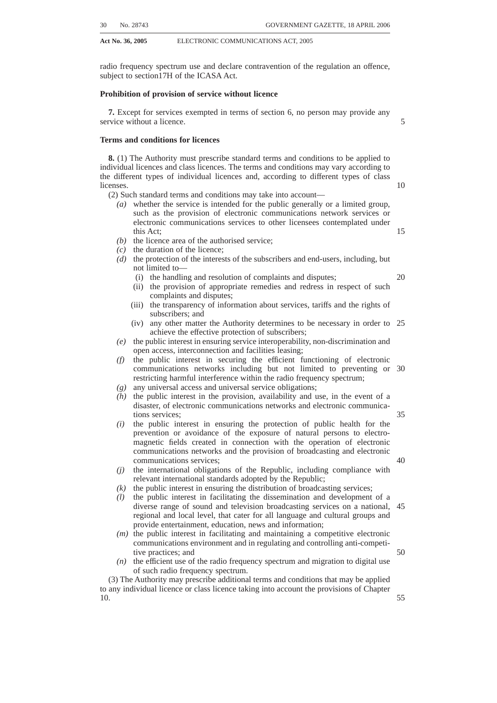#### **CHAPTER 7**

# **INTERCONNECTION**

#### **Obligation to interconnect**

**37.** (1) Subject to section 38, any person licensed in terms of Chapter 3 must, on request, interconnect to any other person licensed in terms of this Act and persons providing service pursuant to a licence exemption in accordance with the terms and conditions of an interconnection agreement entered into between the parties, unless such request is unreasonable. 5

(2) Where the reasonableness of any request to interconnect is disputed, the person requesting interconnection may notify the Authority in accordance with the regulations prescribed in terms of section 38 and the Authority must, within 14 days of receiving the request, or such longer period as is reasonably necessary in the circumstances, determine the reasonableness of the request. 10

(3) For the purposes of subsection (1) a request is reasonable where the Authority determines that the requested interconnection—

15

25

- *(a)* is technically and financially feasible; and
- *(b)* will promote the efficient use of electronic communications networks and services.

(4) In the case of unwillingness or inability of a licensee to negotiate or agree on the terms and conditions of interconnection, either party may notify the Authority in writing 20 and the Authority may—

- *(a)* impose terms and conditions for interconnection consistent with this Chapter;
- *(b)* propose terms and conditions consistent with this Chapter which, subject to negotiations among the parties, must be agreed to by the parties within such period as the Authority may specify; or
- *(c)* refer the dispute to the Complaints and Compliance Committee for resolution on an expedited basis in accordance with the procedures prescribed in terms of section 38.

(5) For purposes of subsection (4), unless otherwise agreed in writing by the parties, a party is considered unwilling to negotiate or unable to agree if an interconnection 30 agreement is not concluded within the time frames prescribed.

(6) The interconnection agreement entered into by a licensee in terms of subsection (1) must, unless otherwise requested by the party seeking interconnection, be non-discriminatory as among comparable types of interconnection and not be of a lower technical standard and quality than the technical standard and quality provided by such 35 licensee to itself or to an affiliate.

#### **Interconnection regulations**

**38.** (1) The Authority must prescribe regulations to facilitate the conclusion of interconnection agreements by stipulating interconnection agreement principles. The regulations may include any regulations referred to in section 39.

(2) Interconnection regulations and interconnection agreement principles must provide for a framework which may include a reference interconnection offer containing model terms and conditions for interconnection.

(3) The interconnection regulations and interconnection agreement principles may include, but are not limited to matters relating to—

- *(a)* the time frame and procedure for—
	- (i) the negotiation of interconnection agreements;
	- (ii) the conclusion of an interconnection agreement; and

(iii) the technical implementation of the interconnection agreement;

- *(b)* the quality, performance and level of service to be provided;
- *(c)* subject to and in accordance with section 41, interconnection pricing principles;
- *(d)* the provision of electronic communications facilities to establish points of interconnection;

40

- 45
-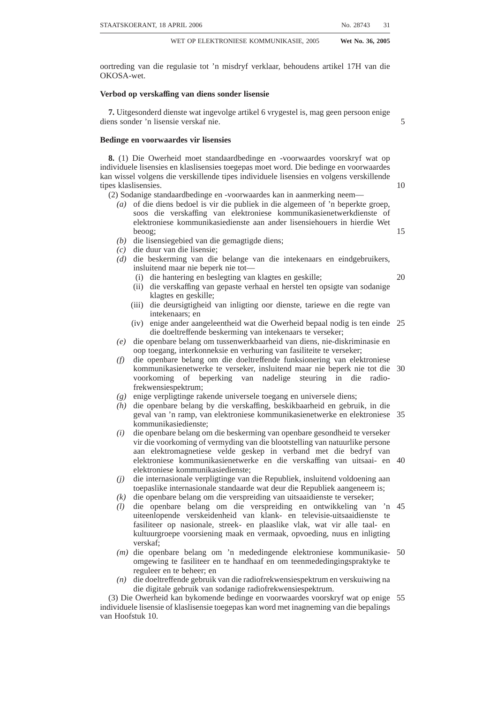- **Act No. 36, 2005** ELECTRONIC COMMUNICATIONS ACT, 2005
	- *(e)* the sharing of technical information, including obligations imposed in respect of the disclosure of current and future electronic communications network planning activities;
	- *(f)* contractual dispute-resolution procedures;
	- *(g)* billing and settlement procedures;

5

- *(h)* interconnection services such as support systems, calling line identification, signalling services, supervision, functionality, unbundling of interconnection services, fault reporting, co-operation in the event of faults and collocation;
- *(i)* access and security arrangements;
- *(j)* the framework for determining technical and financial feasibility and promotion of efficient use of the electronic communications networks and provision of services contemplated in section 37(3); 10
- *(k)* the requirement that a licensee negotiate and enter into an interconnection agreement with an applicant for an individual licence; and
- *(l)* the manner in which interconnection services are to be unbundled and made 15 separately available by licensees.

(4) Where the regulations require negotiations with an applicant as contemplated in subsection  $(3)(k)$ , reference in this Chapter to a licensee seeking to interconnect must be considered to include a reference to an applicant.

(5) The interconnection regulations may exempt (in whole or in part) licensees from 20 the obligation to interconnect under section 37(1) where the Authority has not found such licensees to have significant market power in the relevant market or market segment in terms of Chapter 10.

(6) Where a licensee is exempt from the obligation to interconnect in terms of subsection (5) and such exempted licensee enters into an interconnection agreement 25 with another exempted licensee, or a person providing services pursuant to a licence exemption, sections 37(6) and 39(3) and (4) do not apply to such an interconnection agreement.

#### **Filing of interconnection agreements**

**39.** (1) An interconnection agreement must be in writing and must be submitted to the 30 Authority.

(2) An interconnection agreement becomes effective and enforceable upon filing with the Authority in the prescribed manner, unless—

- *(a)* an order of a court of competent jurisdiction is granted against such agreement; or 35
- *(b)* the Authority provides the parties with written notice of non-compliance in terms of subsection (5).

(3) The Authority must, at the request of any person and on payment of such fee as may be prescribed, furnish that person with a copy of any interconnection agreement and the rates and charges contained in such agreement.

(4) The Authority must review an interconnection agreement submitted in terms of subsection (1) to determine whether the agreement is consistent with the regulations prescribed.

(5) Where the Authority determines that any term or condition of an interconnection agreement is not consistent with the regulations, the Authority must in writing—

- *(a)* notify the parties of the non-complying terms and conditions; and
- *(b)* direct the parties to agree on new terms and conditions consistent with the regulations.

(6) The parties must, upon reaching agreement and amending the non-complying terms and conditions of the interconnection agreement, submit the amended agreement 50to the Authority for consideration and review.

(7) The provisions of subsections (4) and (5) apply, with the necessary changes, to the consideration and review of the amended agreement by the Authority.

45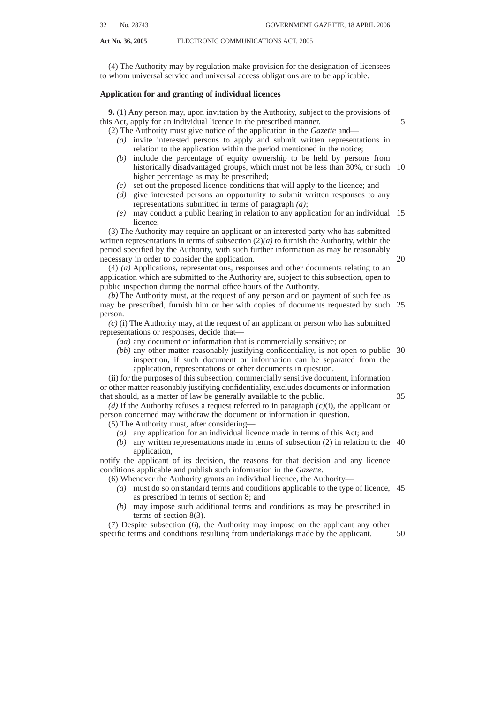#### **Notification of interconnection disputes**

**40.** (1) A party to a dispute arising under an interconnection agreement that has been filed with the Authority may notify the Complaints and Compliance Committee in writing of the dispute and such dispute must be resolved, on an expedited basis, by the Complaints and Compliance Committee in accordance with the regulations prescribed by the Authority. 5

(2) A party who is seeking to exercise his or her rights under subsection (1) may, at any time, withdraw the notice in writing.

(3) A decision by the Complaints and Compliance Committee concerning any dispute or a decision concerning a dispute contemplated in section 37(4)*(c)* is, in all respects, effective and binding on the parties to the interconnection agreement unless an order of a court of competent jurisdiction is granted against the decision. 10

#### **Interconnection pricing principles**

**41.** The Authority may prescribe regulations establishing a framework of wholesale interconnection rates to be charged for interconnection services or for specified types of 15 interconnection and associated interconnection services taking into account the provisions of Chapter 10.

# **Carrier pre-selection**

**42.** (1) The Authority must make regulations—

- *(a)* defining the electronic communications services subject to carrier pre-20 selection; and
- *(b)* establishing a framework in terms of which—
	- (i) subscribers to an electronic communications service can access the electronic communications services of another electronic communications service licensee; and 25
	- (ii) electronic communications network service licensees must make the necessary electronic communications facilities available for the implementation and proper functioning of carrier pre-selection.

(2) The framework contemplated in subsection (1)*(b)* must be in force not later than 1 July 2006 and ensure that— 30

- *(a)* electronic communications network service licensees implement, operate and maintain the necessary electronic communications facilities to successfully implement carrier pre-selection—
	- (i) in an efficient manner;
	- (ii) without undue delay; and
	- (iii) without discrimination; and
- *(b)* electronic communications service licensees honour subscriber requests to access the electronic communications services of another electronic communications service licensee on non-discriminatory terms and without delay.

# **CHAPTER 8**

# 40

35

# **ELECTRONIC COMMUNICATIONS FACILITIES LEASING**

# **Obligation to lease electronic communications facilities**

**43.** (1) Subject to section 44(5) and (6), an electronic communications network service licensee must, on request, lease electronic communications facilities to any other person licensed in terms of this Act and persons providing services pursuant to a licence 45 exemption in accordance with the terms and conditions of an electronic communications facilities leasing agreement entered into between the parties, unless such request is unreasonable.

(2) Where the reasonableness of any request to lease electronic communications facilities is disputed, the party requesting to lease such electronic communications 50facilities may notify the Authority in accordance with the regulations prescribed in terms of section 44.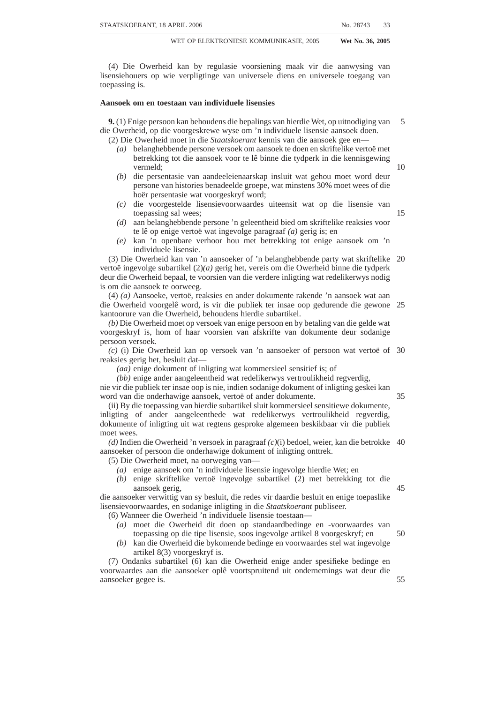(3) The Authority must, within 14 days of receiving the request, or such longer period as is reasonably necessary in the circumstances, determine the reasonableness of the request.

(4) For purposes of subsection (1), a request is reasonable where the Authority determines that the requested lease of electronic communications facilities—

- *(a)* is technically and financially feasible; and
- *(b)* will promote the efficient use of electronic communication networks and services.

(5) In the case of unwillingness or inability of an electronic communications network service licensee to negotiate or agree on the terms and conditions of an electronic 10 communications facilities leasing agreement, either party may notify the Authority in writing and the Authority may—

- *(a)* impose terms and conditions consistent with this Chapter;
- *(b)* propose terms and conditions consistent with this Chapter which, subject to negotiations among the parties, must be agreed to by the parties within such 15 period as the Authority may specify; or
- *(c)* refer the dispute to the Complaints and Compliance Committee for resolution on an expedited basis in accordance with the procedures prescribed in terms of section 46.

(6) For the purposes of subsection (5), unless otherwise agreed in writing by the 20 parties, a party is considered unwilling to negotiate or unable to agree if a facilities leasing agreement is not concluded within the time frames prescribed.

(7) The lease of electronic communications facilities by an electronic communications network service licensee in terms of subsection (1) must, unless otherwise requested by the leasing party, be non-discriminatory as among comparable types of 25 electronic communications facilities being leased and not be of a lower technical standard and quality than the technical standard and quality provided by such electronic communications network service licensee to itself or to an affiliate.

(8) The Authority must prescribe a list of essential facilities including but not limited to—

30

50

5

- *(a)* electronic communications facilities, including without limitation local loops, sub-loops and associated electronic communications facilities for accessing subscribers and provisioning services;
- *(b)* electronic communications facilities connected to international electronic communications facilities such as submarine cables and satellite earth 35 stations; and
- *(c)* any other such facilities,

required to be leased by an electronic communications network service licensee in terms of subsection (1).

(9) The Authority must review the list of electronic communications facilities at least 40 once every 36 (thirty six) months and, where the Authority finds market conditions warrant it, make modifications to such list after undertaking an inquiry in accordance with section 4B of the ICASA Act.

(10) An electronic communications network service licensee may not enter into any agreement or other arrangement with any person for access to, or use of, any international electronic communications facilities, including submarine cables and satellites, that— 45

- *(a)* contains an exclusivity provision;
- *(b)* contains provisions that create undue barriers to access to and use of such international communication facilities; or
- *(c)* otherwise restricts any party to such agreement or other arrangement from— (i) leasing;
	- (ii) selling; or
	- (iii) otherwise entering into an agreement with any licensee under this Act or person providing services pursuant to a licence exemption for access to, 55and use of, such international electronic communications facilities.

(11) Any exclusivity provision contained in any agreement or other arrangement that is prohibited under subsection (10) is invalid from a date to be determined by the Minister after consultation with relevant parties.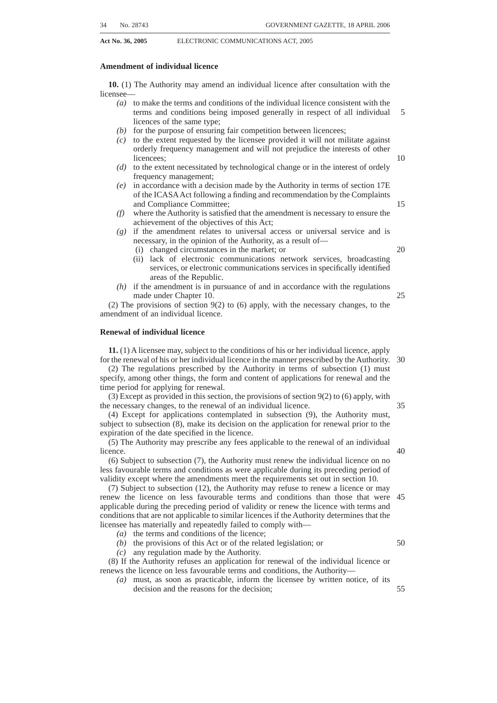#### **Electronic communications facilities leasing regulations**

**44.** (1) The Authority must prescribe regulations to facilitate the conclusion of electronic communications facilities leasing agreements by stipulating electronic communications facilities leasing agreement principles and such regulations may include the regulations referred to in section 47.

(2) Electronic communications facilities leasing regulations and electronic communications facilities leasing agreement principles must provide for a framework which may include a reference electronic communications facilities leasing offer containing model terms and conditions for electronic communications facilities listed in section 43(8).

(3) Matters which the electronic communications facilities leasing regulations may address include but are not limited to—

- *(a)* the time frame and procedures for—
	- (i) the negotiation of electronic communications facilities leasing agreements; 15
	- (ii) the conclusion of electronic communications facilities leasing agreements; and
	- (iii) the technical implementation of the electronic communications facilities leasing agreements;
- *(b)* the quality, performance and level of service to be provided, including time to 20 repair or restore, performance, latency and availability;
- *(c)* subject to and in accordance with section 47, wholesale electronic communications facilities leasing rates and the manner in which the structure of fees and charges for such electronic communications facilities leasing must be determined;
- *(d)* the sharing of technical information including obligations imposed in respect of the disclosure of current and future electronic communications network planning activities;
- *(e)* contractual dispute resolution procedures;
- *(f)* billing and settlement procedures;

*(g)* the list of electronic communications facilities contemplated in section 43(8) as reviewed and modified as contemplated in section 43(9);

- *(h)* services associated with leasing electronic communications facilities such as support systems, collocation, fault reporting, supervision, functionality, unbundling, and co-operation in the event of fault;
- *(i)* access and security arrangements;
- *(j)* the framework in accordance with which an electronic communications network service licensee may refuse a request to lease electronic communications facilities due to such electronic communications network service licensees' planned expansion of its electronic communications network; 40
- *(k)* the framework for determining technical and financial feasibility and promotion of efficient use of electronic communications networks and provision of services contemplated in section 43(4);
- *(l)* the requirement that an electronic communications network service licensee negotiate and enter into an electronic communications facilities leasing 45 agreement with an applicant for an individual licence; and
- *(m)* the manner in which unbundled electronic communications facilities are to be made available.

(4) Where the regulations require negotiations with an applicant in terms of subsection  $(3)(l)$ , a reference in this Chapter to a licensee seeking to lease electronic 50 communications facilities must be considered to include such applicant.

(5) The electronic communications facilities leasing regulations may exempt (in whole or in part) electronic communications network service licensees from the obligation to lease electronic communications facilities in terms of section 43(1) where the Authority has not found, in terms of Chapter 10, such electronic communications network service licensees to have significant market power in the relevant market or market segment. 55

(6) Where a licensee is exempt from the obligation to lease electronic communications facilities in terms of subsection (5) and such exempted licensee enters into a electronic communications facilities leasing agreement with another exempted licensee, 60or a person providing services pursuant to a licence exemption, section 43(7) and section

10

25

30

35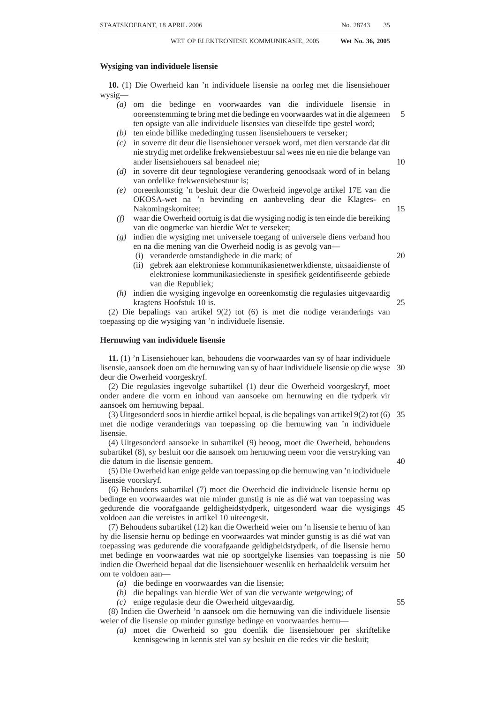45(3) and (4) do not apply to any such electronic communications facilities leasing agreement.

(7) Despite a finding of significant market power, for purposes of promoting investment in new fibre electronic communications networks, the Authority may exempt an electronic communications network service licensee from the obligation to lease fibre loops and sub-loops serving residential premises if the electronic communications network service licensee meets the following requirements:

- *(a)* The new fibre loops and sub-loops, as applicable, have been, or will be, constructed and placed in operation after the coming into force of this Act;
- *(b)* the new fibre loops and sub-loops, as applicable, are, or will be— (i) constructed in, and serve, a geographic area that, at the time of construction, is not then served by the electronic communications network service licensee and such electronic communications network service licensee has no obligation to serve such geographic area; or
	- (ii) constructed in, and serve, a geographic area that, at the time of 15 construction, is then served by the electronic communications network service licensee and such electronic communications network service licensee maintains and continues to support its existing electronic communications facilities in the geographic area and to make such existing electronic communications facilities available for lease in 20 accordance with the obligations under this Chapter and electronic communications facilities leasing regulations; and
- *(c)* the electronic communications network service licensee has not entered into any exclusive arrangement with the owner of the property, local authority or any other person or persons exercising control over the geographic area or 25 parts thereof barring or impeding the construction of competing electronic communications networks in the geographic area.

#### **Filing of electronic communications facilities leasing agreements**

**45.** (1) An electronic communications facilities leasing agreement must be in writing and must be submitted to the Authority. 30

(2) Electronic communications facilities leasing agreements are effective and enforceable upon being filed with the Authority in the prescribed manner unless an order of a court of competent jurisdiction is granted against such agreement or the Authority provides the parties with written notice of non-compliance in terms of subsection (6).

(3) The Authority must publish electronic communications facilities leasing 35 agreements submitted in terms of subsection (1).

(4) The Authority must, at the request of any person and on payment of such fee as may be prescribed, furnish that person with a copy of any electronic communications facilities leasing agreement.

(5) The Authority must review electronic communications facilities leasing agree-40 ments submitted in terms of subsection (1) to determine whether such agreements are consistent with the regulations prescribed.

(6) Where the Authority determines that any term or condition of an electronic communications facilities leasing agreement is not consistent with the regulations, the Authority must in writing—

- *(a)* notify the parties of the non-complying terms and conditions; and
- *(b)* direct the parties to agree on new terms and conditions consistent with the regulations.

(7) The parties must, upon reaching agreement and amending the non-complying terms and conditions of the electronic communications facilities leasing agreement, 50submit the amended agreement to the Authority for consideration and review.

(8) The provisions of subsections (5) and (6) apply, with the necessary changes, to such consideration and review of the amended agreement by the Authority.

10

45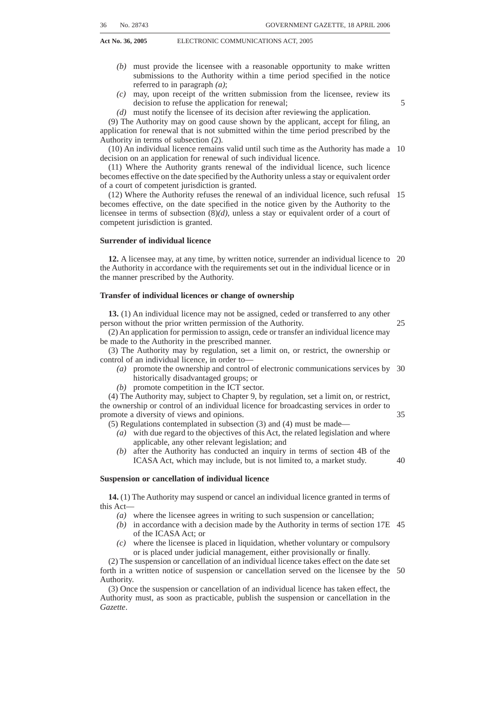| 70 | No. 28743 | <b>GOVERNMENT GAZETTE, 18 APRIL 2006</b> |
|----|-----------|------------------------------------------|
|    |           |                                          |

# **Notification of electronic communications facilities leasing agreement disputes**

**46.** (1) A party to a dispute arising out of an electronic communications facilities leasing agreement may notify the Authority in writing of the dispute and such dispute must be resolved, on an expedited basis, by the Complaints and Compliance Committee in accordance with the regulations prescribed by the Authority.

(2) A party who notifies the Authority of a dispute in terms of subsection (1) may, at any time, withdraw the notice in writing.

(3) A decision by the Complaints and Compliance Committee concerning any dispute or a decision concerning a dispute contemplated in section  $43(5)(c)$  is, in all respects, effective and binding on the parties to the electronic communications facilities leasing 10 agreement unless an order of a court of competent jurisdiction is granted against the decision.

# **Facilities leasing pricing principles**

**47.** The Authority may prescribe regulations establishing a framework for the establishment and implementation of wholesale rates applicable to specified types of 15 electronic communication facilities and associated services taking into account the provisions of Chapter 10.

#### **CHAPTER 9**

# **BROADCASTING SERVICES**

# **Application**

**48.** This chapter applies only to broadcasting service licensees.

#### **Public broadcasting service licences**

**49.** In considering the grant of a new public broadcasting service licence the Authority must, with due regard to the objects and principles enunciated in section 2, among others, take into account the following:

- *(a)* The demand for the proposed broadcasting service within the proposed licenced area;
- *(b)* The need for the proposed broadcasting service within such area, having regard to broadcasting services already existing in that area; and
- *(c)* The technical quality of the proposed broadcasting service in regard to 30 developments in broadcasting technology.

# **Community broadcasting service licences**

**50.** In considering the grant of a new community broadcasting service licence the Authority must, with due regard to the objects and principles enunciated in section 2, among others, take into account whether—

- *(a)* the applicant is fully controlled by a non-profit entity and carried on or is to be carried on for non-profit purposes;
- *(b)* the applicant intends to serve the interests of the relevant community;
- *(c)* as regards the provision of the proposed broadcasting service, the applicant has the support of the relevant community or of those associated with or 40 promoting the interests of such community, which support must be measured according to such criteria as may be prescribed;
- *(d)* the applicant intends to encourage members of the relevant community or those associated with or promoting the interests of such community to participate in the selection and provision of programmes to be broadcast in the 45course of such broadcasting service; and
- *(e)* the applicant has never been convicted of an offence in terms of this Act or the related legislation.

25

35

20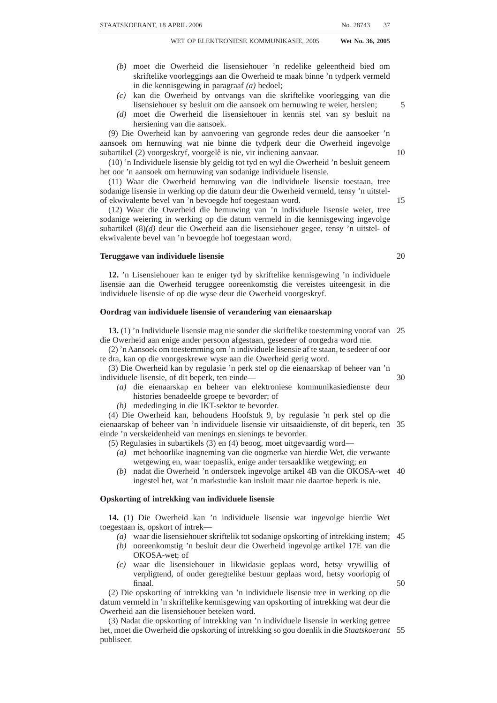# **Commercial broadcasting service licences**

**51.** In considering the grant of a new commercial broadcasting service licence the Authority must, with due regard to the objects and principles enunciated in section 2, among others take into account the following:

- *(a)* The demand for the proposed broadcasting service within the proposed licence area; 5
- *(b)* The need for the proposed broadcasting service within such licence area, having regard to the broadcasting services already existing in that area;
- *(c)* The expected technical quality of the proposed broadcasting service, having regard to developments in broadcasting technology;
- *(d)* The capability, expertise and experience of the applicant;
- *(e)* The financial means and business record of the applicant;
- *(f)* The business record of persons in a position to control the operations of the licensee, either in an individual capacity or directly or indirectly in relation to management or corporate structure;
- *(g)* The applicant's record and the record of those persons referred to in paragraph *(f)*, in relation to situations requiring trust and candour;
- *(h)* Whether the applicant is precluded, in terms of section 64 from holding a broadcasting service licence; and
- *(i)* Whether either the applicant or persons referred to paragraph *(f)* have been 20 convicted of an offence in terms of this Act or the related legislation.

# **Prohibition on granting of broadcasting service licence to party-political entities**

**52.** No broadcasting service licence may be granted to any party, movement, organisation, body or alliance which is of a party-political nature.

# **Record of programmes broadcast by broadcasting service licensees**

25

10

15

**53.** (1) A broadcasting service licensee must—

- *(a)* on demand by the Authority, produce to the Authority any recording of every programme broadcast in the course of his or her broadcasting service for examination or reproduction, within 60 days from the date of broadcast;
- *(b)* on demand of the Complaints and Compliance Committee, produce to the 30 Complaints and Compliance Committee any script or transcript of a programme after the broadcast of the programme.

(2) Nothing in this Act may be construed as requiring or authorising the Authority or the Complaints and Compliance Committee, in the performance of its functions, to view programmes prior to their being broadcast. 35

#### **Code of conduct for broadcasting service licensees**

**54.** (1) The Authority must, as soon as reasonably possible after the coming into effect of this Act and subject to this Act, review existing regulations, and prescribe regulations setting out a code of conduct for broadcasting service licensees.

(2) Subject to the provisions of subsection (3), all broadcasting service licensees must 40 adhere to the code of conduct for broadcasting service licensees as prescribed.

(3) The provisions of subsection (2) do not apply to a broadcasting service licensee who is a member of a body which has proved to the satisfaction of the Authority that its members subscribe and adhere to a code of conduct enforced by that body by means of its own disciplinary mechanisms, provided such code of conduct and disciplinary 45 mechanisms are acceptable to the Authority.

# **Control over advertisements**

**55.** (1) All broadcasting service licensees must adhere to the Code of Advertising Practice (in this section referred to as the Code) as from time to time determined and administered by the Advertising Standards Authority of South Africa.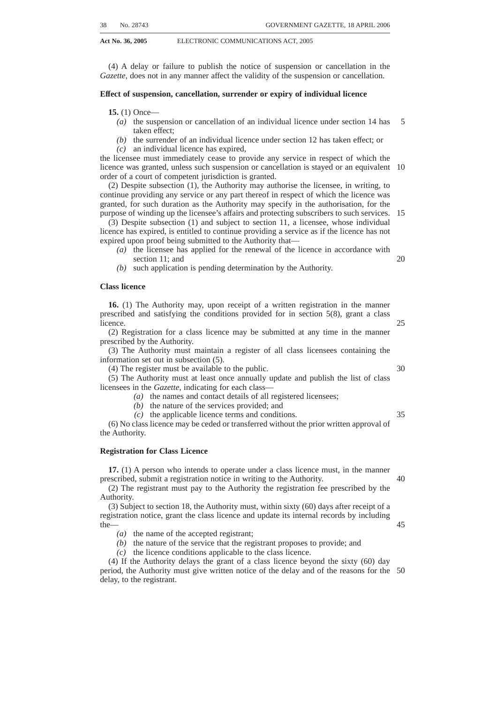(2) The Complaints and Compliance Committee must adjudicate complaints concerning alleged breaches of the Code by broadcasting service licensees who are not members of the Advertising Standards Authority of South Africa, in accordance with section 17C of the ICASA Act.

(3) Where a broadcasting licensee, irrespective of whether or not he or she is a member of the said Advertising Standards Authority, is found to have breached the Code, such broadcasting licensee must be dealt with in accordance with applicable provisions of the ICASA Act. 5

#### **Prohibition on broadcasting of party election broadcasts and political advertisements except in certain circumstances**

10

**56.** A party election broadcast and a political advertisement must not be broadcast on any broadcasting service except during an election period and then only if, and to the extent authorised by the provisions of sections 57 and 58.

#### **Broadcasting of party election broadcasts on public broadcasting services**

**57.** (1) Subject to the provisions of this section, a public broadcasting service licensee 15 must permit a party election broadcast only during an election period and then only if such a broadcast is produced on behalf of the political party in question at the instance of its duly authorised representative.

(2) The Authority must determine the time to be made available to political parties for the purposes of subsection (1), including the duration and scheduling of party election 20 broadcasts, taking into account the financial and programming implications for the broadcasting services in question.

(3) The Authority must consult with the relevant public broadcasting service licensee and all the political parties prior to making any determination in terms of subsection (2).

(4) In making any determination in terms of subsection (2), the Authority may impose such conditions on a public broadcasting service licensee with respect to party election broadcasts as it considers necessary, having due regard to the fundamental principle that all political parties are to be treated equitably. 25

(5) A party election broadcast may not contain any material which may reasonably be anticipated to expose the broadcasting service licensee to legal liability if such material 30 were to be broadcast.

(6) A party election broadcast must conform to a technical quality acceptable to the Authority.

(7) No party election broadcast may be broadcast later than 48 hours prior to the commencement of the polling period.

(8) A commercial or community broadcasting service licensee is not required to broadcast party election broadcasts, but if he or she elects to do so, the preceding provisions of this section applies, with the necessary changes.

#### **Political advertising on broadcasting services**

**58.** (1) A broadcasting service licensee is not required to broadcast a political 40 advertisement, but if he or she elects to do so, he or she must afford all other political parties, should they so request, a like opportunity.

(2) A broadcasting service licensee may broadcast a political advertisement only during an election period and then only if it has been submitted to such licensee on behalf of a political party by its duly authorised representative.

(3) In making advertising time available to political parties, no broadcasting service licensee may discriminate against any political party or make or give any preference to any political party or subject any political party to any prejudice.

(4) A political advertisement may not contain any material which may reasonably be anticipated to expose the broadcasting service licensee to legal liability if such material 50 were to be broadcast.

(5) A political advertisement must conform to a technical quality acceptable to the Authority.

(6) No political advertisement may be broadcast later than 48 hours prior to the commencement of the polling period.

55

45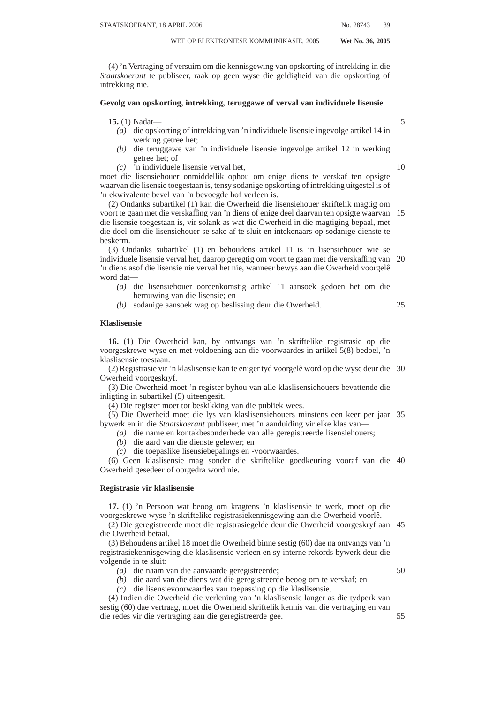(7) This section is subject to the provisions of any law relating to the expenditure of political parties during an election period.

# **Equitable treatment of political parties by broadcasting service licensees during election period**

**59.** (1) If, during an election period, the coverage of any broadcasting service extends to the field of elections, political parties and issues relevant thereto, the broadcasting services licensee concerned must afford reasonable opportunities for the discussion of conflicting views and must treat all political parties equitably. 5

(2) In the event of any criticism against a political party being levelled in a particular programme of any broadcasting service—

*(a)* without such party having been afforded an opportunity to respond thereto in such programme; or

*(b)* without the view of such political party having been reflected therein, the broadcasting services licensee concerned must afford such party a reasonable opportunity to respond to the criticism.

(3) If, within 48 hours before the commencement of the polling period or during the polling period, a broadcasting services licensee intends broadcasting a programme in which a particular political party is criticised, the licensee must ensure that the political party in question is given a reasonable opportunity to—

*(a)* respond thereto in the same programme; or

*(b)* respond thereto as soon as is reasonably practicable thereafter. (4) Subsection (3) does not apply in relation to the contents of any party election broadcast in the circumstances contemplated in section 57 and any political advertisement in the circumstances contemplated in section 58.

#### **Restriction on subscription broadcasting services**

**60.** (1) Subscription broadcasting services may not acquire exclusive rights that prevent or hinder the free-to-air broadcasting of national sporting events, as identified in the public interest from time to time, by the Authority, after consultation with the Minister and the Minister of Sport and in accordance with the regulations prescribed by the Authority.

(2) In the event of a dispute arising concerning subsection (1), any party may notify the Authority of the dispute in writing and such dispute must be resolved on an expedited basis by the Authority in accordance with the regulations prescribed by the Authority.

(3) The Authority must prescribe regulations regarding the extent to which subscription broadcast services must carry, subject to commercially negotiable terms, the television programmes provided by a public broadcast service licensee. 35

(4) Subscription broadcasting services may draw their revenues from subscriptions, advertising and sponsorships, however, in no event may advertising or sponsorship, or a combination thereof, be the largest source of annual revenue.

#### **Preservation of South African programming**

**61.** (1) The Authority may prescribe regulations applicable to broadcasting service licensees regarding the commissioning of independently produced South African programming.

(2) For purposes of this section—

- *(a)* ''local television content'' means a television programme, excluding transmission of sporting events and compilations thereof, advertisements, teletext and continuity announcements, which is produced— 45
	- (i) by a broadcasting service licensee;
	- (ii) by a person who is a citizen of, and permanently resident in, the Republic;
	- (iii) by a juristic person, the majority of the directors, shareholders or members of whom are citizens of, and permanently resident in, the Republic;
	- $(iv)$  in a co-production in which persons referred to in subparagraphs  $(i)$ ,  $(ii)$ or (iii) have at least a fifty percent financial interest;
	- (v) by persons referred to in subparagraphs (i), (ii), (iii) or (iv), in circumstances where the prescribed number of key personnel who are

10

15

20

30

25

40

50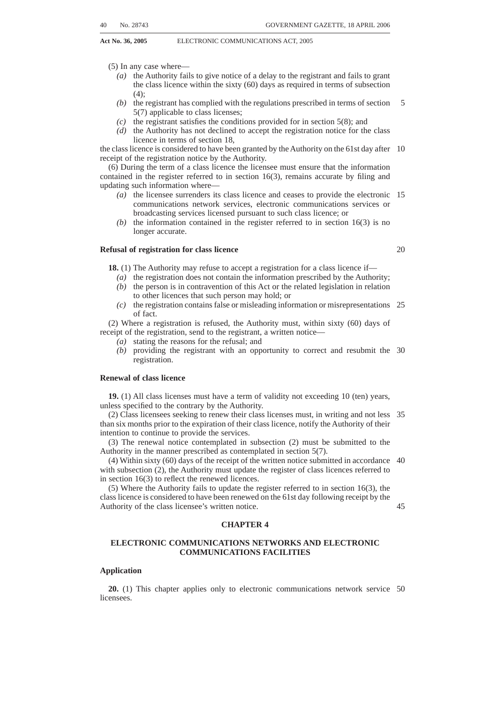involved in the production of the television programme, are citizens of, and permanently resident in, the Republic; or

- (vi) by persons referred to in subparagraphs (i), (ii), (iii) or (iv), in circumstances where the prescribed percentage of the production costs are incurred in the Republic;
- *(b)* ''independent television production'' means a production of local television content—
	- (i) by a person not directly or indirectly employed by any broadcasting service licensee; or
	- (ii) by a person who is not controlled by or is not in control of any broadcasting service licensee; and 10
- *(c)* a musical work broadcast by a broadcasting service licensee qualifies as ''South African music'' if such work complies with at least two of the following criteria, namely—
	- (i) if the lyrics (if any) were written by a South African citizen;
	- (ii) if the music was written by a South African citizen;

*(aa)* recorded wholly in the Republic; or

- (iii) if the music or lyrics was or were principally performed by musicians who are South African citizens;
- (iv) if the musical work consists of a live performance which is—
- 20

15

5

*(bb)* performed wholly in the Republic and broadcast live in the Republic.

(3) The Authority may, in respect of the television broadcasting service licence, impose and specify in that licence, such conditions, as prescribed, regarding local television content and independent television production, which without derogating 25 from the generality of the foregoing, may include any conditions requiring the broadcasting service licensee—

- *(a)* to annually expend a specified sum of money, subject to reasonable yearly escalation or, alternatively, a specified minimum percentage of its gross revenue, on programmes which have local television content;
- *(b)* to allocate a specified minimum percentage of its total broadcasting time to television programmes which have local television content;
- *(c)* in the case where the broadcasting service licensee has a regional or local licence area, to allocate a specified minimum percentage of broadcasting time to local television programmes which have been produced in the relevant 35 region or locality; and
- *(d)* to allocate a specified minimum portion of the percentage referred to in paragraph *(a)*, *(b)* or *(c)*, whichever is applicable, to a prescribed diversity of television programmes which are independent television productions.

(4) The Authority may, in relation to a sound broadcasting service, prescribe 40 conditions in terms of which the broadcasting service licensee is required to broadcast a specified minimum percentage of musical works which qualify as South African music.

(5) In prescribing any amount or percentage in terms of subsections (3) or (4), the Authority may prescribe the application thereof with regard to—

- *(a)* any of the categories of broadcasting service licence referred to in sections 49, 45 50 and 51;
- *(b)* defined viewing and listening times, where applicable;
- *(c)* various categories of television programmes, where applicable; and
- *(d)* the period within which the broadcasting service licensee must comply with the provisions of this section. 50

#### **Broadcasting signal distribution objectives**

**62.** (1) Where an electronic communications network service licensee provides broadcasting signal distribution or multi-channel distribution services, such provider must, subject to the general terms and conditions of its licence as determined by the Authority—

- *(a)* give priority to the carriage of South African broadcasting channels, which includes local programming where the Authority considers it appropriate;
- *(b)* provide universal access for all South Africans to broadcasting services;
- *(c)* provide a diversity of type of broadcasting services;
- *(d)* be open, interoperable and harmonised with the Southern African region, and 60be able to meet international distribution standards.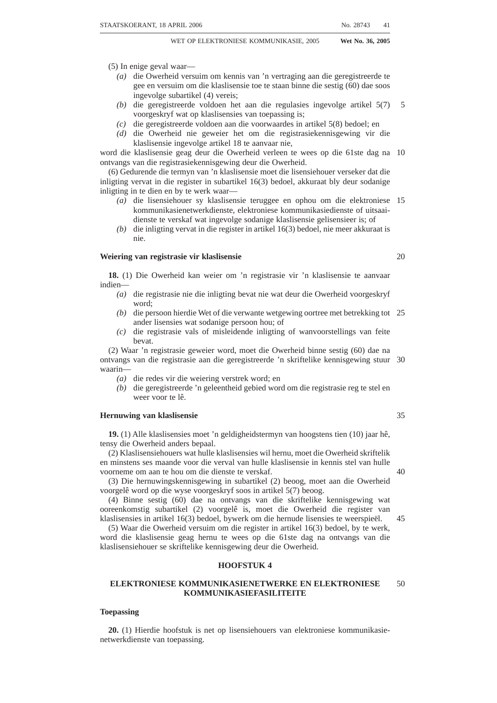(2) An electronic communications network service licensee that provides broadcasting signal distribution or multi-channel distribution services must—

- *(a)* comply with the provisions of this Act and the frequency plan of the Authority;
- *(b)* provide broadcasting signal distribution only to a broadcasting service provided under an appropriate and valid broadcasting licence; and 5
- take due cognisance of the environmental impact of his or her operational activities and comply with all applicable laws relating to the protection of the environment.

(3) A common carrier must—

- *(a)* subject to its technological capacity to do so and to the provisions of paragraph *(b)*, provide broadcasting signal distribution to broadcasting licensees upon their request on an equitable, reasonable, non-preferential and non-discriminatory basis;
- *(b)* in determining its tariffs, duly take into account the following:
	- (i) the different categories of broadcasting service licenses referred to in sections 49, 50 and 51; and
	- (ii) the nature and technical parameters of the service provided to each broadcasting licensee with a view to ensuring that the different tariffs are appropriate to and commensurate with the various broadcasting services 20 to which they relate;
- *(c)* carry public broadcasting services, including educational, commercial and community services.

# **Self provisioning by broadcasting service licensees**

**63.** (1) Broadcasting service licensees may self provide their broadcasting signal 25 distribution upon obtaining an electronic communications network services licence.

(2) A broadcasting service licensee may also provide any electronic communications service upon obtaining an electronic communications services licence.

(3) A broadcasting service licensee may not provide a broadcasting service utilising any portion of the radio frequency spectrum without first obtaining a radio frequency 30 spectrum licence in terms of this Act.

#### **Limitations on foreign control of commercial broadcasting services**

**64.** (1) A foreigner may not, whether directly or indirectly—

- *(a)* exercise control over a commercial broadcasting licensee; or
- *(b)* have a financial interest or an interest either in voting shares or paid-up capital 35 in a commercial broadcasting licensee, exceeding twenty (20) percent.

(2) Not more than twenty (20) percent of the directors of a commercial broadcasting licensee may be foreigners.

# **Limitations on control of commercial broadcasting services**

**65.** (1) No person may—

- *(a)* directly or indirectly exercise control over more than one commercial broadcasting service licence in the television broadcasting service; or
- *(b)* be a director of a company which is, or of two or more companies which between them are, in a position to exercise control over more than one commercial broadcasting service licence in the television broadcasting 45 service; or
- *(c)* be in a position to exercise control over a commercial broadcasting service licence in the television broadcasting service and be a director of any company which is in a position to exercise control over any other commercial broadcasting service license in the television broadcasting service.

(2) No person may—

- *(a)* be in a position to exercise control over more than two commercial broadcasting service licences in the FM sound broadcasting service;
- *(b)* be a director of a company which is, or of two or more companies which between them are, in a position to exercise control over more than two 55commercial broadcasting service licences in the FM sound broadcasting service;

40

50

80 No. 28743 GOVERNMENT GAZETTE, 18 APRIL 2006

10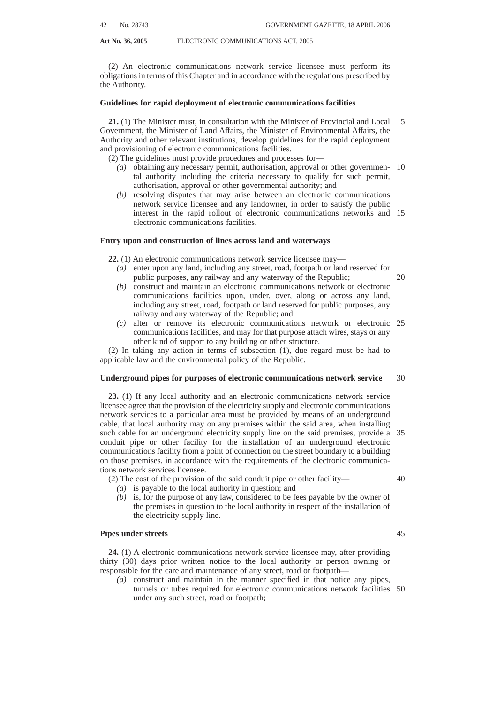- **Act No. 36, 2005** ELECTRONIC COMMUNICATIONS ACT, 2005
	- *(c)* be in a position to exercise control over two commercial broadcasting service licences in the FM sound broadcasting service and be a director of any company which is in a position to exercise control over any other commercial broadcasting licence in the FM sound broadcasting service.

(3) A person referred to in subsection (2) must not be in a position to control two commercial broadcasting service licences in the FM sound broadcasting service, which either have the same licence areas or substantially overlapping licence areas. 5

(4) No person may—

- *(a)* be in a position to exercise control over more than two commercial broadcasting service licences in the AM sound broadcasting service;
- *(b)* be a director of a company which is, or of two or more companies which between them are, in a position to exercise control over more than two commercial broadcasting service licences in the AM sound broadcasting services; or
- *(c)* be in a position to exercise control over two commercial broadcasting service 15 licences in the AM sound broadcasting service and be a director of any company which is in a position to exercise control over any other commercial broadcasting service licence in the AM sound broadcasting service.

(5) No person referred to in subsection (4) may be in a position to control two commercial broadcasting service licences in the AM sound broadcasting service, which 20 either have the same licence areas or substantially overlapping licence areas.

(6) The Authority may, on application by any person, on good cause shown and without departing from the objects and principles enunciated in section 2, exempt such person from the provisions of subsections (1) to (5).

(7) The Authority may, whenever the Authority considers it necessary in view of the 25 developments in broadcasting technology or for the purposes of advancing the objects and principles enunciated in section 2, institute and conduct a public inquiry and make recommendations to the Minister regarding the amendment of any of the provisions of subsections  $(1)$  to  $(6)$ .

(8) The recommendations contemplated in subsection (7) must be tabled in the 30 National Assembly by the Minister within 14 days of receipt thereof, if the National Assembly is then in session, or if the National Assembly is not in session, within 14 days after the commencement of its next ensuing session.

# **Limitations on cross-media control of commercial broadcasting services**

**66.** (1) Cross-media control of broadcasting services must be subject to such 35 limitations as may from time to time be determined by the National Assembly acting on the recommendation of the Authority, after consultation with the Minister, in accordance with the provisions of the Constitution.

(2) No person who controls a newspaper, may acquire or retain financial control of a commercial broadcasting service licence in both the television broadcasting service and 40 sound broadcasting service.

(3) No person who is in a position to control a newspaper may be in a position to control a commercial broadcasting service licence, either in the television broadcasting service or sound broadcasting service, in an area where the newspaper has an average ABC circulation of twenty (20%) percent of the total newspaper readership in the area, 45 if the licence area of the commercial broadcasting service licence overlaps substantially with the said circulation area of the newspaper.

(4) In this section ''Substantial overlap'' means an overlap by fifty (50%) percent or more.

(5) A twenty (20%) percent shareholding in a commercial broadcasting service 50 licence, in either the television broadcasting service or sound broadcasting service, is considered as constituting control.

(6) The Authority may, on good cause shown and without departing from the objects and principles enunciated in section 2, exempt affected persons from any of the limitations provided for in this section.

10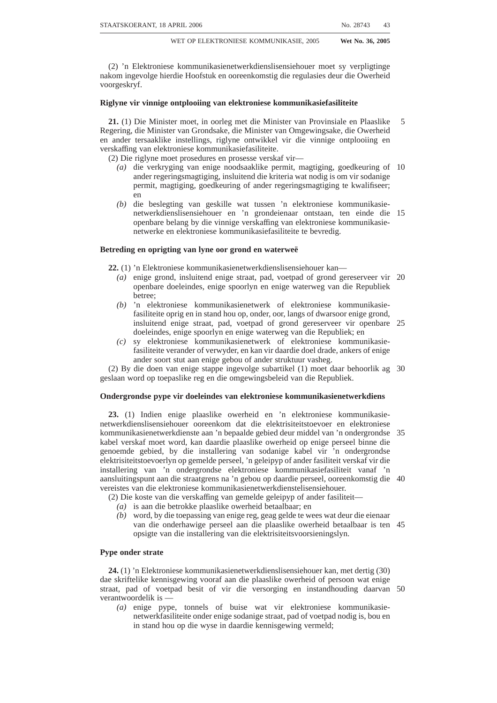(7) The Authority may, whenever the Authority considers it necessary in view of the developments in broadcasting technology or for the purposes of advancing the objects and principles enunciated in section 2, institute and conduct a public inquiry and make recommendations to the Minister regarding amendment of any of the provisions of subsections  $(1)$  to  $(6)$ .

(8) The recommendations contemplated in subsection (7) must be tabled in the National Assembly by the Minister within 14 days of receipt thereof if the National Assembly is then in session, or if the National Assembly is not in session, within 14 days after the commencement of its next ensuing session.

(9) A determination made in terms of subsection (1), whether or not pursuant to an 10 inquiry by the Authority, is not applicable to, and is not enforceable against, any broadcasting service licensee to which such determination relates for the duration of the term of the licence valid at the time such determination is made, but becomes applicable to, and enforceable against, such a broadcasting service licensee only upon the renewal of its licence upon the expiration of such term. 15

#### **CHAPTER 10**

# **COMPETITION MATTERS**

# **Competition matters**

**67.** (1) Where the Authority determines that the holder of a licence under this Act or a person providing a service pursuant to a licence exemption has engaged in an act or 20 intends to engage in any act that is likely to substantially prevent or lessen competition by, among other things,—

- *(a)* giving an undue preference to; or
- *(b)* causing undue discrimination against,

any other licensee or person providing a service pursuant to a licence exemption, the 25 Authority may direct the licensee, by written notice, to cease or refrain from engaging in such act.

(2) The Authority must prescribe regulations—

- *(a)* setting out what actions in terms of subsection (1) would be considered by the Authority as giving undue preference to or causing undue discrimination 30 against another licensee or person providing a service pursuant to a licence exemption;
- *(b)* detailing procedures for complaints and the monitoring and investigation of such actions that ensure the protection of the interests of consumers;
- *(c)* indicating the penalties that may be imposed for failure to comply with a 35 written notice to cease or refrain from taking such actions as prescribed in terms of subsection (2)*(a)*.

(3) The regulations prescribed in terms of subsection (2) must specify that—

- *(a)* the Authority may refrain in whole or in part from the exercise of any power or the performance of any function under subsection (1) where the Authority 40 finds, as a question of fact, that to refrain would be consistent with South African electronic communications and broadcasting policy objectives contained in section 2;
- *(b)* no ruling may be made unless, as a question fact, the Authority is satisfied that the service or class of services in question, is or will be subject to competition 45 sufficient to protect the interests of users; and
- *(c)* the Authority must not make a ruling if the Authority finds, as a question of fact, that to refrain would be likely to impair the establishment or continuance of a competitive market for that service or class of service.

(4) The Authority must prescribe regulations defining the relevant markets and market 50segments, as applicable, that pro-competitive conditions may be imposed upon licensees having significant market power where the Authority determines such markets or market segments have ineffective competition. The regulations must, among other things-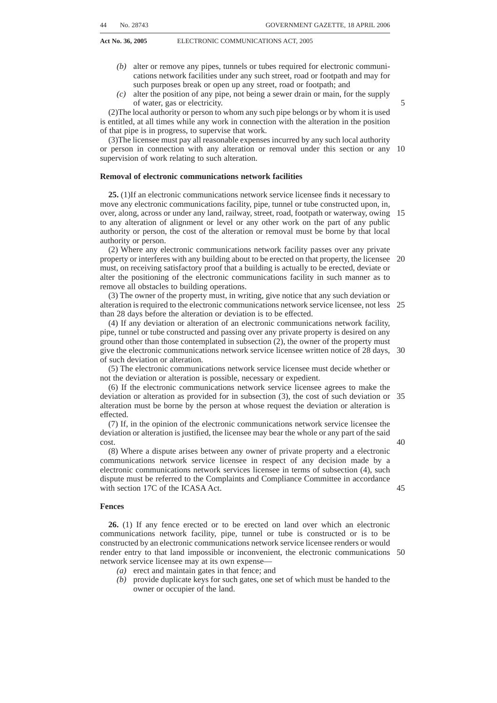- Act No. 36, 2005 ELECTRONIC COMMUNICATIONS ACT 2005
	- *(a)* define and identify the retail or wholesale markets or market segments in which it intends to impose pro-competitive measures in cases where such markets are found to have ineffective competition;
	- *(b)* set out the methodology to be used to determine the effectiveness of competition in such markets or market segments, taking into account subsection (8); 5
	- *(c)* set out the pro-competitive measures the Authority may impose in order to remedy the perceived market failure in the markets or market segments found to have ineffective competition taking into account subsection (7);
	- *(d)* declare licensees in the relevant market or market segments, as applicable, 10 that have significant market power, as determined in accordance with subsection (6), and the pro-competitive conditions applicable to each such licensee<sup>.</sup>
	- *(e)* set out a schedule in terms of which the Authority will undertake periodic review of the markets and market segments, taking into account subsection (9) and the determination in respect of the effectiveness of competition and application of pro-competitive measures in those markets; and 15
	- provide for monitoring and investigation of anti-competitive behaviour in the relevant market and market segments.

(5) A licensee has significant market power with regard to the relevant market or 20 market segment where the Authority finds that the particular individual licensee or class licensee—

- *(a)* is dominant;
- *(b)* has control of essential facilities; or
- *(c)* has a vertical relationship that the Authority determines could harm 25 competition in the market or market segments applicable to the particular category of licence.

(6) The methodology contemplated in subsection (4)*(b)* must include but is not limited to an assessment of the following:

- *(a)* When defining the relevant market or market segments the Authority must 30 consider the non-transitory (structural, legal, or regulatory) entry barriers to the applicable markets or market segments and the dynamic character and functioning of the subject markets or market segments;
- *(b)* When conducting an analysis of the effectiveness of competition in the relevant markets or market segments the Authority must take the following 35 factors, among others, into account:
	- (i) An assessment of relative market share of the various licensees in the defined markets or market segments; and
	- (ii) A forward looking assessment of the market power of each of the market participants over a reasonable period in terms of, amongst others: *(aa)* actual and potential existence of competitors; 40
		- *(bb)* the level, trends of concentration, and history of collusion, in the market;
		- *(cc)* the overall size of each of the market participants;
		- *(dd)* control of essential facilities;

45

- *(ee)* technological advantages or superiority of a given market participant;
- *(ff)* the degree of countervailing power in the market;
- *(gg)* easy or privileged access to capital markets and financial resources;
- *(hh)* the dynamic characteristics of the market, including growth, 50 innovation, and products and services diversification;
- *(ii)* economies of scale and scope;
- *(jj)* the nature and extent of vertical integration;
- *(kk)* the ease of entry into the market, including market and regulatory barriers to entry.
- (7) Pro-competitive terms and conditions may include but are not limited to—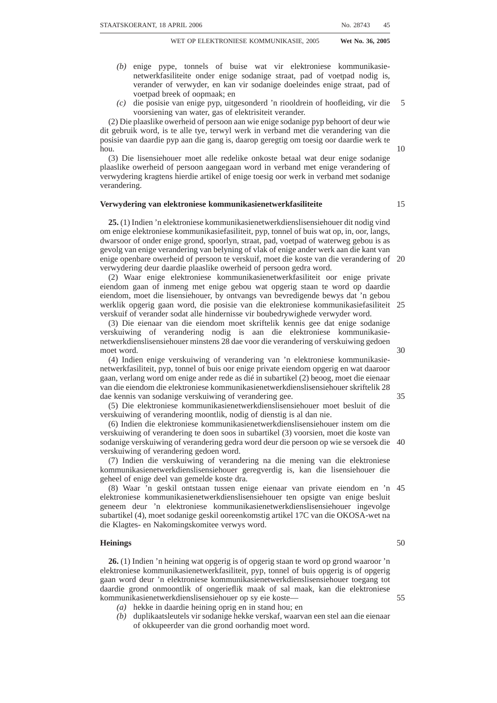- *(a)* an obligation to act fairly and reasonably in the way in which the licensee responds to requests for access, provisioning of services, interconnection and facilities leasing;
- *(b)* a requirement that the obligations contained in the licence terms and pro-competitive conditions must be complied with within the periods and at the times required by or under such terms and conditions, failing which a penalty may be imposed; 5
- *(c)* a prohibition against discriminating in relation to matters connected with access, provisioning of services, interconnection and facilities leasing;
- *(d)* an obligation requiring the licensee to publish, in such manner as the 10 Authority may direct, all such information for the purpose of ensuring transparency in relation to—
	- (i) access, interconnection and facilities leasing; or
	- (ii) the provision of electronic communications network services, electronic communications services or any other service offered by the licensee 15 applicable to the relevant market or market segments at issue;
- *(e)* an obligation to publish, in such manner as the Authority may direct, the terms and conditions for—
	- (i) access, interconnection and facilities leasing; or
	- (ii) the provision of electronic communications network services, electronic 20 communications services or any other service offered by the licensee applicable to the relevant market or market segments at issue which may take the form of a reference offer;
- *(f)* an obligation to maintain a separation for accounting purposes between different matters relating to— 25
	- (i) access, interconnection and facilities leasing;
	- (ii) the provision of electronic communications network services, electronic communications services or any other service offered by the licensee applicable to the relevant market or market segments at issue; and
	- (iii) retail and wholesale prices;
- *(g)* a requirement relating to the accounting methods to be used in maintaining the separation of accounts referred to in paragraph *(f)*;
- *(h)* such price controls, including requirements relating to the provision of wholesale and retail prices in relation to matters connected with the provision of— 35
	- (i) access, interconnection and facilities leasing; or
	- (ii) electronic communications network services, electronic communications services or any other service offered by the licensee applicable to the relevant market or market segments at issue;
- *(i)* matters relating to the recovery of costs and cost orientation and with regard 40 to broadcasting services, the appropriate amount of South African programming, including—
	- (i) music content;
	- (ii) news and information programmes; and
	- (iii) where appropriate, programming of local or regional significance; 45
- *(j)* matters relating to the accounts, records and other documents to be kept and made available for inspection by the Authority.

(8) Review of pro-competitive conditions:

- *(a)* Where the Authority undertakes a review of the pro-competitive conditions imposed upon one or more licensees under this subsection, the Authority 50 must—
	- (i) review the market determinations made on the basis of earlier analysis; and
	- (ii) decide whether to modify the pro-competitive conditions set by reference to a market determination;
- *(b)* Where, on the basis of a review under this subsection, the Authority determines that a licensee to whom any pro-competitive conditions apply is no longer a licensee possessing significant market power in that market or market segment, the Authority must revoke the applicable pro-competitive conditions applied to that licensee by reference to the previous market determination 60based on earlier analysis;

30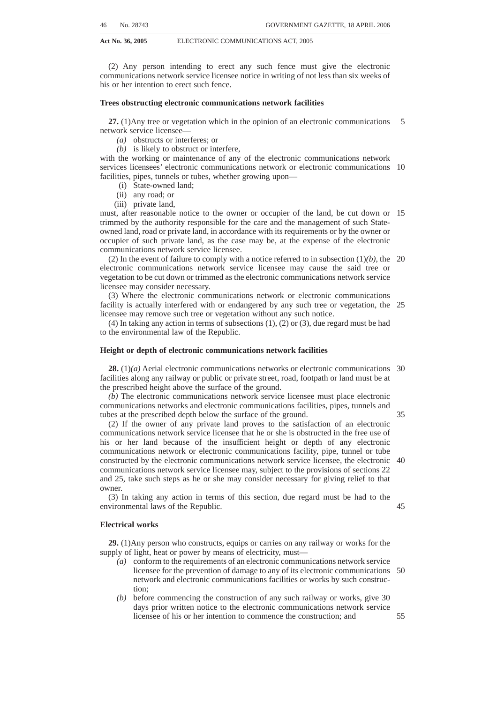- **Act No. 36, 2005** ELECTRONIC COMMUNICATIONS ACT, 2005
	- *(c)* Where, on the basis of such review, the Authority determines that the licensee to whom pro-competitive conditions apply continues to possess significant market power in that market or market segment, but due to changes in the competitive nature of such market or market segment the pro-competitive conditions are no longer proportional in accordance with subsection (7), the Authority must modify the applicable pro-competitive conditions applied to that licensee to ensure proportionality. 5

(9) Subject to the provisions of this Act, the Competition Act applies to competition matters in the electronic communications industry.

(10) The Authority is, for the purposes of the Competition Act, a regulatory authority 10 defined in section 1 of that Act.

(11) The Authority may ask for and receive from the Competition Commission, assistance or advice on relevant proceedings of the Authority, including proceedings under this Chapter.

(12) The Competition Commission may ask for and receive from the Authority, 15 assistance or advice on relevant proceedings of the Competition Commission.

#### **CHAPTER 11**

#### **NUMBERING**

#### **Numbering plans and number portability**

**68.** (1) The Authority must make regulations prescribing—

20

- *(a)* a numbering plan which must be amended and updated as the Authority considers necessary—
	- (i) for efficient use and allocation of numbers; and
	- (ii) to accommodate the varied protocols used and services provided by licensees under this Act; and 25
- *(b)* measures to ensure that number portability is introduced in 2005 or soon thereafter, as far as is practicably possible, including—

(i) the creation of a national number portability database; and

(ii) cost allocation and cost recovery among licensees.

(2) A numbering plan must consist of a scheme of identification so as to ensure that 30 electronic communications are correctly and efficiently directed to the point of reception for which they are intended.

(3) Subject to subsection (7), the Authority must, in preparing a numbering plan, take account of existing numbering plans or schemes.

(4) The numbering plan contemplated in subsection  $(1)(a)$  must be non-discrimina- 35 tory.

(5) The Authority must maintain and manage a central numbering database system.

(6) Every individual electronic communications service licensee and individual electronic communications network service licensee, as applicable, must submit information on all numbers, including numbers of pre-paid subscribers allocated in 40 terms of its licence, to the Authority.

(7) The regulations made in terms of subsection (1) must include matters relating to—

- *(a)* the fees licensees must pay for the allocation of numbers to recover administration costs;
- *(b)* the conditions under which a licensee may be required to surrender unused 45 numbers to the Authority for reallocation;
- *(c)* the allocation of responsibility between electronic communications service licensees and electronic communications network service licensees for the implementation of the numbering plan and number portability to—
	- (i) ensure effective functionality;
	- (ii) ensure access and routing within electronic communications networks; and
	- (iii) allow licensees to assign numbers to subscribers and transfer numbers when subscribers change services in an efficient manner without unreasonable delay or disruption of service; 55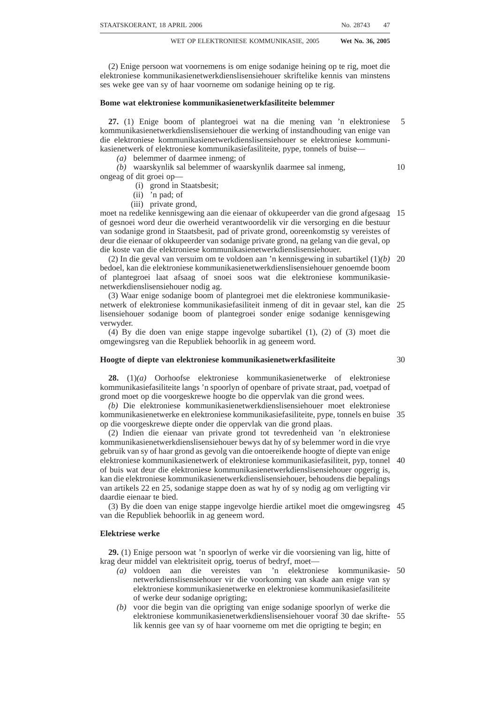- **Act No. 36, 2005** ELECTRONIC COMMUNICATIONS ACT, 2005
	- *(d)* the protection for consumers including disclosure of consumer rights relating  $to$ 
		- (i) numbers and number portability; and
		- (ii) the process and procedures to be followed for resolving subscriber complaints and affording subscribers remedies in the form of discounts and credits when the electronic communications network service licensee or electronic communications services licensee fails to meet its obligations under this section; and 5
	- *(e)* a framework, including a schedule for transforming the numbering plan to a non-geographic numbering system taking into account similar non-geographic numbering plans adopted in other jurisdictions and implementation of electronic numbering, allowing the inter-operation between telephone numbers and the Internet domain name system. 10

#### **CHAPTER 12**

#### **CONSUMER ISSUES**

**Code of conduct, end-user and subscriber service charter**

**69.** (1) The Authority must, as soon as reasonably possible after the coming into force of this Act, prescribe regulations setting out a code of conduct for licensees subject to this Act and persons exempted from holding a licence in terms of section 6 to the extent such persons provide a service to the public.

(2) The Authority may develop different codes of conduct applicable to different types of services. All electronic communications network services licence and electronic communications service licensees must comply with the Code of Conduct for such services as prescribed.

(3) The Authority must, as soon as reasonably possible after the coming into force of 25 this Act, prescribe regulations setting out the minimum standards for and end-user and subscriber service charters.

(4) The Authority may develop different minimum standards for and end-user and subscriber service charters for different types of services.

(5) The matters which an end-user and subscriber service charter may address 30 include, but are not limited to—

- *(a)* the provision of information to end-users and subscribers regarding services, rates, and performance procedures;
- *(b)* provisioning and fault repair services;
- *(c)* the protection of private end-user and subscriber information;
- *(d)* end-user and subscriber charging, billing, collection and credit practices;
- *(e)* complaint procedures and the remedies that are available to address the matters at issue; and
- *(f)* any other matter of concern to end-users and subscribers.

(6) Where an end-user or subscriber is not satisfied after utilising the complaint 40 procedures set out in the regulations, his or her complaint may be submitted to the Authority in accordance with the provisions of section 17C of the ICASA Act.

# **People with disabilities**

**70.** The Authority must prescribe regulations setting out a code on people with disabilities that will be applicable to all categories of licences. 45

#### **Consumer Advisory Panel**

**71.** (1) The Authority must establish a consumer advisory panel that will advise the Authority on matters relating to consumer issues in the Republic.

(2) The constitution of the consumer advisory panel must be as prescribed.

15

20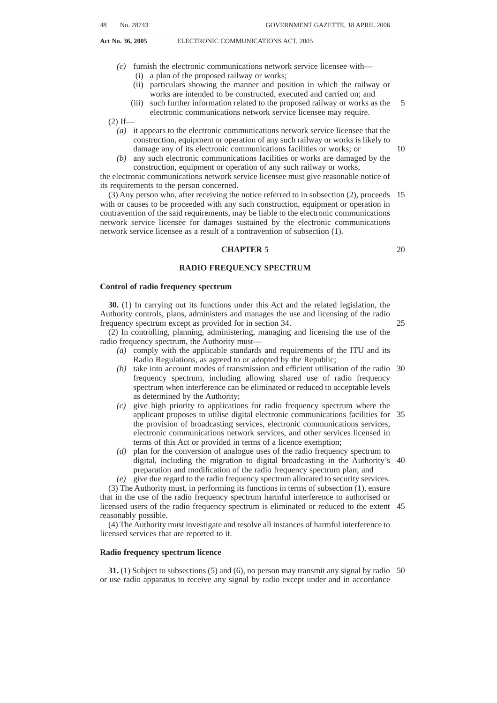#### **CHAPTER 13**

#### **GENERAL**

# **Establishment of Electronic Communications and ICT Museum, information communication technology for government and other related services**

**72.** (1) The Director-General must establish and manage a museum that depicts the evolution and the history of the communications and information communication technology sectors in South Africa. 5

(2) The museum and its contents are part of the national estate as defined in the National Heritage Resources Act, 1999 (Act No. 25 of 1999).

(3) The contents of the museum housed in the Telkom Museum on Telecommunica-10 tion History must be transferred to the museum established in terms of subsection (1).

(4) The Minister must, after consultation with the cabinet member responsible for government communications, establish a centre for government departments and entities to communicate with the public to ensure efficiency in administrative services. (5) The centre must also serve as the directory of contact using SMS and other related 15

services.

(6) The Authority must allocate a four-digit number through which the public can access government directory information services free of charge.

(7) The cost of providing the government directory information service must be borne by the licensee.

#### **E-rate**

**73.** (1) Internet services, provided to all public schools as defined in the South African Schools Act, 1996 (Act No. 84 of 1996), and all public further education and training institutions as defined in the Further Education and Training Act, 1998 (Act No. 98 of 1998), must be provided at a minimum discounted rate of 50% off the total charge levied 25 by the licensee providing Internet services to such institutions.

(2) The discount is applicable of the total charge levied by the licensee which includes but is not limited to the following:

- *(a)* Any connectivity charges for access to the Internet;
- *(b)* charges for any equipment used for or in association with connectivity to the 30 Internet; and
- *(c)* all calls made to an Internet Service Provider.

(3) Where the licensee, who provides Internet services to the institutions as contemplated in subsection (1), obtains its electronic communications facilities for the provision of Internet services from a electronic communications network service 35 licensee, the licensee is entitled to a minimum of 50% off the retail rate charged to it by the electronic communications network service licensee for the facilities in question.

(4) The implementation of this section must be in the manner prescribed.

(5) The Minister may, in consultation with the Minister responsible for Education, declare categories of independent schools or private further education and training 40 institutions to be entitled to the discount mentioned in subsection (1).

#### **Offences and penalties**

**74.** (1) Any natural person, juristic person or licensee who contravenes or fails to comply with any licence condition contained in the licence, is guilty of an offence and is liable on conviction to the penalties set out in subsection (2).

(2) Any natural person, juristic person or licensee who contravenes or fails to materially comply with any specific terms and conditions contained in the licence relating to construction or placing into service of electronic communications facilities or electronic communications networks, is guilty of an offence and upon conviction, such natural person, juristic person or licensee must outsource—

50

45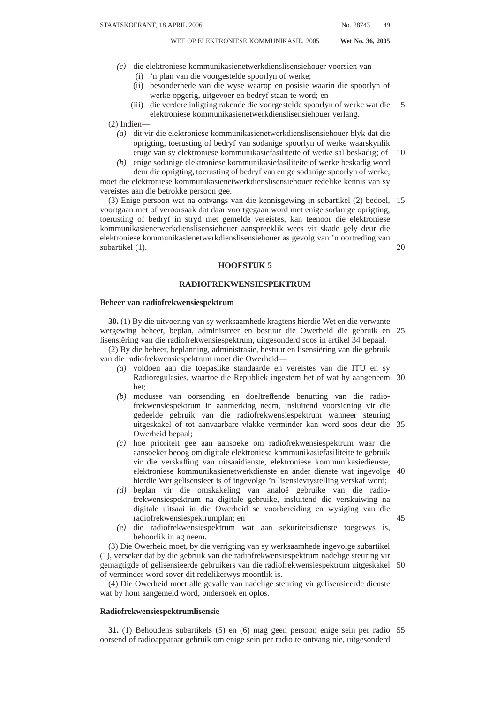- *(a)* the construction; or
- *(b)* placing into service,

of the electronic communications facilities or electronic communications networks, or parts thereof, that are the subject of the contravention or failure to comply, by entering into one or more agreements with a third-party engaging such person to build or operate the electronic communications facilities or electronic communications networks in accordance with the specific terms and conditions contained in the licence. 5

(3) The agreements contemplated in subsection (2) are subject to the following:

- *(a)* The natural person, juristic person or licensee must enter into the outsource agreement within (90) ninety days of a finding of a contravention or failure to 10 comply with the terms and conditions of the licensee; and
- *(b)* The particular electronic communications facilities or electronic communications networks must be constructed and placed in operation as soon as practicable after conclusion of the outsource agreement subject to oversight and review by the Authority.

(4) In the case of unwillingness or inability of the licensee to negotiate or agree on the terms and conditions of the outsource agreement, within the period specified in subsection  $(3)(a)$ , the Authority may—

- *(a)* impose terms and conditions consistent with the specific terms and conditions contained in the licence, this Act and the related legislation, as applicable; or 20
- *(b)* propose terms and conditions, which, subject to negotiations among the parties, must be agreed to by the parties within the period specified in subsection (3)*(a)*.

(5) The construction or placing into service of the electronic communications facilities or electronic communications networks, or parts thereof, contemplated in 25 subsection (2) may be undertaken by—

- *(a)* the third-party outsource contractor under the authority of the licence held by the natural person, juristic person or licensee that is a party to the outsource agreement; or
- *(b)* in terms of an individual or class licence held by the third-party outsource 30 contractor, provided, that the natural person, juristic person or licensee must remain liable under its licence and the outsource agreement must be subject to the terms and conditions of such licence, this Act and the related legislation, as applicable.

# **Directory services**

**75.** The Authority may prescribe or impose through licence conditions, as the case may be, measures in respect of directories and directory enquiry services, regarding—

- *(a)* the protection of personal data;
- *(b)* the protection of privacy;
- *(c)* language preferences;
- *(d)* the prevention of fraud;
- *(e)* the prohibition of marketing and unfair trading practices;
- *(f)* the provision of assistance to security services or other public safety officials;
- *(g)* related charges;
- *(h)* the establishment of a national directory information database;
- *(i)* the availability of a directory; and
- *(j)* such other related matters as the Authority may determine.

#### **Establishment of public emergency communications centres**

**76.** (1) The Minister may by notice in the *Gazette* establish public emergency communications centres to be known as ''112 Emergency Centres''. 50

(2) A 112 Emergency Centre is a service by means of which a subscriber has the ability to contact an emergency centre by dialling the numerals 112 in order to request an emergency service.

(3) 112 Emergency Centres must be accountable to the Minister.

45

40

35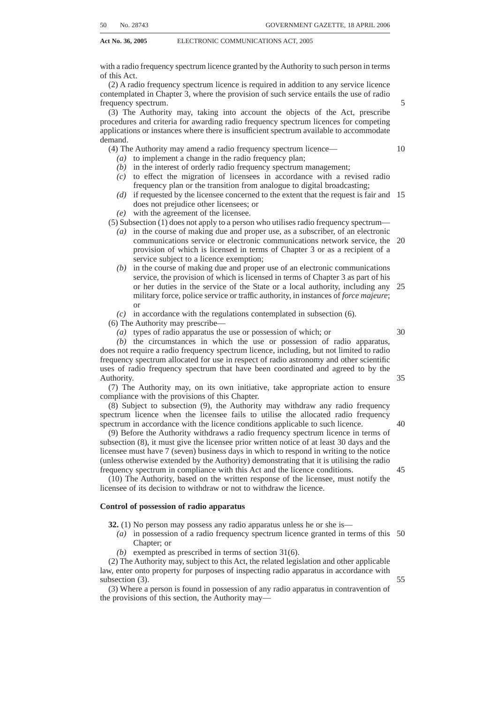(4) Electronic communications network service licensees and electronic communications service licensees must—

- *(a)* carry communications to 112 Emergency Centres and from 112 Emergency Centres to emergency organisations; and
- *(b)* make automatic number identity, such as caller line identity, and automatic location identity available to 112 Emergency Centres. 5

(5) The obligation imposed on licensees in terms of subsection  $(4)(b)$  supersedes any request by a subscriber to withhold their identity or location, which may be permitted under any applicable law or licence condition.

(6) Licensees are exempted from liability for all claims arising out of acts done in 10 meeting their obligation under subsection (4)*(b)*.

(7) The Authority may make regulations to—

- *(a)* ensure the implementation of sections 76, 77 and 78; and
- *(b)* extend the obligations under subsection (4) to other holders of class and individual licences.

(8) Where the Authority extends the obligations under subsection (4) to other licensees the provisions of sections 76, 77 and 78 apply to such licensees.

# **Duties of 112 Emergency Centres and licensees**

**77.** (1) 112 Emergency Centres must transmit a request for an emergency service to an emergency organisation.

(2) Licensees required to carry communications to 112 Emergency Centres may not levy any charge on the caller for placing calls to 112 Emergency Centres.

(3) The cost of transporting any communications, including automatic number identity and automatic location identity, to and from 112 Emergency Centres to any emergency organisation must be borne by the licensee.

#### **National Public emergency number**

**78.** (1) The number 112 is hereby established as the exclusive national public emergency number.

(2) No person may apply for the registration, in terms of applicable intellectual property legislation or any other law, of any mark or domain name containing the 30 numerals 1-1-2 in that sequence.

(3) No person may call the national emergency telecommunication number 112 for any purpose other than to request an emergency service.

#### **Standards, capabilities and operating procedures of 112 Emergency Centres**

**79.** (1) As far as practicably possible, 112 Emergency Centres must have voice, SMS, 35 data and global positioning systems capability.

(2) The Minister may, from time to time, by notice in the *Gazette* direct 112 Emergency Centres to develop and apply common technical standards and standard operating procedures.

(3) 112 Emergency Centres may, subject to the provisions of Chapter 3, establish their 40 own radio networks, if such networks are used exclusively to communicate calls and SMS to 112 Emergency Centres or emergency organisations.

(4) Emergency Centres may display the 112 public emergency numbers on public roads and other public places without cost.

# **CHAPTER 14**

45

15

20

25

# **UNIVERSAL SERVICE AND ACCESS AGENCY OF SOUTH AFRICA**

#### **Continued existence of Universal Service Agency**

**80.** (1) Despite the repeal of the Telecommunications Act by this Act, the Universal Service Agency established in terms of section 58(1) of the Telecommunications Act continues to exist as a juristic person in terms of this Act and will henceforth be called 50the Universal Service and Access Agency of South Africa.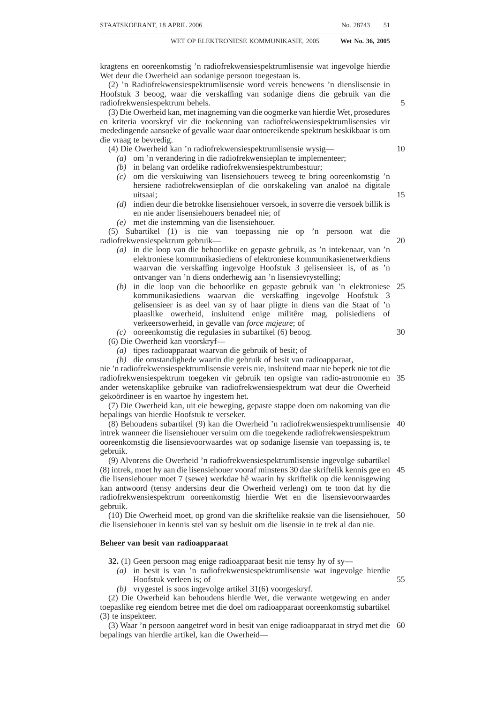(2) The Minister may, by notice in the *Gazette*, appoint a board of up to seven members to provide oversight of and guidance to the Agency.

(3) A board appointed by the Minister in terms of section 58(2) of the Telecommunications Act is considered to have been appointed in terms of this Act.

#### **Functions of Board**

**81.** (1) The Agency's board must exercise the powers conferred, and perform the duties imposed, upon it in accordance with any policy direction issued by the Minister. (2) The board must—

- *(a)* represent the Agency before the Minister and the Authority;
- *(b)* oversee the functions of the Agency;
- *(c)* prepare and update a strategic plan for the Agency at least once every three years to be used by the Agency in exercising its powers and carrying out its functions;
- *(d)* approve the annual report referred to in section 86 prior to submission to the Minister;
- *(e)* approve the statement of estimated income and expenditures and any adjusted statements referred to in section 84 prior to submission to the Minister;
- approve the Chief Executive Officer's (CEO's) recommendations referred to in section 83(3)*(b)*;
- *(g)* oversee the accounts of the Agency referred to in sections 84, 85 and 91; and 20
- *(h)* take such other decisions as may be requested by the CEO of the Agency in terms of this Chapter.

# **Functions of Agency**

**82.** (1) The Agency must—

- *(a)* strive to promote the goal of universal access and universal service;
- *(b)* encourage, facilitate and offer guidance in respect of any scheme to provide— (i) universal access or universal service; or
	- (ii) telecommunication services as part of reconstruction and development projects and programmes contemplated in section 3*(a)* of the Reconstruction and Development Programme Fund Act, 1994 (Act No. 7 of 30 1994), where such provision will contribute to the attainment of the object of the project or programme in question; and
- *(c)* foster the adoption and use of new methods of attaining universal access and universal service.

(2) For purposes of subsection  $(1)(b)(ii)$ , reference to telecommunication services in 35 relation to development projects and programmes contemplated in section 3*(a)* of the Reconstruction and Development Programme Fund Act, 1994, must be regarded as reference to electronic communications network services under this Act.

(3) *(a)* The Agency must from time to time, with due regard to circumstances and attitudes prevailing in the Republic and after obtaining public participation to the 40 greatest degree practicable, make recommendations to enable the Minister to determine what constitutes—

- (i) universal access by all areas and communities in the Republic to electronic communications services and electronic communications network services; and
- (ii) the universal provision for all persons in the Republic of electronic communications services and access to electronic communications networks, including any elements or attributes thereof.

*(b)* Such a determination-

- (i) must be published in the *Gazette*; and
- (ii) may be amended or substituted by the Minister on the recommendation of the Agency as provided for in this subsection.

(4) The Agency—

*(a)* may undertake such investigations into matters relating to its functions as it may consider necessary; 55

10

25

45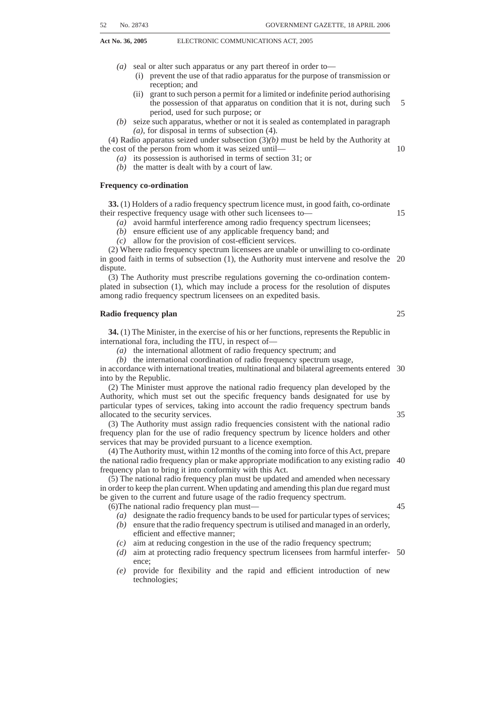- *(b)* must conduct research into and keep abreast of developments in the Republic and elsewhere on information communication technology, electronic communications services and electronic communications facilities;
- *(c)* must continually survey and evaluate the extent to which universal access and service have been achieved;
- *(d)* may issue information from time to time on the provision of electronic communications services and electronic communications networks in the Republic and access thereto;
- *(e)* must, when so requested by the Minister, make recommendations to the Minister in relation to policy on any matter relating to universal access and 10 universal service;
- *(f)* must, when so requested by the Authority, advise the Authority on any matter relating to universal access and universal service;
- *(g)* must continually evaluate the effectiveness of this Act and things done in terms thereof towards the achievement of the goal of universal access and 15 universal service;
- *(h)* may liaise, consult and co-operate with any person or authority;
- may appoint experts and other consultants on such conditions as the Agency may determine.

(5) The Agency must manage the Universal Service and Access Fund in accordance 20 with the provisions of this Chapter.

# **CEO and staff of Agency**

**83.** (1) The Agency is under the direction and control of the CEO appointed by the Board.

(2) The CEO—

- *(a)* must be a suitably qualified and experienced person;
- *(b)* is subject to the direction and oversight of the board in the performance of all financial and administrative functions as well as other work as may arise from the performance of the Agency's functions under this Act; and
- *(c)* must exercise any powers delegated to him or her by the board.

(3) Without derogating from his or her general powers, duties and functions as set forth in this section, the CEO must—

- *(a)* approve of expenditures from the universal service and access fund;
- *(b)* conduct competitive tenders in terms of section 90 and make recommendations to the board.

(4) The CEO must enter into a performance agreement with the Board. The perfomance agreement must, amongst other things—

*(a)* set appropriate key performance indicators; and

*(b)* set measurable perfomance targets.

(5) The CEO must employ a staff, including senior management and such other 40 persons as may be necessary to assist him or her with the performance of the functions of the Agency.

(6) The staff of the Agency is accountable to and must enter into a performance agreement with the CEO.

(7) The CEO must manage and direct the activities of the Agency.

(8) The CEO must, in the selection of the staff of the Agency—

*(a)* promote the empowerment of historically disadvantaged persons, including women, the youth and people with disabilities;

*(b)* subject to paragraph *(a)*, apply equal opportunity employment practices.

(9) The CEO and other staff of the Agency must be appointed on the grounds of their 50 qualifications, expertise or experience in the fields, when viewed collectively, of development planning, community development, social sciences, economics, electronic communications and publicity.

(10) A person may not be appointed or continue in office as CEO or other member of the staff of the Agency if he or she becomes unfit to hold the office or becomes 55incapacitated.

(11) The CEO of the Agency must be appointed for such period not exceeding five years as may be determined when he or she is appointed.

45

25

30

35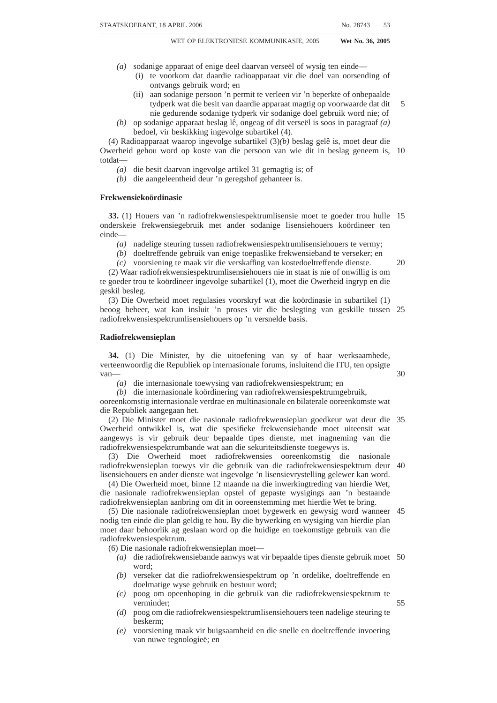(12) The CEO and other employees of the Agency hold office on such conditions as to remuneration and otherwise—

- *(a)* in the case of the CEO, as the Minister may determine with the concurrence of the Minister of Finance;
- *(b)* in the case of other employees, as the CEO may determine with the concurrence of the Minister and the Minister of Finance. 5

(13) Different periods and conditions may be determined under subsections (11) or (12) in respect of different employees.

#### **Financing of Agency**

**84.** (1) The operating and capital costs of the Agency must be financed from money 10 appropriated by Parliament from time to time for that purpose.

(2) The Agency must utilise any money contemplated in subsection (1) in accordance with the statement of estimated income and expenditure referred to in subsection (3).

- (3) The Agency—
	- *(a)* must in each financial year, at a time determined by the Minister, submit a 15 statement of estimated income and expenditure for the following financial year to the Minister for his or her approval, granted with the concurrence of the Minister of Finance; and
	- *(b)* may in any financial year submit adjusted statements of estimated income and expenditure to the Minister for his or her approval, granted with the 20 concurrence of the Minister of Finance.

# **Banking account**

**85.** The Agency must, with the approval of the Director-General, open and maintain with a bank, registered as such in terms of the Banks Act, 1990 (Act No. 94 of 1990), an account in which there must be deposited the money received by the Agency and from 25 which payments for it or on its behalf may be made.

# **Annual and other reports**

**86.** (1) The Agency must submit to the Minister—

*(a)* such information and particulars as he or she may from time to time, in writing, require in connection with the activities of the Agency; and

30

35

*(b)* a report in regard to the functions, affairs and activities of the Agency, annually and as soon as is reasonably practicable after the end of each period of 12 months ending on 31 March, in respect of such period.

(2) Without derogating from the generality of the provisions of subsection (1), the annual report must, among others, include—

- *(a)* information regarding progress towards achieving the goal of universal service; and
- *(b)* such other information as the Minister may determine.

(3) The Minister must table a copy of the annual report in Parliament within 30 days after it is received by him or her if Parliament is then in ordinary session or, if Parliament 40 is not then in ordinary session, within 30 days after the commencement of its next ordinary session.

# **Continued existence and control of Universal Service Fund**

**87.** (1) Despite the repeal of the Telecommunications Act by this Act, the Universal Service Fund established in terms of section 65(1) of the Telecommunications Act 45 continues to exist in terms of this Act and will henceforth be called the Universal Service and Access Fund, and the Agency must keep account of the Fund in its books and credit the Fund with—

- *(a)* universal service contributions referred to in section 89; and
- *(b)* money accruing to the Universal Service and Access Fund from any other 50source.

(2) All money received, the amounts of which in terms of subsection (1) must be credited to the Universal Service and Access Fund in the books of the Agency, must be paid into the National Revenue Fund established by section 185 of the Constitution.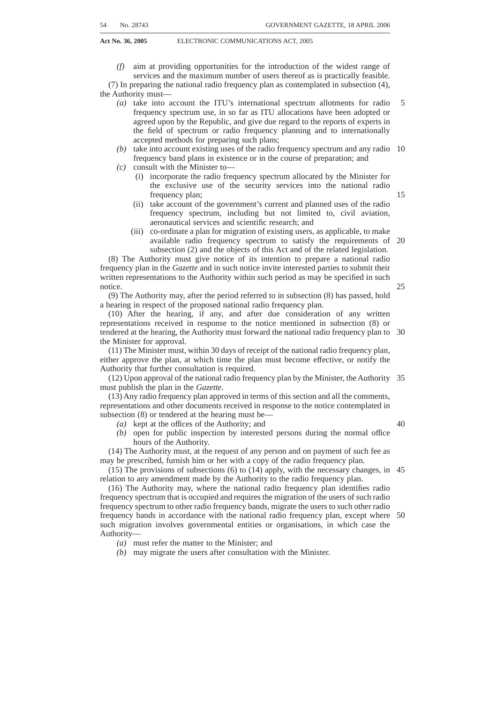(3) Subsidies paid from the Universal Service and Access Fund in terms of section 88 must be financed from money appropriated by Parliament for that purpose.

(4) The Universal Service and Access Fund must be administered by the Agency subject to the control and in accordance with the instructions of the Minister.

#### **Application of money in Universal Service and Access Fund**

5

**88.** (1) The money in the Universal Service and Access Fund must be utilised exclusively for the payment of subsidies—

- *(a)* for the assistance of needy persons towards the cost of the provision to, or the use by, them of broadcasting and electronic communications services;
- *(b)* subject to subsection (2), to any broadcasting service licensee and electronic 10 communications network service licensee for the purpose of financing the construction or extension of electronic communications networks in underserviced areas as prescribed;
- *(c)* to public schools and public further education and training institutions as defined in the South African Schools Acts, 1996 (Act No. 84 of 1996), and the 15 Further Education and Training Act, 1998 (Act No. 98 of 1998), respectively, for the procurement of broadcasting and electronic communications services and access to electronic communications networks;
- *(d)* to schools and further education and training institutions as defined in the South African Schools Acts, 1996 (Act No. 84 of 1996), and the Further 20 Education and Training Act, 1998 (Act No. 98 of 1998), respectively, for the procurement of broadcasting and electronic communications services and access to electronic communications networks: Provided that—
	- (i) in the case of public schools, they are recognised by their provincial Departments of Education as falling into the lowest three quintiles for 25 socio-economic redress in terms of the National Norms and Standards for School Funding (1998); and
	- (ii) in the case of independent schools and independent further education and training institutions—
		- *(aa)* they are registered with the Commissioner for Inland Revenue as 30 public benefit organisations in terms of section  $10(1)(cN)$  of the Income Tax Act, 1962 (Act No. 58 of 1962); and
		- *(bb)* they are registered with their provincial Departments of Education or the National Department of Education (as the case may be) for the receipt of state subsidies;
- *(e)* for the establishment and operation of broadcasting services and for the establishment and operation, including training of and the payment of allowances to personnel of centres where access can be obtained to electronic communications networks.

(2) The Authority must, by regulation, for purposes of subsection (1)*(b)*, define 40 under-serviced areas.

(3) The Authority must at least bi-annually review and update, the prescribed definition of under-serviced area and the list of designated under-serviced areas eligible for construction payments from the Universal Service and Access Fund.

(4) The Minister may, for the purposes of payments referred to in subsection  $(1)(a)$ , 45 by notice in the *Gazette* determine—

- *(a)* types of needy persons to whom assistance may be given;
- *(b)* the persons who must apply for assistance and the manner in which such applications must be made;
- *(c)* the manner in which and persons to whom subsidies may be paid. 50

# **Contributions to Universal Service and Access Fund**

**89.** (1) Subject to subsection (3), every holder of a licence granted or considered to have been granted in terms of Chapter 3 must pay, in addition to any other fees contemplated in this Act or the related legislation, the prescribed annual contributions of the licensee's licensed activity to the Universal Service and Access Fund.

55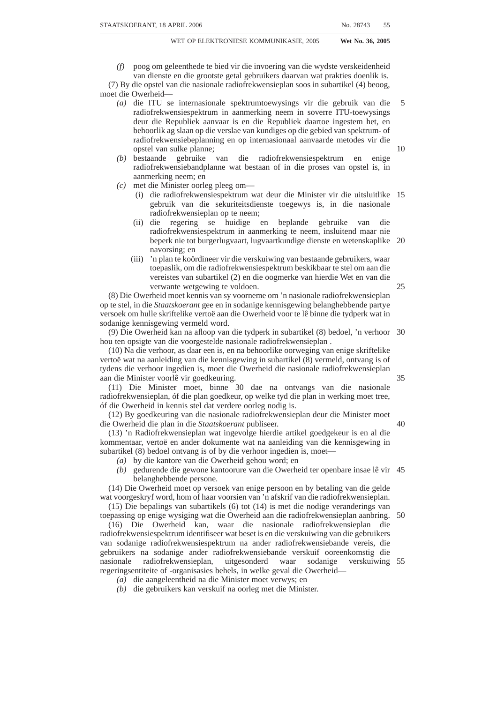(2) The Authority must prescribe—

- *(a)* the basis and manner of determination of such contributions, which must not exceed 1 per cent of the licensee's annual turnover or such other percentage of the licensee's annual turnover as may be determined by the Minister after consultation with the affected parties, by notice in the *Gazette*; and
- *(b)* the dates when such contributions become payable and the manner in which they may be paid.

(3) Broadcasting service licensees contributing to the Media Development and Diversity Agency (''MDDA'') must have their annual MDDA contribution set off against their prescribed annual contribution to the Universal Service and Access Fund. 10

#### **Competitive tender for universal service and access projects**

**Act No. 36, 2005** ELECTRONIC COMMUNICATIONS ACT, 2005

**90.** (1) The Agency must provide incentives to electronic communications network service licensees to construct, operate and maintain electronic communications networks in under-serviced areas through the award of project grants.

- (2) The Agency must, in consultation with the Authority—
	- *(a)* publish a notice in the *Gazette* stating its intention to award one or more project grants and invite interested electronic communications network service licensees to submit proposals;
	- *(b)* identify the targeted under-serviced area or under-serviced areas where project grants will be awarded and determine— 20
		- (i) the time and place for submitting proposals;
		- (ii) the scope of the projects which may vary according to the needs of the targeted under-serviced area or under-serviced areas;
		- (iii) the criteria for evaluating proposals;
		- (iv) the projected cost of the proposed project; and

25

40

(v) such other matters as may be helpful in securing qualified proposals.

(3) The criteria for evaluating proposals may take into consideration—

- *(a)* the objects of this Act set out in section 2;
- *(b)* the scope of the electronic communications network service licensee's proposal, including the electronic communications network proposed for 30 construction in the under-serviced area and the technologies proposed;
- *(c)* any electronic communications services the electronic communications network service licensee proposes to offer in terms of its electronic communications network service licence and, as applicable, any electronic communications service licence or other licence held by the electronic 35 communications network service licensee;
- *(d)* the terms and conditions relating to any proposed services, including wholesale and retail pricing, taking into account the lack of competitive electronic communications networks and services in the targeted underserviced area; and
- *(e)* such other matters as the Agency, in consultation with the Authority, finds appropriate for the targeted under-serviced area.

(4) The subsidy for project grants must be paid out of the Universal Service and Access Fund.

(5) The Agency must supervise the execution of projects awarded under subsection 45 (1).

# **Accounts of Universal Service and Access Fund**

**91.** (1) The Agency must—

- *(a)* cause full records to be kept of the transactions of the Universal Service and Access Fund; 50
- *(b)* as soon as possible, but not later than three months after 31 March in each year, cause the books and accounts relating to such transactions to be balanced as at that date and thereafter prepare a statement showing in all necessary detail—

5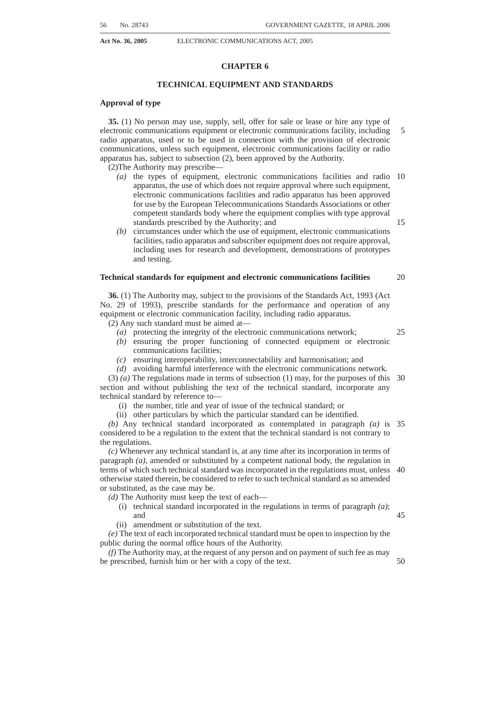- **Act No. 36, 2005** ELECTRONIC COMMUNICATIONS ACT, 2005
	- (i) the income and expenditure of the Fund during the preceding financial year; and
	- (ii) a balance sheet showing the assets and liabilities of the Fund as at the end of that year.

(2) The accounts and balance sheet of the Fund must be audited by the Auditor-General. 5

(3) As soon as possible after the accounts and balance sheet for any year have been audited, the Agency must submit a copy of the accounts and balance sheet to the Minister.

(4) The Minister must table a copy of the audited accounts and balance sheet in 10 Parliament—

- *(a)* within 30 days after they have been received by him or her if Parliament is then in ordinary session or, if Parliament is not then in ordinary session, within 30 days after the commencement of its next ordinary session; or
- *(b)* if so determined by the Minister, together with the annual report of the Agency 15 in regard to the period concerned.

(5) For the purposes of this section, ''financial year''means the period extending from 1 April in any year to 31 March in the next succeeding year.

# **CHAPTER 15**

#### **TRANSITIONAL PROVISIONS**

# **Existing licences**

**92.** (1) All licences granted, issued or considered to have been granted or issued in terms of the Telecommunications Act, the Broadcasting Act or the IBA Act, (in this chapter collectively referred to as ''existing licences'') remain valid under this Act until converted by the Authority in terms of this Chapter.

(2) Any person who, immediately before the commencement of this Act, lawfully provided any service or used the radio frequency spectrum in terms of the Telecommunications Act, the Broadcasting Act or the IBA Act without a licence, is considered to have a licence exemption in terms of section 6 to continue to provide such service or use the radio frequency spectrum, unless notified in writing by the Authority 30 that such service or the use of the radio frequency spectrum requires a licence in terms of this Act.

(3) Where sections of the related legislation and the IBA Act did not apply to broadcasting services pending a recommendation by the Authority, the equivalent sections in this Act will not apply to such services until the recommendation has been 35 adopted in the National Assembly.

(4) Where the Authority notifies a person that a license is required in terms of subsection (2), the notification must provide the terms and schedule in terms of which a licence will be issued.

(5) Any person, who immediately before the commencement of this Act, lawfully 40 provided any service or used the radio frequency spectrum in terms of the Telecommunications Act, Broadcasting Act or IBA Act without a licence is considered to have permission to continue to provide such a service on the same conditions and terms, or use the frequency spectrum on the same conditions and terms without a licence until such time as the Authority has granted or refused a licence application. 45

(6) Existing licences referred to in subsection (1) must be converted by the Authority in terms of this Chapter within 24 months from the commencement date of this Act or such extension period, which must not exceed an additional 6 months, from the expiry of the 24 month period.

(7) Any current applications, process, recommendations and regulations pending 50 before the Authority or the Minister upon the coming into force of this Act must be considered to have been submitted in accordance with the provisions of this Act and must be considered in terms of the relevant sections of this Act.

# **Licence conversion**

**93.** (1) Subject to subsection (4), the Authority must convert existing licences by 55 granting one or more new licences that comply with this Act on no less favourable terms.

20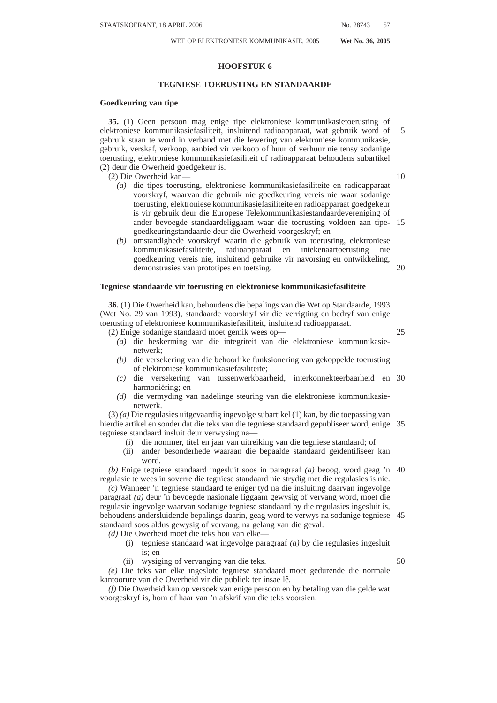(2) Despite sections 5(10) and 19(1), all licenses converted in accordance with this Chapter retain their original term of validity unless otherwise specified by the Authority.

(3) Within 30 days of the commencement of this Act, the Authority must, by notice in the *Gazette*, publish a schedule, subject to section 92(4), in terms of which the Authority plans to undertake the existing licence conversion process. The notice must—

- *(a)* identify the holders of existing licences and the nature of the existing licence and those services that are exempted as provided for in section 6;
- *(b)* subject to section 92(4), set out a time frame for such conversion, including but not limited to the expected time frame for granting new licences under this Act;
- *(c)* set out the form and content, including the information that must be provided to the Authority by the holders of existing licences to assist the Authority in the conversion process;
- *(d)* set out the process the Authority plans to undertake in converting such existing licences; and
- *(e)* confirm the rights of the applicants to participate in such process.

(4) The following framework must be used by the Authority for converting existing licences and issuing new licences:

- *(a)* Where an existing licence authorises the holder of such licence to both provide services and operate electronic communications facilities or net-20 works, the Authority must issue to that licence holder—
	- (i) a licence relating to the electronic communications services or broadcasting services, if applicable, that coincide with the services authorised in the existing licence;
	- (ii) a separate licence relating to any radio frequency spectrum authorised in 25 the existing licence; and
	- (iii) a separate licence relating to the electronic communications network services,

consistent with the licence types set out in Chapter 3.

*(b)* As part of the conversion process, the Authority may grant rights and impose 30 obligations on the licensee, in order to ensure that the existing licenses comply with this Act, including the continuation of any obligations imposed upon existing licensees by virtue of a previous determination. Such obligations remain in force until such time as the Authority completes a review in terms of section 67(8). 35

(5) Upon conversion of any existing licence through the process of granting a new licence or exemption of any service in terms of section 6—

- *(a)* such new licence or exempted service, as applicable, is governed by the provisions of this Act; and
- *(b)* the existing licence is considered to have been surrendered and has no further 40 force or effect.

(6) All holders of existing licences must comply with the terms of the notice for converting their licences published by the Authority in terms of subsection (3), including—

- *(a)* supplying the Authority with any information requested; and
- *(b)* participating in any process set out by the Authority for converting the applicable licences to meet the deadline for converting existing licences set out in section 92(6).

(7) The Authority may not grant or include in any licence converted in terms of this Chapter any monopoly or exclusionary rights in any network or service contemplated by 50 this Act or the related legislation.

(8) Any monopoly or exclusive rights existing by virtue of the related legislation, the IBA Act, the Sentech Act or theTelecommunications Act is null and void, but radio frequency spectrum that is assigned by the Authority to a licence holder is not considered a monopoly or exclusionary rights under this subsection.

(9) No existing licensee may have any claim against the Authority or any other person asserting such monopoly or exclusionary rights.

(10) During the transition period, existing licences are considered to be—

*(a)* individual licences for the provision of electronic communications network services, broadcasting services, or electronic communications services, as 60applicable; and

45

55

15

10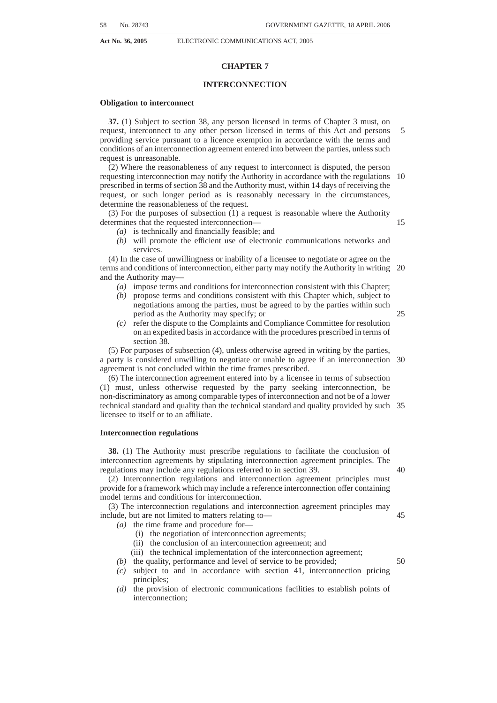- **Act No. 36, 2005** ELECTRONIC COMMUNICATIONS ACT, 2005
	- *(b)* for the use of the radio frequency spectrum granted by the Authority in terms of this Act.

(11) Despite section 8, existing licences remain subject to all terms and conditions associated with such licences that are not inconsistent with this Act until such licences are converted and re-issued in terms of this Chapter.

#### **Conflicts**

**94.** In the event of any conflict between the provisions of this Act, the related legislation or any other law relating to the regulation of broadcasting or electronic communications, the provisions of this Act prevail.

# **Existing regulations**

**95.** (1) Within twenty-four months of the coming into force of this Act, the Authority may, if the Authority considers it necessary, repeal or amend the regulations made under—

- *(a)* section 119A of the Post Office Act, 1958 (Act No. 44 of 1958);
- *(b)* the Telecommunications Act;
- *(c)* the Broadcdasting Act;
- *(d)* the IBA Act;
- *(e)* the Radio Act, 1952 (Act No. 3 of 1952); and
- *(f)* the Sentech Act,

which were in force immediately prior to the commencement of this Act.

(2) The regulations referred to in subsection (1) remain in force until they are amended or repealed in terms of this Act.

# **Application of Act**

**96.** This Act binds the State.

# **Repeal and amendment of laws**

**97.** The laws referred to in the first column of the Schedule are repealed or amended to the extent indicated in the third column.

# **Short title and commencement**

**98.** This Act is called the Electronic Communications Act, 2005, and comes into operation on a date determined by the President by proclamation in the *Gazette*. 30

25

10

5

15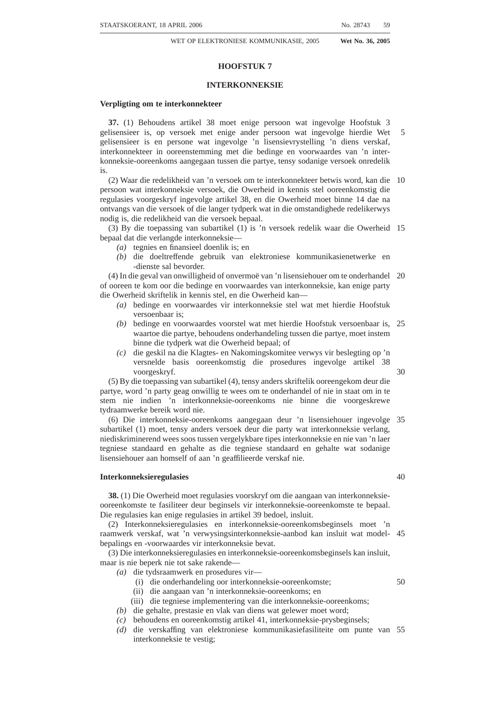# **SCHEDULE**

| No. and year of<br>Act   | <b>Short Title</b>                                | <b>Extent of repeal or amendment</b>                                                                                                                                                                                                                                                                                                                                                                                                                                                                                                                                                                                                                                                                                                                                                                                                                                                                                                                                                                                                                                                                                                                                                                                                                                                                                                                                                                                                                                                                                                                                                                                                                                                                                                                                          |                                                                |
|--------------------------|---------------------------------------------------|-------------------------------------------------------------------------------------------------------------------------------------------------------------------------------------------------------------------------------------------------------------------------------------------------------------------------------------------------------------------------------------------------------------------------------------------------------------------------------------------------------------------------------------------------------------------------------------------------------------------------------------------------------------------------------------------------------------------------------------------------------------------------------------------------------------------------------------------------------------------------------------------------------------------------------------------------------------------------------------------------------------------------------------------------------------------------------------------------------------------------------------------------------------------------------------------------------------------------------------------------------------------------------------------------------------------------------------------------------------------------------------------------------------------------------------------------------------------------------------------------------------------------------------------------------------------------------------------------------------------------------------------------------------------------------------------------------------------------------------------------------------------------------|----------------------------------------------------------------|
| Act No. 153 of<br>1993   | Independent Broadcasting Au-<br>thority Act, 1993 | The whole                                                                                                                                                                                                                                                                                                                                                                                                                                                                                                                                                                                                                                                                                                                                                                                                                                                                                                                                                                                                                                                                                                                                                                                                                                                                                                                                                                                                                                                                                                                                                                                                                                                                                                                                                                     | 5                                                              |
| Act No. $103$ of<br>1996 | Telecommunications Act, 1996                      | The whole                                                                                                                                                                                                                                                                                                                                                                                                                                                                                                                                                                                                                                                                                                                                                                                                                                                                                                                                                                                                                                                                                                                                                                                                                                                                                                                                                                                                                                                                                                                                                                                                                                                                                                                                                                     |                                                                |
| Act No. 4 of 1999        | Broadcasting Act, 1999                            | 1. Repeal of sections 4, 29, 30, 31, 32,<br>33, 34, 35, 36, 37, 39 and $40(1)(a)$ , (b)<br>and $(2)$ .<br>2. Amendment of section 1—<br>$a)$ by the substitution for the words<br>"IBA Act" and "telecommunica-<br>tions", wherever they occur of<br>the words "Electronic Communi-<br>cations Act" and "electronic<br>communications" respectively;<br>$b)$ by the substitution for the word<br>"radio" in the definition of<br>"broadcasting" of the words:<br>"radio frequency spectrum";<br>$c)$ by the substitution for the words<br>"means of telecommunication"<br>for the word " electronic commu-<br>nications network";<br>$d$ ) by the substitution for the defini-<br>tion of "broadcasting service" of<br>the following definition: "broad-<br>casting service" means "broad-<br>casting service" as defined in the<br>Electronic Communications Act;<br>$e$ ) by the substitution for the word<br>"a telecommunication process"<br>in the definition of "broadcasting<br>signal distribution" of the word<br>"electronic communications";<br>$f$ ) by the deletion of the following<br>definitions: "broadcasting signal<br>distribution licensee": "IBA<br>Act"; "telecommunications";<br>$g$ ) by the insertion of the following<br>definitions:<br>"Electronic Communications<br>Act" means the Electronic Com-<br>munications Act, 2005;<br>"electronic communications"<br>means "electronic communica-<br>tions" as defined in the Elec-<br>tronic Communications Act:<br>"electronic communications<br>service" means electronic com-<br>munications service as defined in<br>the Electronic Communications<br>Act:<br>"electronic communications<br>service licensee" means elec-<br>tronic communications licensee<br>as defined in the Electronic Com- | 10<br>15<br>20<br>25<br>30<br>35<br>40<br>45<br>50<br>55<br>60 |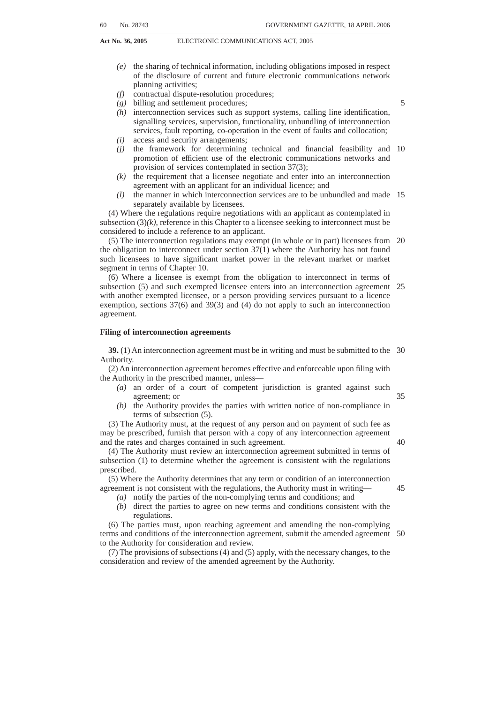| No. and year of<br>Act | <b>Short Title</b> | <b>Extent of repeal or amendment</b>                                                                                                                                                                                                                                                                                                                                                    |         |
|------------------------|--------------------|-----------------------------------------------------------------------------------------------------------------------------------------------------------------------------------------------------------------------------------------------------------------------------------------------------------------------------------------------------------------------------------------|---------|
|                        |                    | $(h)$ by the substitution for the defini-<br>tion of "broadcasting signal distri-<br>bution licence" of the following<br>definition:<br>"broadcasting signal distribution<br>licence" means a electronic com-<br>munications service licence where<br>the holder of the electronic com-<br>munications service licence pro-<br>vides a broadcasting signal distri-<br>bution service;"; | 5<br>10 |
|                        |                    | $(i)$ by the substitution for the defini-<br>tion of "radio" of the following<br>definition:<br>"radio" means radio as defined in<br>the Electronic Communications<br>Act.                                                                                                                                                                                                              | 15      |
|                        |                    | 3. Amendment of section 3 by the<br>substitution in subsection $(5)(f)$ for the<br>word "IBA Act" of the word "Elec-<br>tronic Communications Act".<br>4. Amendment of section 5 by the                                                                                                                                                                                                 | 20      |
|                        |                    | substitution in subsection (3) for the<br>words "IBA Act" of the words "Elec-<br>tronic Communications Act".<br>5. Amendment of section 21—<br>$(a)$ by the substitution in subsection                                                                                                                                                                                                  | 25      |
|                        |                    | (1) for the words "IBA Act or the<br>Telecommunications Act, 1996<br>(Act No. 103 of 1996)" of the<br>words "Electronic Communica-<br>tions Act";                                                                                                                                                                                                                                       | 30      |
|                        |                    | $(b)$ by the substitution in subsection<br>(2) for the words "IBA Act" of the<br>word "Electronic Communications<br>Act".                                                                                                                                                                                                                                                               | 35      |
|                        |                    | 6. Amendment of section 22 by the<br>substitution for the words "IBA Act"<br>of the words "Electronic Communica-<br>tions Act".<br>7. Substitution for section 42 of the<br>following section:                                                                                                                                                                                          | 40      |
|                        |                    | "Application of Act                                                                                                                                                                                                                                                                                                                                                                     | 45      |
|                        |                    | 42. (1) The Electronic Communica-<br>tions Act applies in relation to this Act,<br>the ICASA Act, the Sentech Act and<br>any other legislation applicable to<br>broadcasting or electronic communica-<br>tions.                                                                                                                                                                         | 50      |
|                        |                    | (2) In the event of a conflict between<br>the provisions of this Act and any other<br>law relating to broadcasting or elec-<br>tronic communications, the provisions<br>of the Electronic Communications Act<br>prevail.".                                                                                                                                                              | 55      |
|                        |                    | 8. Amendment of the long title by<br>the deletion of the words "to establish"<br>the frequency spectrum directorate in<br>the department".                                                                                                                                                                                                                                              | 60      |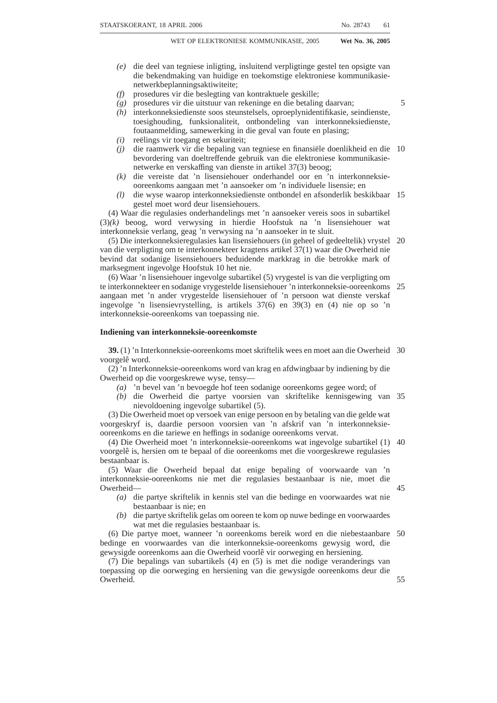120 No. 28743 GOVERNMENT GAZETTE, 18 APRIL 2006

**Act No. 36, 2005** ELECTRONIC COMMUNICATIONS ACT, 2005

| No. and year of<br>Act | <b>Short Title</b> | <b>Extent of repeal or amendment</b>                                                                                                                                                                                             |    |
|------------------------|--------------------|----------------------------------------------------------------------------------------------------------------------------------------------------------------------------------------------------------------------------------|----|
| Act 63 of 1996         | Sentech Act, 1996  | 1. Amendment of section 1—<br>$(a)$ by the substitution for the defini-<br>tion of "broadcasting licensee" of<br>the following definition:<br>"broadcasting service licensee"<br>means broadcasting service lic-                 | 5  |
|                        |                    | ensee as defined in section 1 of the<br>Electronic Communications Act;<br>$(b)$ by the substitution for definition of<br>"broadcasting signal distribution"<br>of the following definition:<br>"broadcasting signal distribu-    | 10 |
|                        |                    | tion" means the process whereby<br>the output signal of a broadcasting<br>service is taken from the point of<br>origin, being the point where such                                                                               | 15 |
|                        |                    | signal is made available in its final<br>content format, from where it is<br>conveyed, to any broadcast target<br>area, by means of an electronic<br>communications process and                                                  | 20 |
|                        |                    | multi-channel distribution;<br>$(c)$ by the insertion of the following<br>definitions:<br>(i) "Broadcasting Act" means<br>the Broadcasting Act, 1999                                                                             | 25 |
|                        |                    | (Act No. 4 of 1999);<br>(ii) "Electronic Communica-<br>tions Act" means the Elec-<br>tronic Communications Act,<br>2005;                                                                                                         | 30 |
|                        |                    | (iii) "ICASA Act" means the In-<br>dependent Communications<br>Authority of South Africa Act,<br>2000 (Act No. 13 of 2000);<br>(iv) "related legislation" means                                                                  | 35 |
|                        |                    | the Broadcasting Act, Elec-<br>tronic Communications Act<br>and the ICASA Act;<br>$(d)$ by the deletion of the definition of<br>"Independent Broadcasting Au-<br>thority Act":                                                   | 40 |
|                        |                    | 2. Substitution for section 5 of the<br>following section:<br>"Main object and business of<br>Company                                                                                                                            | 45 |
|                        |                    | 5. The main object and business of<br>the Company shall be to provide elec-<br>tronic communications services and<br>electronic communications network<br>services in accordance with the Elec-<br>tronic Communications Act.    | 50 |
|                        |                    | 3. Insertion of the following section<br>after section 8:<br>"Application of Electronic Com-<br>munications Act                                                                                                                  | 55 |
|                        |                    | <b>8A.</b> (1) The Electronic Communica-<br>tions Act shall apply in relation to this<br>Act, the Broadcasting Act and the<br>ICASA Act and any other legislation<br>applicable to broadcasting or electronic<br>communications. | 60 |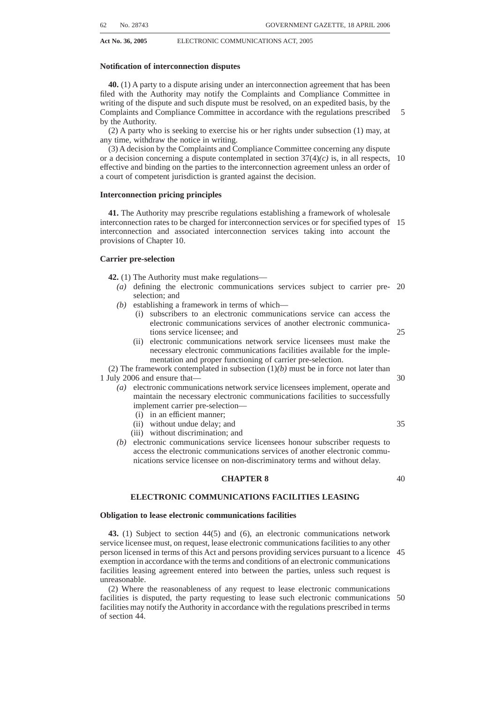| No. and year of<br>Act | <b>Short Title</b>                                                                                                   | <b>Extent of repeal or amendment</b>                                                                                                                                                                                                                                                                            |    |
|------------------------|----------------------------------------------------------------------------------------------------------------------|-----------------------------------------------------------------------------------------------------------------------------------------------------------------------------------------------------------------------------------------------------------------------------------------------------------------|----|
|                        |                                                                                                                      | (2) In the event of any conflict be-<br>tween the provisions of the Electronic<br>Communications Act or any other law<br>relating to the regulation of broadcast-<br>ing or electronic communications the<br>provisions of the Electronic Communi-<br>cations Act shall prevail.<br>4. The repeal of section 9. | 5  |
| Act 70 of 2002         | Regulation of Interception of<br>Communications and Provision<br>of Communication-related In-<br>formation Act, 2002 | 1. Amendment of section 1-                                                                                                                                                                                                                                                                                      | 10 |
|                        |                                                                                                                      | $(a)$ by the substitution for the words<br>"Telecommunications Act" wher-<br>ever they occur of the words<br>"Electronic Communications Act".<br>$(b)$ by the substitution for the defini-                                                                                                                      | 15 |
|                        |                                                                                                                      | tion of "internet service provider"<br>of the following definition:<br>"internet service provider" means<br>any person who provides access to,<br>or any other service related to, the<br>Internet to another person, whether                                                                                   | 20 |
|                        |                                                                                                                      | or not such access or service is<br>provided under and in accordance<br>with an [telecommunication] elec-<br>tronic communication service li-<br>cence issued to the first-mentioned                                                                                                                            | 25 |
|                        |                                                                                                                      | person under [Chapter V of the<br><b>Telecommunications Act]</b> Chap-<br>ter 3 of the Electronic Communi-<br>cations Act:                                                                                                                                                                                      | 30 |
|                        |                                                                                                                      | $(c)$ by the substitution for the defini-<br>tion of "telecommunication ser-<br>vice" of the following definition:<br>"electronic communications<br>service" means electronic com-                                                                                                                              | 35 |
|                        |                                                                                                                      | munications service as defined<br>in the Electronic Communica-<br>tions Act:<br>$(d)$ by the substitution for the defini-<br>tion of "telecommunication ser-                                                                                                                                                    | 40 |
|                        |                                                                                                                      | vice provider" of the following<br>definition:<br>"electronic communication service<br>provider" means any-                                                                                                                                                                                                     | 45 |
|                        |                                                                                                                      | $(a)$ person who provides an elec-<br>tronic communication service<br>under and in accordance with a<br>electronic communication ser-<br>vice licence issued to such per-                                                                                                                                       | 50 |
|                        |                                                                                                                      | son under Chapter 3 of the Elec-<br>tronic Communications Act, and<br>includes any person who pro-<br>vides—                                                                                                                                                                                                    | 55 |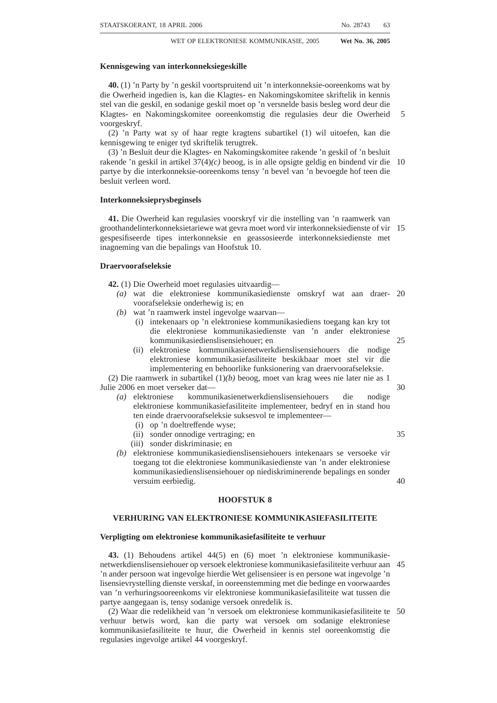| No. and year of<br>Act | <b>Short Title</b> | <b>Extent of repeal or amendment</b>                                                                                                                                                                                |    |
|------------------------|--------------------|---------------------------------------------------------------------------------------------------------------------------------------------------------------------------------------------------------------------|----|
|                        |                    | (i) a local access communication<br>service, public pay-telephone<br>service, value-added network                                                                                                                   |    |
|                        |                    | service or private electronic<br>communication network as de-<br>fined in the Electronic Commu-<br>nications Act; or                                                                                                | 5  |
|                        |                    | (ii) any other electronic communi-<br>cation service licensed or<br>deemed to be licensed or ex-<br>empted from being licensed as<br>such in terms of the Electronic                                                | 10 |
|                        |                    | Communications Act; and<br>$(b)$ Internet service provider;<br>$(e)$ by the substitution for the defini-<br>tion of "telecommunications sys-<br>tem" of the following definition:                                   | 15 |
|                        |                    | "electronic communication<br>system" means any system or<br>series of electronic communica-<br>tion facilities or radio, optical or                                                                                 | 20 |
|                        |                    | other electromagnetic apparatus<br>or any similar technical system<br>used for the purpose of elec-<br>tronic communication, whether<br>or not such electronic communi-                                             | 25 |
|                        |                    | cation is subject to re-arrange-<br>ment, composition or other pro-<br>cesses by any means in the<br>course of their transmission or<br>emission or reception;                                                      | 30 |
|                        |                    | $(f)$ by the insertion of the following<br>definition after the definition of<br>"Directorate":<br>"Electronic Communications<br>Act" means the Electronic Com-                                                     | 35 |
|                        |                    | munications Act, 2005.<br>2. Section 11 is amended by the sub-<br>stitution for that section of the follow-<br>ing section:                                                                                         | 40 |
|                        |                    | Monitoring of signal and radio<br>frequency spectrum for purposes<br>of managing radio frequency spec-<br>trum.—Any person appointed as an<br>inspector in terms of section [98]<br>17F of the [Telecommunications] | 45 |
|                        |                    | Independent Communications Au-<br>thority of South Africa Act and who<br>is lawfully engaged in performing<br>the functions of the Authority relat-<br>ing to the management of the radio                           | 50 |
|                        |                    | frequency spectrum, as contemplated<br>in section $[28(1)]$ 30(1) of the Elec-<br>tronic Communications Act [of that<br>Act], may, in the ordinary course of<br>the performance of those functions,                 | 55 |
|                        |                    | monitor a signal or radio frequency<br>spectrum relating to an indirect com-<br>munication which is transmitted<br>over radio, where it is reasonably<br>necessary for that employee to                             | 60 |
|                        |                    | monitor that signal or radio fre-<br>quency spectrum for purposes of<br>identifying, isolating or preventing<br>an unauthorised or interfering use of<br>such a signal or frequency or of a<br>transmission.        | 65 |